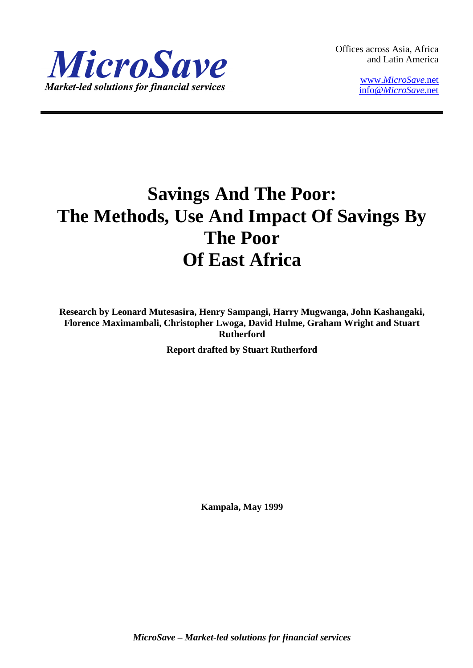

Offices across Asia, Africa and Latin America

> www.*[MicroSave](http://www.microsave.net/)*.net info@*[MicroSave](mailto:info@MicroSave.net)*.net

# **Savings And The Poor: The Methods, Use And Impact Of Savings By The Poor Of East Africa**

**Research by Leonard Mutesasira, Henry Sampangi, Harry Mugwanga, John Kashangaki, Florence Maximambali, Christopher Lwoga, David Hulme, Graham Wright and Stuart Rutherford**

**Report drafted by Stuart Rutherford**

**Kampala, May 1999**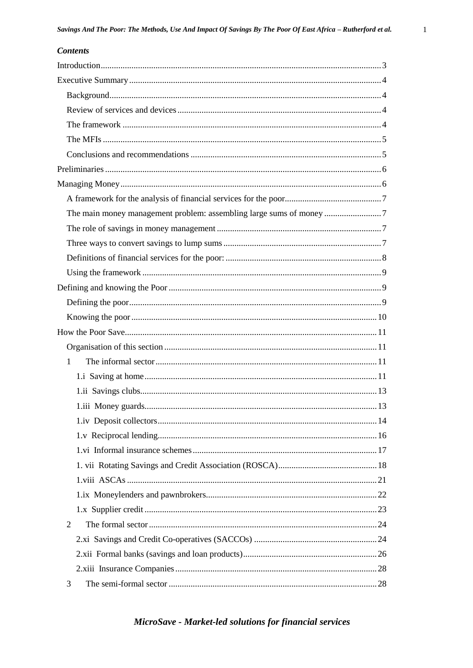| <b>Contents</b>                                                     |  |
|---------------------------------------------------------------------|--|
|                                                                     |  |
|                                                                     |  |
|                                                                     |  |
|                                                                     |  |
|                                                                     |  |
|                                                                     |  |
|                                                                     |  |
|                                                                     |  |
|                                                                     |  |
|                                                                     |  |
| The main money management problem: assembling large sums of money 7 |  |
|                                                                     |  |
|                                                                     |  |
|                                                                     |  |
|                                                                     |  |
|                                                                     |  |
|                                                                     |  |
|                                                                     |  |
|                                                                     |  |
|                                                                     |  |
| 1                                                                   |  |
|                                                                     |  |
|                                                                     |  |
|                                                                     |  |
|                                                                     |  |
|                                                                     |  |
|                                                                     |  |
|                                                                     |  |
|                                                                     |  |
|                                                                     |  |
|                                                                     |  |
| 2                                                                   |  |
|                                                                     |  |
|                                                                     |  |
|                                                                     |  |
| 3                                                                   |  |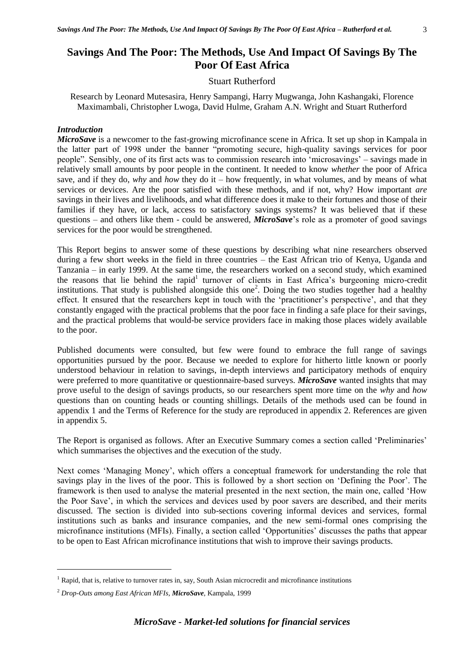#### Stuart Rutherford

Research by Leonard Mutesasira, Henry Sampangi, Harry Mugwanga, John Kashangaki, Florence Maximambali, Christopher Lwoga, David Hulme, Graham A.N. Wright and Stuart Rutherford

#### *Introduction*

*MicroSave* is a newcomer to the fast-growing microfinance scene in Africa. It set up shop in Kampala in the latter part of 1998 under the banner "promoting secure, high-quality savings services for poor people". Sensibly, one of its first acts was to commission research into 'microsavings' – savings made in relatively small amounts by poor people in the continent. It needed to know *whether* the poor of Africa save, and if they do, *why* and *how* they do it – how frequently, in what volumes, and by means of what services or devices. Are the poor satisfied with these methods, and if not, why? How important *are* savings in their lives and livelihoods, and what difference does it make to their fortunes and those of their families if they have, or lack, access to satisfactory savings systems? It was believed that if these questions – and others like them - could be answered, *MicroSave*'s role as a promoter of good savings services for the poor would be strengthened.

This Report begins to answer some of these questions by describing what nine researchers observed during a few short weeks in the field in three countries – the East African trio of Kenya, Uganda and Tanzania – in early 1999. At the same time, the researchers worked on a second study, which examined the reasons that lie behind the rapid<sup>1</sup> turnover of clients in East Africa's burgeoning micro-credit institutions. That study is published alongside this one<sup>2</sup>. Doing the two studies together had a healthy effect. It ensured that the researchers kept in touch with the 'practitioner's perspective', and that they constantly engaged with the practical problems that the poor face in finding a safe place for their savings, and the practical problems that would-be service providers face in making those places widely available to the poor.

Published documents were consulted, but few were found to embrace the full range of savings opportunities pursued by the poor. Because we needed to explore for hitherto little known or poorly understood behaviour in relation to savings, in-depth interviews and participatory methods of enquiry were preferred to more quantitative or questionnaire-based surveys. *MicroSave* wanted insights that may prove useful to the design of savings products, so our researchers spent more time on the *why* and *how* questions than on counting heads or counting shillings. Details of the methods used can be found in appendix 1 and the Terms of Reference for the study are reproduced in appendix 2. References are given in appendix 5.

The Report is organised as follows. After an Executive Summary comes a section called 'Preliminaries' which summarises the objectives and the execution of the study.

Next comes 'Managing Money', which offers a conceptual framework for understanding the role that savings play in the lives of the poor. This is followed by a short section on 'Defining the Poor'. The framework is then used to analyse the material presented in the next section, the main one, called 'How the Poor Save', in which the services and devices used by poor savers are described, and their merits discussed. The section is divided into sub-sections covering informal devices and services, formal institutions such as banks and insurance companies, and the new semi-formal ones comprising the microfinance institutions (MFIs). Finally, a section called 'Opportunities' discusses the paths that appear to be open to East African microfinance institutions that wish to improve their savings products.

1

<sup>&</sup>lt;sup>1</sup> Rapid, that is, relative to turnover rates in, say, South Asian microcredit and microfinance institutions

<sup>2</sup> *Drop-Outs among East African MFIs, MicroSave,* Kampala, 1999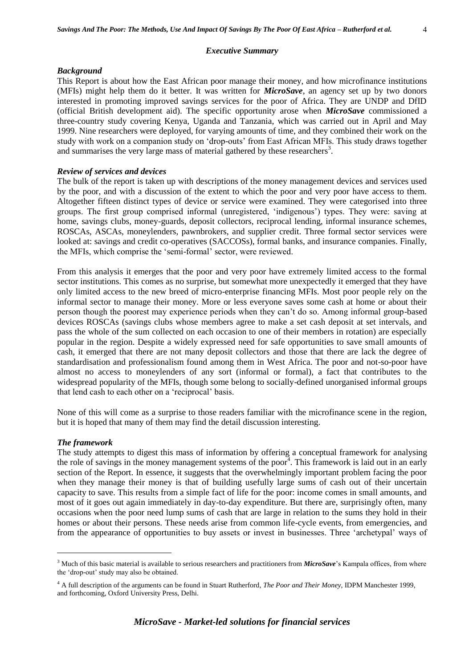#### *Background*

This Report is about how the East African poor manage their money, and how microfinance institutions (MFIs) might help them do it better. It was written for *MicroSave*, an agency set up by two donors interested in promoting improved savings services for the poor of Africa. They are UNDP and DfID (official British development aid). The specific opportunity arose when *MicroSave* commissioned a three-country study covering Kenya, Uganda and Tanzania, which was carried out in April and May 1999. Nine researchers were deployed, for varying amounts of time, and they combined their work on the study with work on a companion study on 'drop-outs' from East African MFIs. This study draws together and summarises the very large mass of material gathered by these researchers<sup>3</sup>.

#### *Review of services and devices*

The bulk of the report is taken up with descriptions of the money management devices and services used by the poor, and with a discussion of the extent to which the poor and very poor have access to them. Altogether fifteen distinct types of device or service were examined. They were categorised into three groups. The first group comprised informal (unregistered, 'indigenous') types. They were: saving at home, savings clubs, money-guards, deposit collectors, reciprocal lending, informal insurance schemes, ROSCAs, ASCAs, moneylenders, pawnbrokers, and supplier credit. Three formal sector services were looked at: savings and credit co-operatives (SACCOSs), formal banks, and insurance companies. Finally, the MFIs, which comprise the 'semi-formal' sector, were reviewed.

From this analysis it emerges that the poor and very poor have extremely limited access to the formal sector institutions. This comes as no surprise, but somewhat more unexpectedly it emerged that they have only limited access to the new breed of micro-enterprise financing MFIs. Most poor people rely on the informal sector to manage their money. More or less everyone saves some cash at home or about their person though the poorest may experience periods when they can't do so. Among informal group-based devices ROSCAs (savings clubs whose members agree to make a set cash deposit at set intervals, and pass the whole of the sum collected on each occasion to one of their members in rotation) are especially popular in the region. Despite a widely expressed need for safe opportunities to save small amounts of cash, it emerged that there are not many deposit collectors and those that there are lack the degree of standardisation and professionalism found among them in West Africa. The poor and not-so-poor have almost no access to moneylenders of any sort (informal or formal), a fact that contributes to the widespread popularity of the MFIs, though some belong to socially-defined unorganised informal groups that lend cash to each other on a 'reciprocal' basis.

None of this will come as a surprise to those readers familiar with the microfinance scene in the region, but it is hoped that many of them may find the detail discussion interesting.

#### *The framework*

<u>.</u>

The study attempts to digest this mass of information by offering a conceptual framework for analysing the role of savings in the money management systems of the poor<sup>4</sup>. This framework is laid out in an early section of the Report. In essence, it suggests that the overwhelmingly important problem facing the poor when they manage their money is that of building usefully large sums of cash out of their uncertain capacity to save. This results from a simple fact of life for the poor: income comes in small amounts, and most of it goes out again immediately in day-to-day expenditure. But there are, surprisingly often, many occasions when the poor need lump sums of cash that are large in relation to the sums they hold in their homes or about their persons. These needs arise from common life-cycle events, from emergencies, and from the appearance of opportunities to buy assets or invest in businesses. Three 'archetypal' ways of

<sup>&</sup>lt;sup>3</sup> Much of this basic material is available to serious researchers and practitioners from *MicroSave*'s Kampala offices, from where the 'drop-out' study may also be obtained.

<sup>4</sup> A full description of the arguments can be found in Stuart Rutherford, *The Poor and Their Money*, IDPM Manchester 1999, and forthcoming, Oxford University Press, Delhi.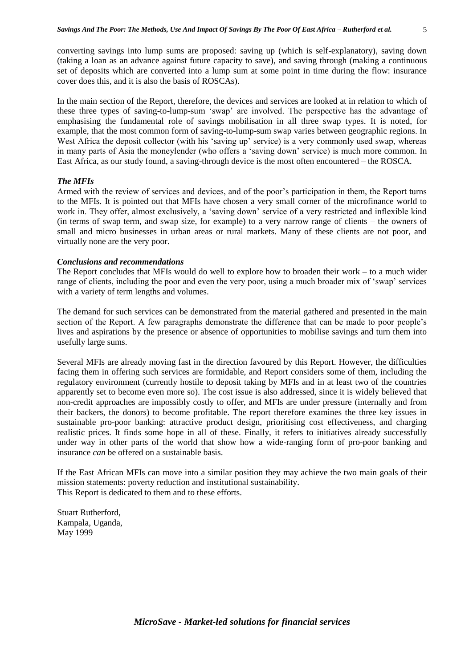converting savings into lump sums are proposed: saving up (which is self-explanatory), saving down (taking a loan as an advance against future capacity to save), and saving through (making a continuous set of deposits which are converted into a lump sum at some point in time during the flow: insurance cover does this, and it is also the basis of ROSCAs).

In the main section of the Report, therefore, the devices and services are looked at in relation to which of these three types of saving-to-lump-sum 'swap' are involved. The perspective has the advantage of emphasising the fundamental role of savings mobilisation in all three swap types. It is noted, for example, that the most common form of saving-to-lump-sum swap varies between geographic regions. In West Africa the deposit collector (with his 'saving up' service) is a very commonly used swap, whereas in many parts of Asia the moneylender (who offers a 'saving down' service) is much more common. In East Africa, as our study found, a saving-through device is the most often encountered – the ROSCA.

# *The MFIs*

Armed with the review of services and devices, and of the poor's participation in them, the Report turns to the MFIs. It is pointed out that MFIs have chosen a very small corner of the microfinance world to work in. They offer, almost exclusively, a 'saving down' service of a very restricted and inflexible kind (in terms of swap term, and swap size, for example) to a very narrow range of clients – the owners of small and micro businesses in urban areas or rural markets. Many of these clients are not poor, and virtually none are the very poor.

# *Conclusions and recommendations*

The Report concludes that MFIs would do well to explore how to broaden their work – to a much wider range of clients, including the poor and even the very poor, using a much broader mix of 'swap' services with a variety of term lengths and volumes.

The demand for such services can be demonstrated from the material gathered and presented in the main section of the Report. A few paragraphs demonstrate the difference that can be made to poor people's lives and aspirations by the presence or absence of opportunities to mobilise savings and turn them into usefully large sums.

Several MFIs are already moving fast in the direction favoured by this Report. However, the difficulties facing them in offering such services are formidable, and Report considers some of them, including the regulatory environment (currently hostile to deposit taking by MFIs and in at least two of the countries apparently set to become even more so). The cost issue is also addressed, since it is widely believed that non-credit approaches are impossibly costly to offer, and MFIs are under pressure (internally and from their backers, the donors) to become profitable. The report therefore examines the three key issues in sustainable pro-poor banking: attractive product design, prioritising cost effectiveness, and charging realistic prices. It finds some hope in all of these. Finally, it refers to initiatives already successfully under way in other parts of the world that show how a wide-ranging form of pro-poor banking and insurance *can* be offered on a sustainable basis.

If the East African MFIs can move into a similar position they may achieve the two main goals of their mission statements: poverty reduction and institutional sustainability. This Report is dedicated to them and to these efforts.

Stuart Rutherford, Kampala, Uganda, May 1999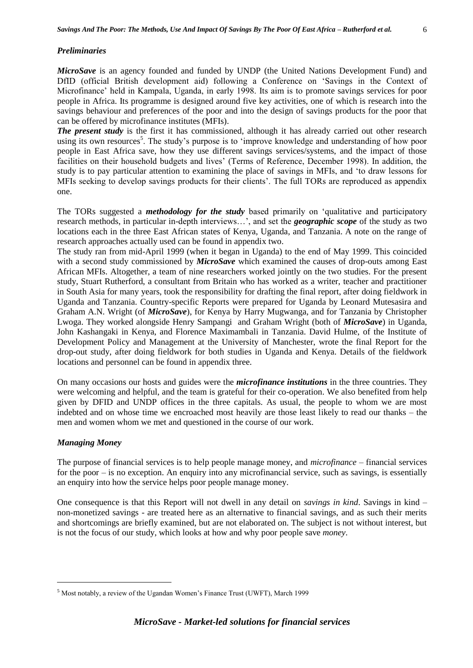#### *Preliminaries*

*MicroSave* is an agency founded and funded by UNDP (the United Nations Development Fund) and DfID (official British development aid) following a Conference on 'Savings in the Context of Microfinance' held in Kampala, Uganda, in early 1998. Its aim is to promote savings services for poor people in Africa. Its programme is designed around five key activities, one of which is research into the savings behaviour and preferences of the poor and into the design of savings products for the poor that can be offered by microfinance institutes (MFIs).

*The present study* is the first it has commissioned, although it has already carried out other research using its own resources<sup>5</sup>. The study's purpose is to 'improve knowledge and understanding of how poor people in East Africa save, how they use different savings services/systems, and the impact of those facilities on their household budgets and lives' (Terms of Reference, December 1998). In addition, the study is to pay particular attention to examining the place of savings in MFIs, and 'to draw lessons for MFIs seeking to develop savings products for their clients'. The full TORs are reproduced as appendix one.

The TORs suggested a *methodology for the study* based primarily on 'qualitative and participatory research methods, in particular in-depth interviews…', and set the *geographic scope* of the study as two locations each in the three East African states of Kenya, Uganda, and Tanzania. A note on the range of research approaches actually used can be found in appendix two.

The study ran from mid-April 1999 (when it began in Uganda) to the end of May 1999. This coincided with a second study commissioned by *MicroSave* which examined the causes of drop-outs among East African MFIs. Altogether, a team of nine researchers worked jointly on the two studies. For the present study, Stuart Rutherford, a consultant from Britain who has worked as a writer, teacher and practitioner in South Asia for many years, took the responsibility for drafting the final report, after doing fieldwork in Uganda and Tanzania. Country-specific Reports were prepared for Uganda by Leonard Mutesasira and Graham A.N. Wright (of *MicroSave*), for Kenya by Harry Mugwanga, and for Tanzania by Christopher Lwoga. They worked alongside Henry Sampangi and Graham Wright (both of *MicroSave*) in Uganda, John Kashangaki in Kenya, and Florence Maximambali in Tanzania. David Hulme, of the Institute of Development Policy and Management at the University of Manchester, wrote the final Report for the drop-out study, after doing fieldwork for both studies in Uganda and Kenya. Details of the fieldwork locations and personnel can be found in appendix three.

On many occasions our hosts and guides were the *microfinance institutions* in the three countries. They were welcoming and helpful, and the team is grateful for their co-operation. We also benefited from help given by DFID and UNDP offices in the three capitals. As usual, the people to whom we are most indebted and on whose time we encroached most heavily are those least likely to read our thanks – the men and women whom we met and questioned in the course of our work.

#### *Managing Money*

1

The purpose of financial services is to help people manage money, and *microfinance* – financial services for the poor – is no exception. An enquiry into any microfinancial service, such as savings, is essentially an enquiry into how the service helps poor people manage money.

One consequence is that this Report will not dwell in any detail on *savings in kind*. Savings in kind – non-monetized savings - are treated here as an alternative to financial savings, and as such their merits and shortcomings are briefly examined, but are not elaborated on. The subject is not without interest, but is not the focus of our study, which looks at how and why poor people save *money*.

<sup>5</sup> Most notably, a review of the Ugandan Women's Finance Trust (UWFT), March 1999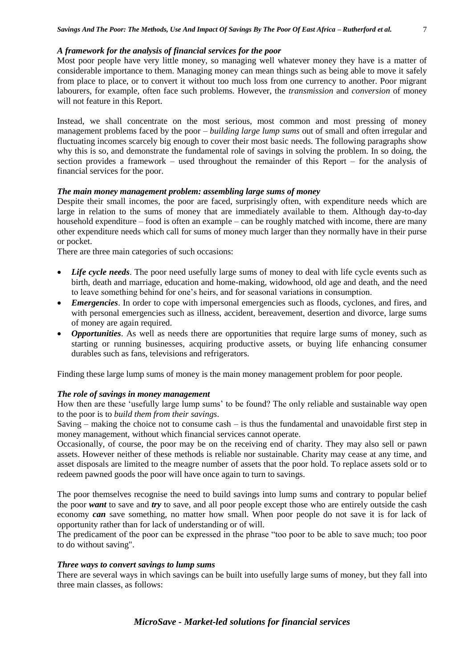#### *A framework for the analysis of financial services for the poor*

Most poor people have very little money, so managing well whatever money they have is a matter of considerable importance to them. Managing money can mean things such as being able to move it safely from place to place, or to convert it without too much loss from one currency to another. Poor migrant labourers, for example, often face such problems. However, the *transmission* and *conversion* of money will not feature in this Report.

Instead, we shall concentrate on the most serious, most common and most pressing of money management problems faced by the poor – *building large lump sums* out of small and often irregular and fluctuating incomes scarcely big enough to cover their most basic needs. The following paragraphs show why this is so, and demonstrate the fundamental role of savings in solving the problem. In so doing, the section provides a framework – used throughout the remainder of this Report – for the analysis of financial services for the poor.

#### *The main money management problem: assembling large sums of money*

Despite their small incomes, the poor are faced, surprisingly often, with expenditure needs which are large in relation to the sums of money that are immediately available to them. Although day-to-day household expenditure – food is often an example – can be roughly matched with income, there are many other expenditure needs which call for sums of money much larger than they normally have in their purse or pocket.

There are three main categories of such occasions:

- Life cycle needs. The poor need usefully large sums of money to deal with life cycle events such as birth, death and marriage, education and home-making, widowhood, old age and death, and the need to leave something behind for one's heirs, and for seasonal variations in consumption.
- *Emergencies*. In order to cope with impersonal emergencies such as floods, cyclones, and fires, and with personal emergencies such as illness, accident, bereavement, desertion and divorce, large sums of money are again required.
- *Opportunities*. As well as needs there are opportunities that require large sums of money, such as starting or running businesses, acquiring productive assets, or buying life enhancing consumer durables such as fans, televisions and refrigerators.

Finding these large lump sums of money is the main money management problem for poor people.

# *The role of savings in money management*

How then are these 'usefully large lump sums' to be found? The only reliable and sustainable way open to the poor is to *build them from their savings*.

Saving – making the choice not to consume cash – is thus the fundamental and unavoidable first step in money management, without which financial services cannot operate.

Occasionally, of course, the poor may be on the receiving end of charity. They may also sell or pawn assets. However neither of these methods is reliable nor sustainable. Charity may cease at any time, and asset disposals are limited to the meagre number of assets that the poor hold. To replace assets sold or to redeem pawned goods the poor will have once again to turn to savings.

The poor themselves recognise the need to build savings into lump sums and contrary to popular belief the poor *want* to save and *try* to save, and all poor people except those who are entirely outside the cash economy *can* save something, no matter how small. When poor people do not save it is for lack of opportunity rather than for lack of understanding or of will.

The predicament of the poor can be expressed in the phrase "too poor to be able to save much; too poor to do without saving".

#### *Three ways to convert savings to lump sums*

There are several ways in which savings can be built into usefully large sums of money, but they fall into three main classes, as follows: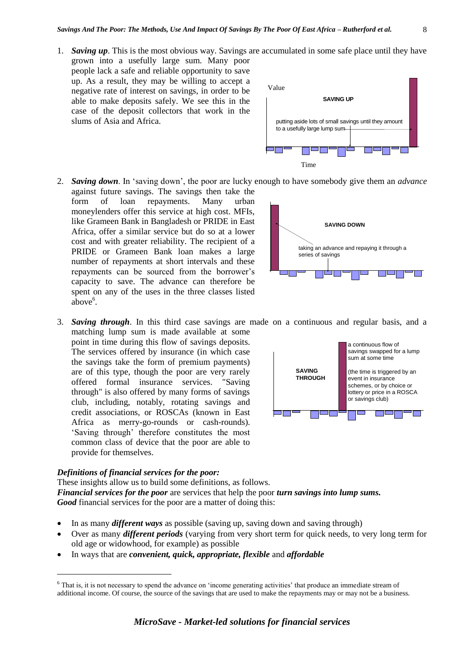- 1. *Saving up*. This is the most obvious way. Savings are accumulated in some safe place until they have grown into a usefully large sum. Many poor people lack a safe and reliable opportunity to save up. As a result, they may be willing to accept a negative rate of interest on savings, in order to be able to make deposits safely. We see this in the case of the deposit collectors that work in the slums of Asia and Africa.
- 2. *Saving down*. In 'saving down', the poor are lucky enough to have somebody give them an *advance* against future savings. The savings then take the form of loan repayments. Many urban moneylenders offer this service at high cost. MFIs, like Grameen Bank in Bangladesh or PRIDE in East Africa, offer a similar service but do so at a lower cost and with greater reliability. The recipient of a PRIDE or Grameen Bank loan makes a large number of repayments at short intervals and these repayments can be sourced from the borrower's capacity to save. The advance can therefore be spent on any of the uses in the three classes listed above<sup>6</sup>. **SAVING DOWN** series of savings
- 3. *Saving through*. In this third case savings are made on a continuous and regular basis, and a

matching lump sum is made available at some point in time during this flow of savings deposits. The services offered by insurance (in which case the savings take the form of premium payments) are of this type, though the poor are very rarely offered formal insurance services. "Saving through" is also offered by many forms of savings club, including, notably, rotating savings and credit associations, or ROSCAs (known in East Africa as merry-go-rounds or cash-rounds). 'Saving through' therefore constitutes the most common class of device that the poor are able to provide for themselves.

#### *Definitions of financial services for the poor:*

1

These insights allow us to build some definitions, as follows. *Financial services for the poor* are services that help the poor *turn savings into lump sums. Good* financial services for the poor are a matter of doing this:

- In as many *different ways* as possible (saving up, saving down and saving through)
- Over as many *different periods* (varying from very short term for quick needs, to very long term for old age or widowhood, for example) as possible
- In ways that are *convenient, quick, appropriate, flexible* and *affordable*







<sup>&</sup>lt;sup>6</sup> That is, it is not necessary to spend the advance on 'income generating activities' that produce an immediate stream of additional income. Of course, the source of the savings that are used to make the repayments may or may not be a business.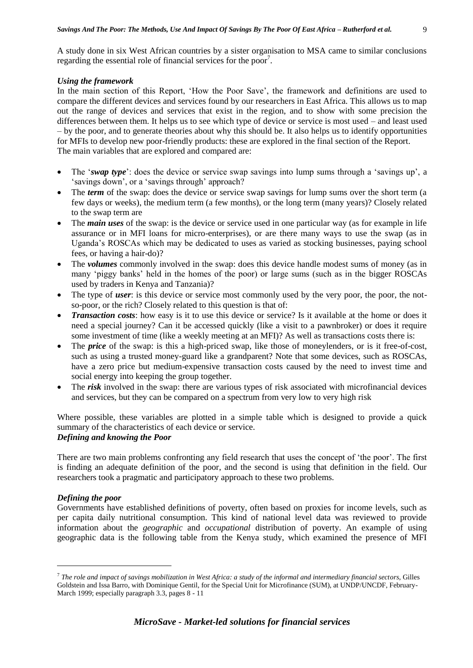A study done in six West African countries by a sister organisation to MSA came to similar conclusions regarding the essential role of financial services for the poor<sup>7</sup>.

#### *Using the framework*

In the main section of this Report, 'How the Poor Save', the framework and definitions are used to compare the different devices and services found by our researchers in East Africa. This allows us to map out the range of devices and services that exist in the region, and to show with some precision the differences between them. It helps us to see which type of device or service is most used – and least used – by the poor, and to generate theories about why this should be. It also helps us to identify opportunities for MFIs to develop new poor-friendly products: these are explored in the final section of the Report. The main variables that are explored and compared are:

- The '*swap type*': does the device or service swap savings into lump sums through a 'savings up', a 'savings down', or a 'savings through' approach?
- The *term* of the swap: does the device or service swap savings for lump sums over the short term (a few days or weeks), the medium term (a few months), or the long term (many years)? Closely related to the swap term are
- The *main uses* of the swap: is the device or service used in one particular way (as for example in life assurance or in MFI loans for micro-enterprises), or are there many ways to use the swap (as in Uganda's ROSCAs which may be dedicated to uses as varied as stocking businesses, paying school fees, or having a hair-do)?
- The *volumes* commonly involved in the swap: does this device handle modest sums of money (as in many 'piggy banks' held in the homes of the poor) or large sums (such as in the bigger ROSCAs used by traders in Kenya and Tanzania)?
- The type of *user*: is this device or service most commonly used by the very poor, the poor, the notso-poor, or the rich? Closely related to this question is that of:
- *Transaction costs*: how easy is it to use this device or service? Is it available at the home or does it need a special journey? Can it be accessed quickly (like a visit to a pawnbroker) or does it require some investment of time (like a weekly meeting at an MFI)? As well as transactions costs there is:
- The *price* of the swap: is this a high-priced swap, like those of moneylenders, or is it free-of-cost, such as using a trusted money-guard like a grandparent? Note that some devices, such as ROSCAs, have a zero price but medium-expensive transaction costs caused by the need to invest time and social energy into keeping the group together.
- The *risk* involved in the swap: there are various types of risk associated with microfinancial devices and services, but they can be compared on a spectrum from very low to very high risk

Where possible, these variables are plotted in a simple table which is designed to provide a quick summary of the characteristics of each device or service. *Defining and knowing the Poor*

There are two main problems confronting any field research that uses the concept of 'the poor'. The first is finding an adequate definition of the poor, and the second is using that definition in the field. Our researchers took a pragmatic and participatory approach to these two problems.

# *Defining the poor*

1

Governments have established definitions of poverty, often based on proxies for income levels, such as per capita daily nutritional consumption. This kind of national level data was reviewed to provide information about the *geographic* and *occupational* distribution of poverty. An example of using geographic data is the following table from the Kenya study, which examined the presence of MFI

9

 $^7$  The role and impact of savings mobilization in West Africa: a study of the informal and intermediary financial sectors, Gilles Goldstein and Issa Barro, with Dominique Gentil, for the Special Unit for Microfinance (SUM), at UNDP/UNCDF, February-March 1999; especially paragraph 3.3, pages 8 - 11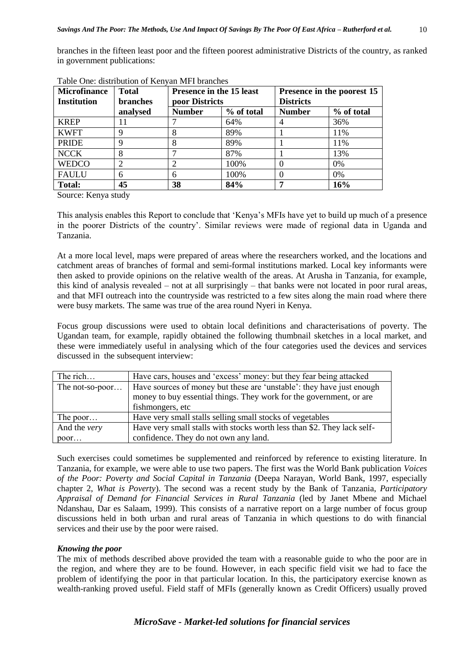branches in the fifteen least poor and the fifteen poorest administrative Districts of the country, as ranked in government publications:

| <b>Microfinance</b><br><b>Institution</b> | <b>Total</b><br><b>branches</b> | <b>Presence in the 15 least</b><br>poor Districts |            | Presence in the poorest 15<br><b>Districts</b> |            |
|-------------------------------------------|---------------------------------|---------------------------------------------------|------------|------------------------------------------------|------------|
|                                           | analysed                        | <b>Number</b>                                     | % of total | <b>Number</b>                                  | % of total |
| <b>KREP</b>                               | П                               |                                                   | 64%        |                                                | 36%        |
| <b>KWFT</b>                               |                                 |                                                   | 89%        |                                                | 11%        |
| <b>PRIDE</b>                              |                                 | 8                                                 | 89%        |                                                | 11%        |
| <b>NCCK</b>                               |                                 |                                                   | 87%        |                                                | 13%        |
| <b>WEDCO</b>                              |                                 | 2                                                 | 100\%      |                                                | $0\%$      |
| <b>FAULU</b>                              | 6                               | 6                                                 | 100%       |                                                | $0\%$      |
| <b>Total:</b>                             | 45                              | 38                                                | 84%        |                                                | 16%        |

| Table One: distribution of Kenyan MFI branches |  |
|------------------------------------------------|--|
|------------------------------------------------|--|

Source: Kenya study

This analysis enables this Report to conclude that 'Kenya's MFIs have yet to build up much of a presence in the poorer Districts of the country'. Similar reviews were made of regional data in Uganda and Tanzania.

At a more local level, maps were prepared of areas where the researchers worked, and the locations and catchment areas of branches of formal and semi-formal institutions marked. Local key informants were then asked to provide opinions on the relative wealth of the areas. At Arusha in Tanzania, for example, this kind of analysis revealed – not at all surprisingly – that banks were not located in poor rural areas, and that MFI outreach into the countryside was restricted to a few sites along the main road where there were busy markets. The same was true of the area round Nyeri in Kenya.

Focus group discussions were used to obtain local definitions and characterisations of poverty. The Ugandan team, for example, rapidly obtained the following thumbnail sketches in a local market, and these were immediately useful in analysing which of the four categories used the devices and services discussed in the subsequent interview:

| The rich            | Have cars, houses and 'excess' money: but they fear being attacked      |  |  |
|---------------------|-------------------------------------------------------------------------|--|--|
| The not-so-poor     | Have sources of money but these are 'unstable': they have just enough   |  |  |
|                     | money to buy essential things. They work for the government, or are     |  |  |
|                     | fishmongers, etc.                                                       |  |  |
| The poor            | Have very small stalls selling small stocks of vegetables               |  |  |
| And the <i>very</i> | Have very small stalls with stocks worth less than \$2. They lack self- |  |  |
| poor                | confidence. They do not own any land.                                   |  |  |

Such exercises could sometimes be supplemented and reinforced by reference to existing literature. In Tanzania, for example, we were able to use two papers. The first was the World Bank publication *Voices of the Poor: Poverty and Social Capital in Tanzania* (Deepa Narayan, World Bank, 1997, especially chapter 2, *What is Poverty*). The second was a recent study by the Bank of Tanzania, *Participatory Appraisal of Demand for Financial Services in Rural Tanzania* (led by Janet Mbene and Michael Ndanshau, Dar es Salaam, 1999). This consists of a narrative report on a large number of focus group discussions held in both urban and rural areas of Tanzania in which questions to do with financial services and their use by the poor were raised.

#### *Knowing the poor*

The mix of methods described above provided the team with a reasonable guide to who the poor are in the region, and where they are to be found. However, in each specific field visit we had to face the problem of identifying the poor in that particular location. In this, the participatory exercise known as wealth-ranking proved useful. Field staff of MFIs (generally known as Credit Officers) usually proved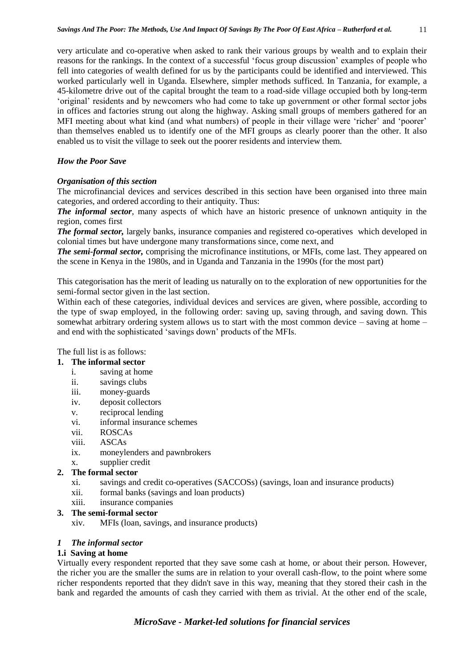very articulate and co-operative when asked to rank their various groups by wealth and to explain their reasons for the rankings. In the context of a successful 'focus group discussion' examples of people who fell into categories of wealth defined for us by the participants could be identified and interviewed. This worked particularly well in Uganda. Elsewhere, simpler methods sufficed. In Tanzania, for example, a 45-kilometre drive out of the capital brought the team to a road-side village occupied both by long-term 'original' residents and by newcomers who had come to take up government or other formal sector jobs in offices and factories strung out along the highway. Asking small groups of members gathered for an MFI meeting about what kind (and what numbers) of people in their village were 'richer' and 'poorer' than themselves enabled us to identify one of the MFI groups as clearly poorer than the other. It also enabled us to visit the village to seek out the poorer residents and interview them.

# *How the Poor Save*

# *Organisation of this section*

The microfinancial devices and services described in this section have been organised into three main categories, and ordered according to their antiquity. Thus:

*The informal sector*, many aspects of which have an historic presence of unknown antiquity in the region, comes first

*The formal sector,* largely banks, insurance companies and registered co-operatives which developed in colonial times but have undergone many transformations since, come next, and

*The semi-formal sector,* comprising the microfinance institutions, or MFIs, come last. They appeared on the scene in Kenya in the 1980s, and in Uganda and Tanzania in the 1990s (for the most part)

This categorisation has the merit of leading us naturally on to the exploration of new opportunities for the semi-formal sector given in the last section.

Within each of these categories, individual devices and services are given, where possible, according to the type of swap employed, in the following order: saving up, saving through, and saving down. This somewhat arbitrary ordering system allows us to start with the most common device – saving at home – and end with the sophisticated 'savings down' products of the MFIs.

The full list is as follows:

# **1. The informal sector**

- i. saving at home
- ii. savings clubs
- iii. money-guards
- iv. deposit collectors
- v. reciprocal lending
- vi. informal insurance schemes
- vii. ROSCAs
- viii. ASCAs
- ix. moneylenders and pawnbrokers
- x. supplier credit

# **2. The formal sector**

- xi. savings and credit co-operatives (SACCOSs) (savings, loan and insurance products)
- xii. formal banks (savings and loan products)
- xiii. insurance companies

# **3. The semi-formal sector**

xiv. MFIs (loan, savings, and insurance products)

# *1 The informal sector*

# **1.i Saving at home**

Virtually every respondent reported that they save some cash at home, or about their person. However, the richer you are the smaller the sums are in relation to your overall cash-flow, to the point where some richer respondents reported that they didn't save in this way, meaning that they stored their cash in the bank and regarded the amounts of cash they carried with them as trivial. At the other end of the scale,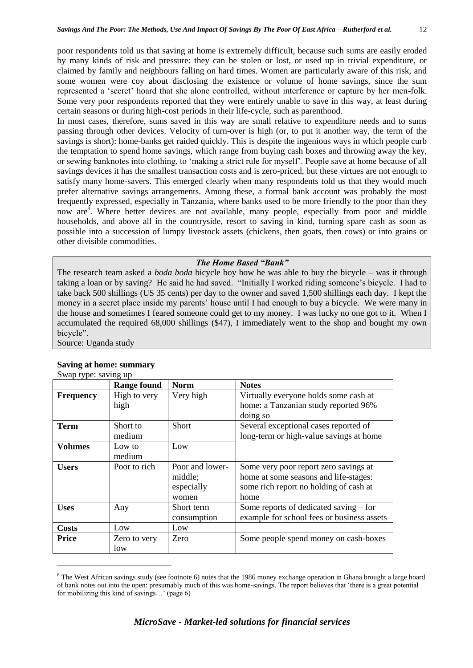poor respondents told us that saving at home is extremely difficult, because such sums are easily eroded by many kinds of risk and pressure: they can be stolen or lost, or used up in trivial expenditure, or claimed by family and neighbours falling on hard times. Women are particularly aware of this risk, and some women were coy about disclosing the existence or volume of home savings, since the sum represented a 'secret' hoard that she alone controlled, without interference or capture by her men-folk. Some very poor respondents reported that they were entirely unable to save in this way, at least during certain seasons or during high-cost periods in their life-cycle, such as parenthood.

In most cases, therefore, sums saved in this way are small relative to expenditure needs and to sums passing through other devices. Velocity of turn-over is high (or, to put it another way, the term of the savings is short): home-banks get raided quickly. This is despite the ingenious ways in which people curb the temptation to spend home savings, which range from buying cash boxes and throwing away the key, or sewing banknotes into clothing, to 'making a strict rule for myself'. People save at home because of all savings devices it has the smallest transaction costs and is zero-priced, but these virtues are not enough to satisfy many home-savers. This emerged clearly when many respondents told us that they would much prefer alternative savings arrangements. Among these, a formal bank account was probably the most frequently expressed, especially in Tanzania, where banks used to be more friendly to the poor than they now are<sup>8</sup>. Where better devices are not available, many people, especially from poor and middle households, and above all in the countryside, resort to saving in kind, turning spare cash as soon as possible into a succession of lumpy livestock assets (chickens, then goats, then cows) or into grains or other divisible commodities.

#### *The Home Based "Bank"*

The research team asked a *boda boda* bicycle boy how he was able to buy the bicycle – was it through taking a loan or by saving? He said he had saved. "Initially I worked riding someone's bicycle. I had to take back 500 shillings (US 35 cents) per day to the owner and saved 1,500 shillings each day. I kept the money in a secret place inside my parents' house until I had enough to buy a bicycle. We were many in the house and sometimes I feared someone could get to my money. I was lucky no one got to it. When I accumulated the required 68,000 shillings (\$47), I immediately went to the shop and bought my own bicycle".

Source: Uganda study

1

|                  | <b>Range found</b>   | <b>Norm</b>                                       | <b>Notes</b>                                                                                                                     |
|------------------|----------------------|---------------------------------------------------|----------------------------------------------------------------------------------------------------------------------------------|
| <b>Frequency</b> | High to very<br>high | Very high                                         | Virtually everyone holds some cash at<br>home: a Tanzanian study reported 96%<br>doing so                                        |
| <b>Term</b>      | Short to<br>medium   | <b>Short</b>                                      | Several exceptional cases reported of<br>long-term or high-value savings at home                                                 |
| <b>Volumes</b>   | Low to<br>medium     | Low                                               |                                                                                                                                  |
| <b>Users</b>     | Poor to rich         | Poor and lower-<br>middle;<br>especially<br>women | Some very poor report zero savings at<br>home at some seasons and life-stages:<br>some rich report no holding of cash at<br>home |
| <b>Uses</b>      | Any                  | Short term<br>consumption                         | Some reports of dedicated saving – for<br>example for school fees or business assets                                             |
| <b>Costs</b>     | Low                  | Low                                               |                                                                                                                                  |
| <b>Price</b>     | Zero to very<br>low  | Zero                                              | Some people spend money on cash-boxes                                                                                            |

#### **Saving at home: summary** Swap type: saving up

<sup>&</sup>lt;sup>8</sup> The West African savings study (see footnote 6) notes that the 1986 money exchange operation in Ghana brought a large hoard of bank notes out into the open: presumably much of this was home-savings. The report believes that 'there is a great potential for mobilizing this kind of savings…' (page 6)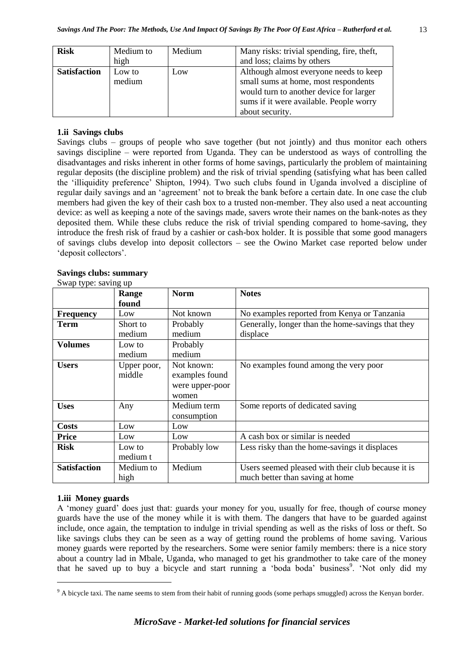| <b>Risk</b>         | Medium to | Medium | Many risks: trivial spending, fire, theft, |
|---------------------|-----------|--------|--------------------------------------------|
|                     | high      |        | and loss; claims by others                 |
| <b>Satisfaction</b> | Low to    | Low    | Although almost everyone needs to keep     |
|                     | medium    |        | small sums at home, most respondents       |
|                     |           |        | would turn to another device for larger    |
|                     |           |        | sums if it were available. People worry    |
|                     |           |        | about security.                            |

#### **1.ii Savings clubs**

Savings clubs – groups of people who save together (but not jointly) and thus monitor each others savings discipline – were reported from Uganda. They can be understood as ways of controlling the disadvantages and risks inherent in other forms of home savings, particularly the problem of maintaining regular deposits (the discipline problem) and the risk of trivial spending (satisfying what has been called the 'illiquidity preference' Shipton, 1994). Two such clubs found in Uganda involved a discipline of regular daily savings and an 'agreement' not to break the bank before a certain date. In one case the club members had given the key of their cash box to a trusted non-member. They also used a neat accounting device: as well as keeping a note of the savings made, savers wrote their names on the bank-notes as they deposited them. While these clubs reduce the risk of trivial spending compared to home-saving, they introduce the fresh risk of fraud by a cashier or cash-box holder. It is possible that some good managers of savings clubs develop into deposit collectors – see the Owino Market case reported below under 'deposit collectors'.

#### **Savings clubs: summary**

| $\omega$ wap type. Suving up |             |                 |                                                    |
|------------------------------|-------------|-----------------|----------------------------------------------------|
|                              | Range       | <b>Norm</b>     | <b>Notes</b>                                       |
|                              | found       |                 |                                                    |
| <b>Frequency</b>             | Low         | Not known       | No examples reported from Kenya or Tanzania        |
| <b>Term</b>                  | Short to    | Probably        | Generally, longer than the home-savings that they  |
|                              | medium      | medium          | displace                                           |
| <b>Volumes</b>               | Low to      | Probably        |                                                    |
|                              | medium      | medium          |                                                    |
| <b>Users</b>                 | Upper poor, | Not known:      | No examples found among the very poor              |
|                              | middle      | examples found  |                                                    |
|                              |             | were upper-poor |                                                    |
|                              |             | women           |                                                    |
| <b>Uses</b>                  | Any         | Medium term     | Some reports of dedicated saving                   |
|                              |             | consumption     |                                                    |
| <b>Costs</b>                 | Low         | Low             |                                                    |
| <b>Price</b>                 | Low         | Low             | A cash box or similar is needed                    |
| <b>Risk</b>                  | Low to      | Probably low    | Less risky than the home-savings it displaces      |
|                              | medium t    |                 |                                                    |
| <b>Satisfaction</b>          | Medium to   | Medium          | Users seemed pleased with their club because it is |
|                              | high        |                 | much better than saving at home                    |

Swap type: saving up

# **1.iii Money guards**

1

A 'money guard' does just that: guards your money for you, usually for free, though of course money guards have the use of the money while it is with them. The dangers that have to be guarded against include, once again, the temptation to indulge in trivial spending as well as the risks of loss or theft. So like savings clubs they can be seen as a way of getting round the problems of home saving. Various money guards were reported by the researchers. Some were senior family members: there is a nice story about a country lad in Mbale, Uganda, who managed to get his grandmother to take care of the money that he saved up to buy a bicycle and start running a 'boda boda' business<sup>9</sup>. 'Not only did my

<sup>&</sup>lt;sup>9</sup> A bicycle taxi. The name seems to stem from their habit of running goods (some perhaps smuggled) across the Kenyan border.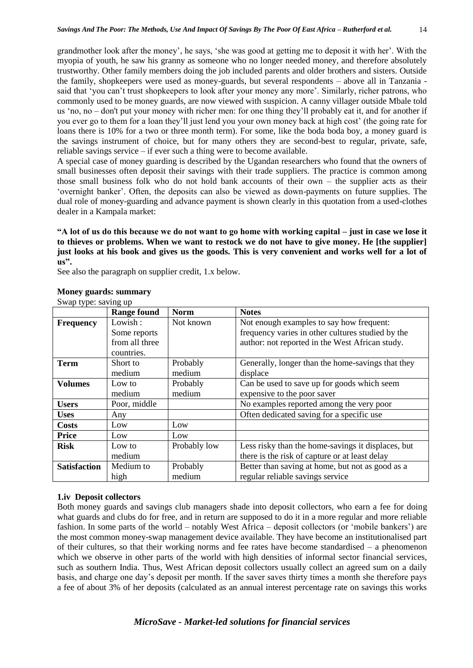grandmother look after the money', he says, 'she was good at getting me to deposit it with her'. With the myopia of youth, he saw his granny as someone who no longer needed money, and therefore absolutely trustworthy. Other family members doing the job included parents and older brothers and sisters. Outside the family, shopkeepers were used as money-guards, but several respondents – above all in Tanzania said that 'you can't trust shopkeepers to look after your money any more'. Similarly, richer patrons, who commonly used to be money guards, are now viewed with suspicion. A canny villager outside Mbale told us 'no, no – don't put your money with richer men: for one thing they'll probably eat it, and for another if you ever go to them for a loan they'll just lend you your own money back at high cost' (the going rate for loans there is 10% for a two or three month term). For some, like the boda boda boy, a money guard is the savings instrument of choice, but for many others they are second-best to regular, private, safe, reliable savings service – if ever such a thing were to become available.

A special case of money guarding is described by the Ugandan researchers who found that the owners of small businesses often deposit their savings with their trade suppliers. The practice is common among those small business folk who do not hold bank accounts of their own – the supplier acts as their 'overnight banker'. Often, the deposits can also be viewed as down-payments on future supplies. The dual role of money-guarding and advance payment is shown clearly in this quotation from a used-clothes dealer in a Kampala market:

**"A lot of us do this because we do not want to go home with working capital – just in case we lose it to thieves or problems. When we want to restock we do not have to give money. He [the supplier] just looks at his book and gives us the goods. This is very convenient and works well for a lot of us".**

See also the paragraph on supplier credit, 1.x below.

| $\cup$ wap type. $\frac{1}{2}$ which $\frac{1}{2}$ up | <b>Range found</b> | <b>Norm</b>  | <b>Notes</b>                                       |
|-------------------------------------------------------|--------------------|--------------|----------------------------------------------------|
| <b>Frequency</b>                                      | Lowish:            | Not known    | Not enough examples to say how frequent:           |
|                                                       | Some reports       |              | frequency varies in other cultures studied by the  |
|                                                       | from all three     |              | author: not reported in the West African study.    |
|                                                       | countries.         |              |                                                    |
| <b>Term</b>                                           | Short to           | Probably     | Generally, longer than the home-savings that they  |
|                                                       | medium             | medium       | displace                                           |
| <b>Volumes</b>                                        | Low to             | Probably     | Can be used to save up for goods which seem        |
|                                                       | medium             | medium       | expensive to the poor saver                        |
| <b>Users</b>                                          | Poor, middle       |              | No examples reported among the very poor           |
| <b>Uses</b>                                           | Any                |              | Often dedicated saving for a specific use          |
| <b>Costs</b>                                          | Low                | Low          |                                                    |
| <b>Price</b>                                          | Low                | Low          |                                                    |
| <b>Risk</b>                                           | Low to             | Probably low | Less risky than the home-savings it displaces, but |
|                                                       | medium             |              | there is the risk of capture or at least delay     |
| <b>Satisfaction</b>                                   | Medium to          | Probably     | Better than saving at home, but not as good as a   |
|                                                       | high               | medium       | regular reliable savings service                   |

#### **Money guards: summary** Swap type: saving up

# **1.iv Deposit collectors**

Both money guards and savings club managers shade into deposit collectors, who earn a fee for doing what guards and clubs do for free, and in return are supposed to do it in a more regular and more reliable fashion. In some parts of the world – notably West Africa – deposit collectors (or 'mobile bankers') are the most common money-swap management device available. They have become an institutionalised part of their cultures, so that their working norms and fee rates have become standardised – a phenomenon which we observe in other parts of the world with high densities of informal sector financial services, such as southern India. Thus, West African deposit collectors usually collect an agreed sum on a daily basis, and charge one day's deposit per month. If the saver saves thirty times a month she therefore pays a fee of about 3% of her deposits (calculated as an annual interest percentage rate on savings this works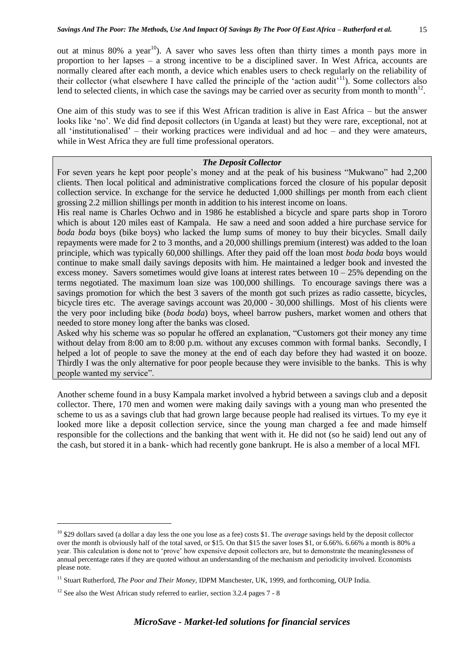out at minus  $80\%$  a year<sup>10</sup>). A saver who saves less often than thirty times a month pays more in proportion to her lapses – a strong incentive to be a disciplined saver. In West Africa, accounts are normally cleared after each month, a device which enables users to check regularly on the reliability of their collector (what elsewhere I have called the principle of the 'action audit'<sup>11</sup>). Some collectors also lend to selected clients, in which case the savings may be carried over as security from month to month<sup>12</sup>.

One aim of this study was to see if this West African tradition is alive in East Africa – but the answer looks like 'no'. We did find deposit collectors (in Uganda at least) but they were rare, exceptional, not at all 'institutionalised' – their working practices were individual and ad hoc – and they were amateurs, while in West Africa they are full time professional operators.

#### *The Deposit Collector*

For seven years he kept poor people's money and at the peak of his business "Mukwano" had 2,200 clients. Then local political and administrative complications forced the closure of his popular deposit collection service. In exchange for the service he deducted 1,000 shillings per month from each client grossing 2.2 million shillings per month in addition to his interest income on loans.

His real name is Charles Ochwo and in 1986 he established a bicycle and spare parts shop in Tororo which is about 120 miles east of Kampala. He saw a need and soon added a hire purchase service for *boda boda* boys (bike boys) who lacked the lump sums of money to buy their bicycles. Small daily repayments were made for 2 to 3 months, and a 20,000 shillings premium (interest) was added to the loan principle, which was typically 60,000 shillings. After they paid off the loan most *boda boda* boys would continue to make small daily savings deposits with him. He maintained a ledger book and invested the excess money. Savers sometimes would give loans at interest rates between  $10 - 25%$  depending on the terms negotiated. The maximum loan size was 100,000 shillings. To encourage savings there was a savings promotion for which the best 3 savers of the month got such prizes as radio cassette, bicycles, bicycle tires etc. The average savings account was 20,000 - 30,000 shillings. Most of his clients were the very poor including bike (*boda boda*) boys, wheel barrow pushers, market women and others that needed to store money long after the banks was closed.

Asked why his scheme was so popular he offered an explanation, "Customers got their money any time without delay from 8:00 am to 8:00 p.m. without any excuses common with formal banks. Secondly, I helped a lot of people to save the money at the end of each day before they had wasted it on booze. Thirdly I was the only alternative for poor people because they were invisible to the banks. This is why people wanted my service".

Another scheme found in a busy Kampala market involved a hybrid between a savings club and a deposit collector. There, 170 men and women were making daily savings with a young man who presented the scheme to us as a savings club that had grown large because people had realised its virtues. To my eye it looked more like a deposit collection service, since the young man charged a fee and made himself responsible for the collections and the banking that went with it. He did not (so he said) lend out any of the cash, but stored it in a bank- which had recently gone bankrupt. He is also a member of a local MFI.

1

<sup>10</sup> \$29 dollars saved (a dollar a day less the one you lose as a fee) costs \$1. The *average* savings held by the deposit collector over the month is obviously half of the total saved, or \$15. On that \$15 the saver loses \$1, or 6.66%. 6.66% a month is 80% a year. This calculation is done not to 'prove' how expensive deposit collectors are, but to demonstrate the meaninglessness of annual percentage rates if they are quoted without an understanding of the mechanism and periodicity involved. Economists please note.

<sup>&</sup>lt;sup>11</sup> Stuart Rutherford, *The Poor and Their Money*, IDPM Manchester, UK, 1999, and forthcoming, OUP India.

 $12$  See also the West African study referred to earlier, section 3.2.4 pages 7 - 8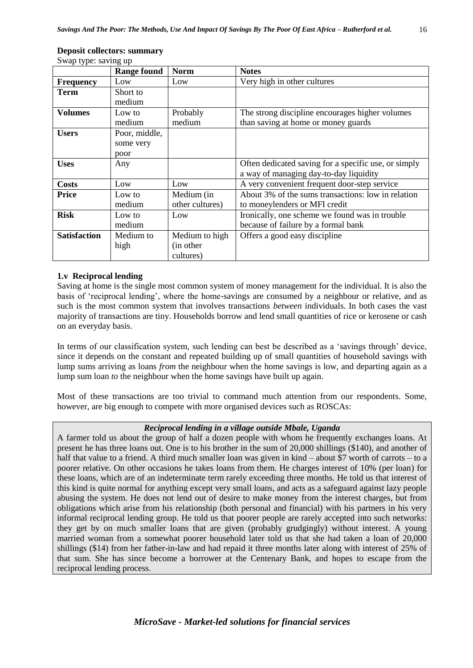| Swap type: saving up |                    |                 |                                                      |
|----------------------|--------------------|-----------------|------------------------------------------------------|
|                      | <b>Range found</b> | <b>Norm</b>     | <b>Notes</b>                                         |
| <b>Frequency</b>     | Low                | Low             | Very high in other cultures                          |
| Term                 | Short to           |                 |                                                      |
|                      | medium             |                 |                                                      |
| <b>Volumes</b>       | Low to             | Probably        | The strong discipline encourages higher volumes      |
|                      | medium             | medium          | than saving at home or money guards                  |
| <b>Users</b>         | Poor, middle,      |                 |                                                      |
|                      | some very          |                 |                                                      |
|                      | poor               |                 |                                                      |
| <b>Uses</b>          | Any                |                 | Often dedicated saving for a specific use, or simply |
|                      |                    |                 | a way of managing day-to-day liquidity               |
| <b>Costs</b>         | Low                | Low             | A very convenient frequent door-step service         |
| <b>Price</b>         | Low to             | Medium (in      | About 3% of the sums transactions: low in relation   |
|                      | medium             | other cultures) | to moneylenders or MFI credit                        |
| <b>Risk</b>          | Low to             | Low             | Ironically, one scheme we found was in trouble       |
|                      | medium             |                 | because of failure by a formal bank                  |
| <b>Satisfaction</b>  | Medium to          | Medium to high  | Offers a good easy discipline                        |
|                      | high               | (in other)      |                                                      |
|                      |                    | cultures)       |                                                      |

#### **Deposit collectors: summary**

Swap type: saving up

#### **1.v Reciprocal lending**

Saving at home is the single most common system of money management for the individual. It is also the basis of 'reciprocal lending', where the home-savings are consumed by a neighbour or relative, and as such is the most common system that involves transactions *between* individuals. In both cases the vast majority of transactions are tiny. Households borrow and lend small quantities of rice or kerosene or cash on an everyday basis.

In terms of our classification system, such lending can best be described as a 'savings through' device, since it depends on the constant and repeated building up of small quantities of household savings with lump sums arriving as loans *from* the neighbour when the home savings is low, and departing again as a lump sum loan *to* the neighbour when the home savings have built up again.

Most of these transactions are too trivial to command much attention from our respondents. Some, however, are big enough to compete with more organised devices such as ROSCAs:

#### *Reciprocal lending in a village outside Mbale, Uganda*

A farmer told us about the group of half a dozen people with whom he frequently exchanges loans. At present he has three loans out. One is to his brother in the sum of 20,000 shillings (\$140), and another of half that value to a friend. A third much smaller loan was given in kind – about \$7 worth of carrots – to a poorer relative. On other occasions he takes loans from them. He charges interest of 10% (per loan) for these loans, which are of an indeterminate term rarely exceeding three months. He told us that interest of this kind is quite normal for anything except very small loans, and acts as a safeguard against lazy people abusing the system. He does not lend out of desire to make money from the interest charges, but from obligations which arise from his relationship (both personal and financial) with his partners in his very informal reciprocal lending group. He told us that poorer people are rarely accepted into such networks: they get by on much smaller loans that are given (probably grudgingly) without interest. A young married woman from a somewhat poorer household later told us that she had taken a loan of 20,000 shillings (\$14) from her father-in-law and had repaid it three months later along with interest of 25% of that sum. She has since become a borrower at the Centenary Bank, and hopes to escape from the reciprocal lending process.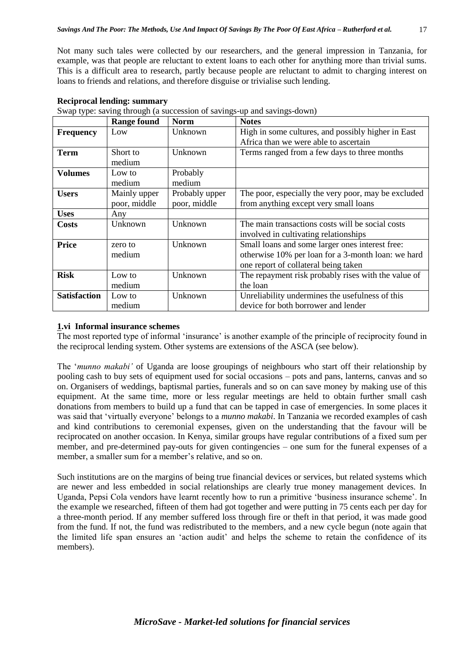Not many such tales were collected by our researchers, and the general impression in Tanzania, for example, was that people are reluctant to extent loans to each other for anything more than trivial sums. This is a difficult area to research, partly because people are reluctant to admit to charging interest on loans to friends and relations, and therefore disguise or trivialise such lending.

|                     | <b>Range found</b> | <b>Norm</b>    | <b>Notes</b>                                        |
|---------------------|--------------------|----------------|-----------------------------------------------------|
| <b>Frequency</b>    | Low                | Unknown        | High in some cultures, and possibly higher in East  |
|                     |                    |                | Africa than we were able to ascertain               |
| <b>Term</b>         | Short to           | Unknown        | Terms ranged from a few days to three months        |
|                     | medium             |                |                                                     |
| <b>Volumes</b>      | Low to             | Probably       |                                                     |
|                     | medium             | medium         |                                                     |
| <b>Users</b>        | Mainly upper       | Probably upper | The poor, especially the very poor, may be excluded |
|                     | poor, middle       | poor, middle   | from anything except very small loans               |
| <b>Uses</b>         | Any                |                |                                                     |
| Costs               | Unknown            | Unknown        | The main transactions costs will be social costs    |
|                     |                    |                | involved in cultivating relationships               |
| <b>Price</b>        | zero to            | Unknown        | Small loans and some larger ones interest free:     |
|                     | medium             |                | otherwise 10% per loan for a 3-month loan: we hard  |
|                     |                    |                | one report of collateral being taken                |
| <b>Risk</b>         | Low to             | Unknown        | The repayment risk probably rises with the value of |
|                     | medium             |                | the loan                                            |
| <b>Satisfaction</b> | Low to             | Unknown        | Unreliability undermines the usefulness of this     |
|                     | medium             |                | device for both borrower and lender                 |

| <b>Reciprocal lending: summary</b> |  |
|------------------------------------|--|
|------------------------------------|--|

|  |  | Swap type: saving through (a succession of savings-up and savings-down) |
|--|--|-------------------------------------------------------------------------|

# **1.vi Informal insurance schemes**

The most reported type of informal 'insurance' is another example of the principle of reciprocity found in the reciprocal lending system. Other systems are extensions of the ASCA (see below).

The '*munno makabi'* of Uganda are loose groupings of neighbours who start off their relationship by pooling cash to buy sets of equipment used for social occasions – pots and pans, lanterns, canvas and so on. Organisers of weddings, baptismal parties, funerals and so on can save money by making use of this equipment. At the same time, more or less regular meetings are held to obtain further small cash donations from members to build up a fund that can be tapped in case of emergencies. In some places it was said that 'virtually everyone' belongs to a *munno makabi*. In Tanzania we recorded examples of cash and kind contributions to ceremonial expenses, given on the understanding that the favour will be reciprocated on another occasion. In Kenya, similar groups have regular contributions of a fixed sum per member, and pre-determined pay-outs for given contingencies – one sum for the funeral expenses of a member, a smaller sum for a member's relative, and so on.

Such institutions are on the margins of being true financial devices or services, but related systems which are newer and less embedded in social relationships are clearly true money management devices. In Uganda, Pepsi Cola vendors have learnt recently how to run a primitive 'business insurance scheme'. In the example we researched, fifteen of them had got together and were putting in 75 cents each per day for a three-month period. If any member suffered loss through fire or theft in that period, it was made good from the fund. If not, the fund was redistributed to the members, and a new cycle begun (note again that the limited life span ensures an 'action audit' and helps the scheme to retain the confidence of its members).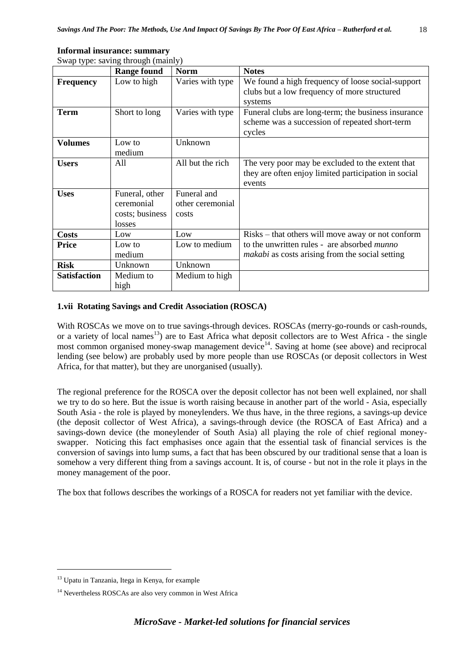| ٠ | ٦<br>۰.<br>× |
|---|--------------|
|   | M.<br>۰.     |

| Swap type: saving through (mainly) |                                                           |                                          |                                                                                                                    |
|------------------------------------|-----------------------------------------------------------|------------------------------------------|--------------------------------------------------------------------------------------------------------------------|
|                                    | <b>Range found</b>                                        | <b>Norm</b>                              | <b>Notes</b>                                                                                                       |
| <b>Frequency</b>                   | Low to high                                               | Varies with type                         | We found a high frequency of loose social-support<br>clubs but a low frequency of more structured                  |
|                                    |                                                           |                                          | systems                                                                                                            |
| Term                               | Short to long                                             | Varies with type                         | Funeral clubs are long-term; the business insurance<br>scheme was a succession of repeated short-term<br>cycles    |
| <b>Volumes</b>                     | Low to<br>medium                                          | Unknown                                  |                                                                                                                    |
| <b>Users</b>                       | All                                                       | All but the rich                         | The very poor may be excluded to the extent that<br>they are often enjoy limited participation in social<br>events |
| <b>Uses</b>                        | Funeral, other<br>ceremonial<br>costs; business<br>losses | Funeral and<br>other ceremonial<br>costs |                                                                                                                    |
| <b>Costs</b>                       | Low                                                       | Low                                      | Risks – that others will move away or not conform                                                                  |
| <b>Price</b>                       | Low to<br>medium                                          | Low to medium                            | to the unwritten rules - are absorbed <i>munno</i><br><i>makabi</i> as costs arising from the social setting       |
| <b>Risk</b>                        | Unknown                                                   | Unknown                                  |                                                                                                                    |
| <b>Satisfaction</b>                | Medium to<br>high                                         | Medium to high                           |                                                                                                                    |

# **Informal insurance: summary**

Swap type: saving through (mainly)

# **1.vii Rotating Savings and Credit Association (ROSCA)**

With ROSCAs we move on to true savings-through devices. ROSCAs (merry-go-rounds or cash-rounds, or a variety of local names<sup>13</sup>) are to East Africa what deposit collectors are to West Africa - the single most common organised money-swap management device<sup>14</sup>. Saving at home (see above) and reciprocal lending (see below) are probably used by more people than use ROSCAs (or deposit collectors in West Africa, for that matter), but they are unorganised (usually).

The regional preference for the ROSCA over the deposit collector has not been well explained, nor shall we try to do so here. But the issue is worth raising because in another part of the world - Asia, especially South Asia - the role is played by moneylenders. We thus have, in the three regions, a savings-up device (the deposit collector of West Africa), a savings-through device (the ROSCA of East Africa) and a savings-down device (the moneylender of South Asia) all playing the role of chief regional moneyswapper. Noticing this fact emphasises once again that the essential task of financial services is the conversion of savings into lump sums, a fact that has been obscured by our traditional sense that a loan is somehow a very different thing from a savings account. It is, of course - but not in the role it plays in the money management of the poor.

The box that follows describes the workings of a ROSCA for readers not yet familiar with the device.

1

<sup>13</sup> Upatu in Tanzania, Itega in Kenya, for example

<sup>&</sup>lt;sup>14</sup> Nevertheless ROSCAs are also very common in West Africa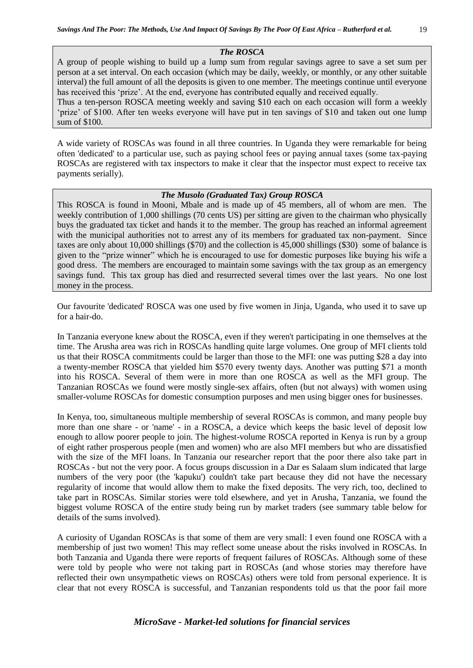#### *The ROSCA*

A group of people wishing to build up a lump sum from regular savings agree to save a set sum per person at a set interval. On each occasion (which may be daily, weekly, or monthly, or any other suitable interval) the full amount of all the deposits is given to one member. The meetings continue until everyone has received this 'prize'. At the end, everyone has contributed equally and received equally. Thus a ten-person ROSCA meeting weekly and saving \$10 each on each occasion will form a weekly

'prize' of \$100. After ten weeks everyone will have put in ten savings of \$10 and taken out one lump sum of \$100.

A wide variety of ROSCAs was found in all three countries. In Uganda they were remarkable for being often 'dedicated' to a particular use, such as paying school fees or paying annual taxes (some tax-paying ROSCAs are registered with tax inspectors to make it clear that the inspector must expect to receive tax payments serially).

#### *The Musolo (Graduated Tax) Group ROSCA*

This ROSCA is found in Mooni, Mbale and is made up of 45 members, all of whom are men. The weekly contribution of 1,000 shillings (70 cents US) per sitting are given to the chairman who physically buys the graduated tax ticket and hands it to the member. The group has reached an informal agreement with the municipal authorities not to arrest any of its members for graduated tax non-payment. Since taxes are only about 10,000 shillings (\$70) and the collection is 45,000 shillings (\$30) some of balance is given to the "prize winner" which he is encouraged to use for domestic purposes like buying his wife a good dress. The members are encouraged to maintain some savings with the tax group as an emergency savings fund. This tax group has died and resurrected several times over the last years. No one lost money in the process.

Our favourite 'dedicated' ROSCA was one used by five women in Jinja, Uganda, who used it to save up for a hair-do.

In Tanzania everyone knew about the ROSCA, even if they weren't participating in one themselves at the time. The Arusha area was rich in ROSCAs handling quite large volumes. One group of MFI clients told us that their ROSCA commitments could be larger than those to the MFI: one was putting \$28 a day into a twenty-member ROSCA that yielded him \$570 every twenty days. Another was putting \$71 a month into his ROSCA. Several of them were in more than one ROSCA as well as the MFI group. The Tanzanian ROSCAs we found were mostly single-sex affairs, often (but not always) with women using smaller-volume ROSCAs for domestic consumption purposes and men using bigger ones for businesses.

In Kenya, too, simultaneous multiple membership of several ROSCAs is common, and many people buy more than one share - or 'name' - in a ROSCA, a device which keeps the basic level of deposit low enough to allow poorer people to join. The highest-volume ROSCA reported in Kenya is run by a group of eight rather prosperous people (men and women) who are also MFI members but who are dissatisfied with the size of the MFI loans. In Tanzania our researcher report that the poor there also take part in ROSCAs - but not the very poor. A focus groups discussion in a Dar es Salaam slum indicated that large numbers of the very poor (the 'kapuku') couldn't take part because they did not have the necessary regularity of income that would allow them to make the fixed deposits. The very rich, too, declined to take part in ROSCAs. Similar stories were told elsewhere, and yet in Arusha, Tanzania, we found the biggest volume ROSCA of the entire study being run by market traders (see summary table below for details of the sums involved).

A curiosity of Ugandan ROSCAs is that some of them are very small: I even found one ROSCA with a membership of just two women! This may reflect some unease about the risks involved in ROSCAs. In both Tanzania and Uganda there were reports of frequent failures of ROSCAs. Although some of these were told by people who were not taking part in ROSCAs (and whose stories may therefore have reflected their own unsympathetic views on ROSCAs) others were told from personal experience. It is clear that not every ROSCA is successful, and Tanzanian respondents told us that the poor fail more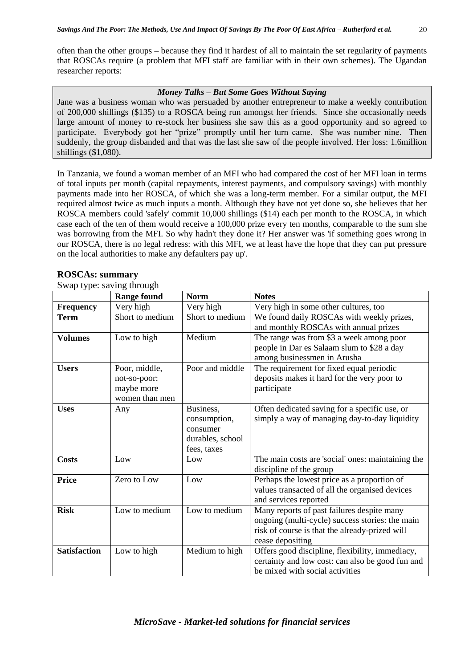often than the other groups – because they find it hardest of all to maintain the set regularity of payments that ROSCAs require (a problem that MFI staff are familiar with in their own schemes). The Ugandan researcher reports:

#### *Money Talks – But Some Goes Without Saying*

Jane was a business woman who was persuaded by another entrepreneur to make a weekly contribution of 200,000 shillings (\$135) to a ROSCA being run amongst her friends. Since she occasionally needs large amount of money to re-stock her business she saw this as a good opportunity and so agreed to participate. Everybody got her "prize" promptly until her turn came. She was number nine. Then suddenly, the group disbanded and that was the last she saw of the people involved. Her loss: 1.6million shillings (\$1,080).

In Tanzania, we found a woman member of an MFI who had compared the cost of her MFI loan in terms of total inputs per month (capital repayments, interest payments, and compulsory savings) with monthly payments made into her ROSCA, of which she was a long-term member. For a similar output, the MFI required almost twice as much inputs a month. Although they have not yet done so, she believes that her ROSCA members could 'safely' commit 10,000 shillings (\$14) each per month to the ROSCA, in which case each of the ten of them would receive a 100,000 prize every ten months, comparable to the sum she was borrowing from the MFI. So why hadn't they done it? Her answer was 'if something goes wrong in our ROSCA, there is no legal redress: with this MFI, we at least have the hope that they can put pressure on the local authorities to make any defaulters pay up'.

|                     | <b>Range found</b>                                            | <b>Norm</b>                                                              | <b>Notes</b>                                                                                                                                                        |
|---------------------|---------------------------------------------------------------|--------------------------------------------------------------------------|---------------------------------------------------------------------------------------------------------------------------------------------------------------------|
| <b>Frequency</b>    | Very high                                                     | Very high                                                                | Very high in some other cultures, too                                                                                                                               |
| <b>Term</b>         | Short to medium                                               | Short to medium                                                          | We found daily ROSCAs with weekly prizes,<br>and monthly ROSCAs with annual prizes                                                                                  |
| <b>Volumes</b>      | Low to high                                                   | Medium                                                                   | The range was from \$3 a week among poor<br>people in Dar es Salaam slum to \$28 a day<br>among businessmen in Arusha                                               |
| <b>Users</b>        | Poor, middle,<br>not-so-poor:<br>maybe more<br>women than men | Poor and middle                                                          | The requirement for fixed equal periodic<br>deposits makes it hard for the very poor to<br>participate                                                              |
| <b>Uses</b>         | Any                                                           | Business,<br>consumption,<br>consumer<br>durables, school<br>fees, taxes | Often dedicated saving for a specific use, or<br>simply a way of managing day-to-day liquidity                                                                      |
| <b>Costs</b>        | Low                                                           | Low                                                                      | The main costs are 'social' ones: maintaining the<br>discipline of the group                                                                                        |
| <b>Price</b>        | Zero to Low                                                   | Low                                                                      | Perhaps the lowest price as a proportion of<br>values transacted of all the organised devices<br>and services reported                                              |
| <b>Risk</b>         | Low to medium                                                 | Low to medium                                                            | Many reports of past failures despite many<br>ongoing (multi-cycle) success stories: the main<br>risk of course is that the already-prized will<br>cease depositing |
| <b>Satisfaction</b> | Low to high                                                   | Medium to high                                                           | Offers good discipline, flexibility, immediacy,<br>certainty and low cost: can also be good fun and<br>be mixed with social activities                              |

#### **ROSCAs: summary**

Swap type: saving through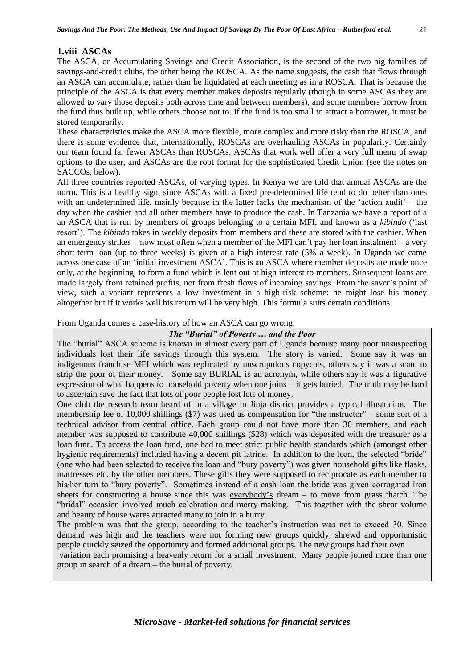# **1.viii ASCAs**

The ASCA, or Accumulating Savings and Credit Association, is the second of the two big families of savings-and-credit clubs, the other being the ROSCA. As the name suggests, the cash that flows through an ASCA can accumulate, rather than be liquidated at each meeting as in a ROSCA. That is because the principle of the ASCA is that every member makes deposits regularly (though in some ASCAs they are allowed to vary those deposits both across time and between members), and some members borrow from the fund thus built up, while others choose not to. If the fund is too small to attract a borrower, it must be stored temporarily.

These characteristics make the ASCA more flexible, more complex and more risky than the ROSCA, and there is some evidence that, internationally, ROSCAs are overhauling ASCAs in popularity. Certainly our team found far fewer ASCAs than ROSCAs. ASCAs that work well offer a very full menu of swap options to the user, and ASCAs are the root format for the sophisticated Credit Union (see the notes on SACCOs, below).

All three countries reported ASCAs, of varying types. In Kenya we are told that annual ASCAs are the norm. This is a healthy sign, since ASCAs with a fixed pre-determined life tend to do better than ones with an undetermined life, mainly because in the latter lacks the mechanism of the 'action audit' – the day when the cashier and all other members have to produce the cash. In Tanzania we have a report of a an ASCA that is run by members of groups belonging to a certain MFI, and known as a *kibindo* ('last resort'). The *kibindo* takes in weekly deposits from members and these are stored with the cashier. When an emergency strikes – now most often when a member of the MFI can't pay her loan instalment – a very short-term loan (up to three weeks) is given at a high interest rate (5% a week). In Uganda we came across one case of an 'initial investment ASCA'. This is an ASCA where member deposits are made once only, at the beginning, to form a fund which is lent out at high interest to members. Subsequent loans are made largely from retained profits, not from fresh flows of incoming savings. From the saver's point of view, such a variant represents a low investment in a high-risk scheme: he might lose his money altogether but if it works well his return will be very high. This formula suits certain conditions.

# From Uganda comes a case-history of how an ASCA can go wrong:

# *The "Burial" of Poverty … and the Poor*

The "burial" ASCA scheme is known in almost every part of Uganda because many poor unsuspecting individuals lost their life savings through this system. The story is varied. Some say it was an indigenous franchise MFI which was replicated by unscrupulous copycats, others say it was a scam to strip the poor of their money. Some say BURIAL is an acronym, while others say it was a figurative expression of what happens to household poverty when one joins – it gets buried. The truth may be hard to ascertain save the fact that lots of poor people lost lots of money.

One club the research team heard of in a village in Jinja district provides a typical illustration. The membership fee of 10,000 shillings (\$7) was used as compensation for "the instructor" – some sort of a technical advisor from central office. Each group could not have more than 30 members, and each member was supposed to contribute 40,000 shillings (\$28) which was deposited with the treasurer as a loan fund. To access the loan fund, one had to meet strict public health standards which (amongst other hygienic requirements) included having a decent pit latrine. In addition to the loan, the selected "bride" (one who had been selected to receive the loan and "bury poverty") was given household gifts like flasks, mattresses etc. by the other members. These gifts they were supposed to reciprocate as each member to his/her turn to "bury poverty". Sometimes instead of a cash loan the bride was given corrugated iron sheets for constructing a house since this was everybody's dream – to move from grass thatch. The "bridal" occasion involved much celebration and merry-making. This together with the shear volume and beauty of house wares attracted many to join in a hurry.

The problem was that the group, according to the teacher's instruction was not to exceed 30. Since demand was high and the teachers were not forming new groups quickly, shrewd and opportunistic people quickly seized the opportunity and formed additional groups. The new groups had their own variation each promising a heavenly return for a small investment. Many people joined more than one group in search of a dream – the burial of poverty.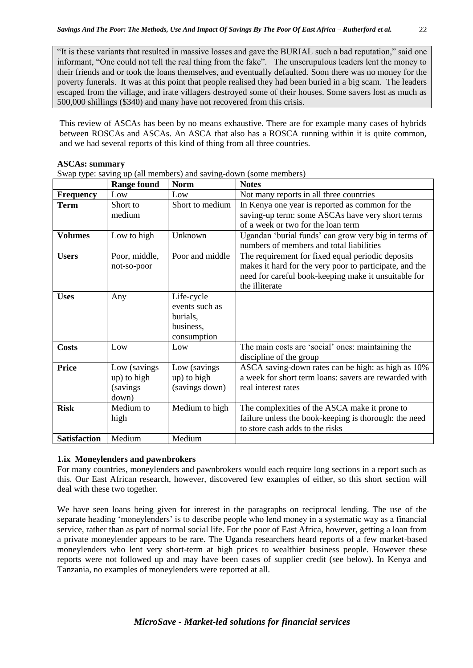"It is these variants that resulted in massive losses and gave the BURIAL such a bad reputation," said one informant, "One could not tell the real thing from the fake". The unscrupulous leaders lent the money to their friends and or took the loans themselves, and eventually defaulted. Soon there was no money for the poverty funerals. It was at this point that people realised they had been buried in a big scam. The leaders escaped from the village, and irate villagers destroyed some of their houses. Some savers lost as much as 500,000 shillings (\$340) and many have not recovered from this crisis.

This review of ASCAs has been by no means exhaustive. There are for example many cases of hybrids between ROSCAs and ASCAs. An ASCA that also has a ROSCA running within it is quite common, and we had several reports of this kind of thing from all three countries.

#### **ASCAs: summary**

Swap type: saving up (all members) and saving-down (some members)

|                     | <b>Range found</b>                                | <b>Norm</b>                                                          | <b>Notes</b>                                                                                                                                                                           |
|---------------------|---------------------------------------------------|----------------------------------------------------------------------|----------------------------------------------------------------------------------------------------------------------------------------------------------------------------------------|
| <b>Frequency</b>    | $_{\text{Low}}$                                   | Low                                                                  | Not many reports in all three countries                                                                                                                                                |
| <b>Term</b>         | Short to<br>medium                                | Short to medium                                                      | In Kenya one year is reported as common for the<br>saving-up term: some ASCAs have very short terms<br>of a week or two for the loan term                                              |
| <b>Volumes</b>      | Low to high                                       | Unknown                                                              | Ugandan 'burial funds' can grow very big in terms of<br>numbers of members and total liabilities                                                                                       |
| <b>Users</b>        | Poor, middle,<br>not-so-poor                      | Poor and middle                                                      | The requirement for fixed equal periodic deposits<br>makes it hard for the very poor to participate, and the<br>need for careful book-keeping make it unsuitable for<br>the illiterate |
| <b>Uses</b>         | Any                                               | Life-cycle<br>events such as<br>burials,<br>business,<br>consumption |                                                                                                                                                                                        |
| <b>Costs</b>        | Low                                               | Low                                                                  | The main costs are 'social' ones: maintaining the<br>discipline of the group                                                                                                           |
| <b>Price</b>        | Low (savings<br>up) to high<br>(savings)<br>down) | Low (savings<br>up) to high<br>(savings down)                        | ASCA saving-down rates can be high: as high as 10%<br>a week for short term loans: savers are rewarded with<br>real interest rates                                                     |
| <b>Risk</b>         | Medium to<br>high                                 | Medium to high                                                       | The complexities of the ASCA make it prone to<br>failure unless the book-keeping is thorough: the need<br>to store cash adds to the risks                                              |
| <b>Satisfaction</b> | Medium                                            | Medium                                                               |                                                                                                                                                                                        |

# **1.ix Moneylenders and pawnbrokers**

For many countries, moneylenders and pawnbrokers would each require long sections in a report such as this. Our East African research, however, discovered few examples of either, so this short section will deal with these two together.

We have seen loans being given for interest in the paragraphs on reciprocal lending. The use of the separate heading 'moneylenders' is to describe people who lend money in a systematic way as a financial service, rather than as part of normal social life. For the poor of East Africa, however, getting a loan from a private moneylender appears to be rare. The Uganda researchers heard reports of a few market-based moneylenders who lent very short-term at high prices to wealthier business people. However these reports were not followed up and may have been cases of supplier credit (see below). In Kenya and Tanzania, no examples of moneylenders were reported at all.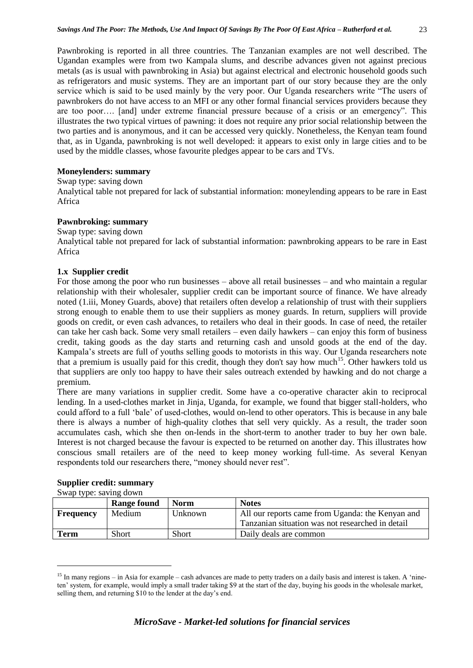Pawnbroking is reported in all three countries. The Tanzanian examples are not well described. The Ugandan examples were from two Kampala slums, and describe advances given not against precious metals (as is usual with pawnbroking in Asia) but against electrical and electronic household goods such as refrigerators and music systems. They are an important part of our story because they are the only service which is said to be used mainly by the very poor. Our Uganda researchers write "The users of pawnbrokers do not have access to an MFI or any other formal financial services providers because they are too poor…. [and] under extreme financial pressure because of a crisis or an emergency". This illustrates the two typical virtues of pawning: it does not require any prior social relationship between the two parties and is anonymous, and it can be accessed very quickly. Nonetheless, the Kenyan team found that, as in Uganda, pawnbroking is not well developed: it appears to exist only in large cities and to be used by the middle classes, whose favourite pledges appear to be cars and TVs.

# **Moneylenders: summary**

Swap type: saving down

Analytical table not prepared for lack of substantial information: moneylending appears to be rare in East Africa

# **Pawnbroking: summary**

# Swap type: saving down

Analytical table not prepared for lack of substantial information: pawnbroking appears to be rare in East Africa

# **1.x Supplier credit**

For those among the poor who run businesses – above all retail businesses – and who maintain a regular relationship with their wholesaler, supplier credit can be important source of finance. We have already noted (1.iii, Money Guards, above) that retailers often develop a relationship of trust with their suppliers strong enough to enable them to use their suppliers as money guards. In return, suppliers will provide goods on credit, or even cash advances, to retailers who deal in their goods. In case of need, the retailer can take her cash back. Some very small retailers – even daily hawkers – can enjoy this form of business credit, taking goods as the day starts and returning cash and unsold goods at the end of the day. Kampala's streets are full of youths selling goods to motorists in this way. Our Uganda researchers note that a premium is usually paid for this credit, though they don't say how much<sup>15</sup>. Other hawkers told us that suppliers are only too happy to have their sales outreach extended by hawking and do not charge a premium.

There are many variations in supplier credit. Some have a co-operative character akin to reciprocal lending. In a used-clothes market in Jinja, Uganda, for example, we found that bigger stall-holders, who could afford to a full 'bale' of used-clothes, would on-lend to other operators. This is because in any bale there is always a number of high-quality clothes that sell very quickly. As a result, the trader soon accumulates cash, which she then on-lends in the short-term to another trader to buy her own bale. Interest is not charged because the favour is expected to be returned on another day. This illustrates how conscious small retailers are of the need to keep money working full-time. As several Kenyan respondents told our researchers there, "money should never rest".

|                  | <b>Range found</b> | <b>Norm</b>    | <b>Notes</b>                                     |
|------------------|--------------------|----------------|--------------------------------------------------|
| <b>Frequency</b> | Medium             | <b>Unknown</b> | All our reports came from Uganda: the Kenyan and |
|                  |                    |                | Tanzanian situation was not researched in detail |
| Term             | Short              | <b>Short</b>   | Daily deals are common                           |

# **Supplier credit: summary**

Swap type: saving down

1

 $15$  In many regions – in Asia for example – cash advances are made to petty traders on a daily basis and interest is taken. A 'nineten' system, for example, would imply a small trader taking \$9 at the start of the day, buying his goods in the wholesale market, selling them, and returning \$10 to the lender at the day's end.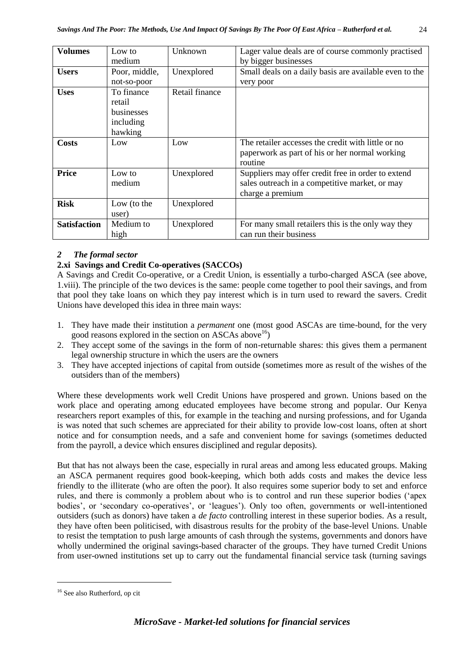| <b>Volumes</b>      | Low to                                                     | Unknown        | Lager value deals are of course commonly practised                                                                       |
|---------------------|------------------------------------------------------------|----------------|--------------------------------------------------------------------------------------------------------------------------|
|                     | medium                                                     |                | by bigger businesses                                                                                                     |
| <b>Users</b>        | Poor, middle,                                              | Unexplored     | Small deals on a daily basis are available even to the                                                                   |
|                     | not-so-poor                                                |                | very poor                                                                                                                |
| <b>Uses</b>         | To finance<br>retail<br>businesses<br>including<br>hawking | Retail finance |                                                                                                                          |
| Costs               | Low                                                        | Low            | The retailer accesses the credit with little or no<br>paperwork as part of his or her normal working<br>routine          |
| <b>Price</b>        | Low to<br>medium                                           | Unexplored     | Suppliers may offer credit free in order to extend<br>sales outreach in a competitive market, or may<br>charge a premium |
| <b>Risk</b>         | Low (to the<br>user)                                       | Unexplored     |                                                                                                                          |
| <b>Satisfaction</b> | Medium to<br>high                                          | Unexplored     | For many small retailers this is the only way they<br>can run their business                                             |

# *2 The formal sector*

# **2.xi Savings and Credit Co-operatives (SACCOs)**

A Savings and Credit Co-operative, or a Credit Union, is essentially a turbo-charged ASCA (see above, 1.viii). The principle of the two devices is the same: people come together to pool their savings, and from that pool they take loans on which they pay interest which is in turn used to reward the savers. Credit Unions have developed this idea in three main ways:

- 1. They have made their institution a *permanent* one (most good ASCAs are time-bound, for the very good reasons explored in the section on ASCAs above  $^{16}$ )
- 2. They accept some of the savings in the form of non-returnable shares: this gives them a permanent legal ownership structure in which the users are the owners
- 3. They have accepted injections of capital from outside (sometimes more as result of the wishes of the outsiders than of the members)

Where these developments work well Credit Unions have prospered and grown. Unions based on the work place and operating among educated employees have become strong and popular. Our Kenya researchers report examples of this, for example in the teaching and nursing professions, and for Uganda is was noted that such schemes are appreciated for their ability to provide low-cost loans, often at short notice and for consumption needs, and a safe and convenient home for savings (sometimes deducted from the payroll, a device which ensures disciplined and regular deposits).

But that has not always been the case, especially in rural areas and among less educated groups. Making an ASCA permanent requires good book-keeping, which both adds costs and makes the device less friendly to the illiterate (who are often the poor). It also requires some superior body to set and enforce rules, and there is commonly a problem about who is to control and run these superior bodies ('apex bodies', or 'secondary co-operatives', or 'leagues'). Only too often, governments or well-intentioned outsiders (such as donors) have taken a *de facto* controlling interest in these superior bodies. As a result, they have often been politicised, with disastrous results for the probity of the base-level Unions. Unable to resist the temptation to push large amounts of cash through the systems, governments and donors have wholly undermined the original savings-based character of the groups. They have turned Credit Unions from user-owned institutions set up to carry out the fundamental financial service task (turning savings

1

<sup>16</sup> See also Rutherford, op cit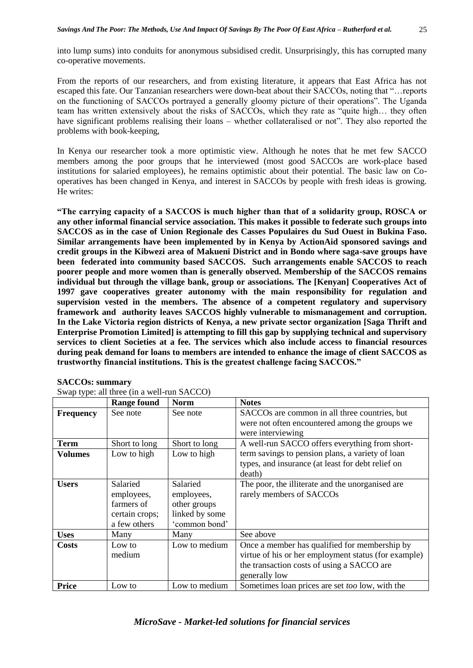From the reports of our researchers, and from existing literature, it appears that East Africa has not escaped this fate. Our Tanzanian researchers were down-beat about their SACCOs, noting that "…reports on the functioning of SACCOs portrayed a generally gloomy picture of their operations". The Uganda team has written extensively about the risks of SACCOs, which they rate as "quite high… they often have significant problems realising their loans – whether collateralised or not". They also reported the problems with book-keeping,

In Kenya our researcher took a more optimistic view. Although he notes that he met few SACCO members among the poor groups that he interviewed (most good SACCOs are work-place based institutions for salaried employees), he remains optimistic about their potential. The basic law on Cooperatives has been changed in Kenya, and interest in SACCOs by people with fresh ideas is growing. He writes:

**"The carrying capacity of a SACCOS is much higher than that of a solidarity group, ROSCA or any other informal financial service association. This makes it possible to federate such groups into SACCOS as in the case of Union Regionale des Casses Populaires du Sud Ouest in Bukina Faso. Similar arrangements have been implemented by in Kenya by ActionAid sponsored savings and credit groups in the Kibwezi area of Makueni District and in Bondo where saga-save groups have been federated into community based SACCOS. Such arrangements enable SACCOS to reach poorer people and more women than is generally observed. Membership of the SACCOS remains individual but through the village bank, group or associations. The [Kenyan] Cooperatives Act of 1997 gave cooperatives greater autonomy with the main responsibility for regulation and supervision vested in the members. The absence of a competent regulatory and supervisory framework and authority leaves SACCOS highly vulnerable to mismanagement and corruption. In the Lake Victoria region districts of Kenya, a new private sector organization [Saga Thrift and Enterprise Promotion Limited] is attempting to fill this gap by supplying technical and supervisory services to client Societies at a fee. The services which also include access to financial resources during peak demand for loans to members are intended to enhance the image of client SACCOS as trustworthy financial institutions. This is the greatest challenge facing SACCOS."** 

|                  | <b>Range found</b> | <b>Norm</b>    | <b>Notes</b>                                         |
|------------------|--------------------|----------------|------------------------------------------------------|
| <b>Frequency</b> | See note           | See note       | SACCOs are common in all three countries, but        |
|                  |                    |                | were not often encountered among the groups we       |
|                  |                    |                | were interviewing                                    |
| <b>Term</b>      | Short to long      | Short to long  | A well-run SACCO offers everything from short-       |
| <b>Volumes</b>   | Low to high        | Low to high    | term savings to pension plans, a variety of loan     |
|                  |                    |                | types, and insurance (at least for debt relief on    |
|                  |                    |                | death)                                               |
| <b>Users</b>     | Salaried           | Salaried       | The poor, the illiterate and the unorganised are     |
|                  | employees,         | employees,     | rarely members of SACCOs                             |
|                  | farmers of         | other groups   |                                                      |
|                  | certain crops;     | linked by some |                                                      |
|                  | a few others       | 'common bond'  |                                                      |
| <b>Uses</b>      | Many               | Many           | See above                                            |
| <b>Costs</b>     | Low to             | Low to medium  | Once a member has qualified for membership by        |
|                  | medium             |                | virtue of his or her employment status (for example) |
|                  |                    |                | the transaction costs of using a SACCO are           |
|                  |                    |                | generally low                                        |
| <b>Price</b>     | Low to             | Low to medium  | Sometimes loan prices are set too low, with the      |

#### **SACCOs: summary**

|  | Swap type: all three (in a well-run SACCO) |
|--|--------------------------------------------|
|--|--------------------------------------------|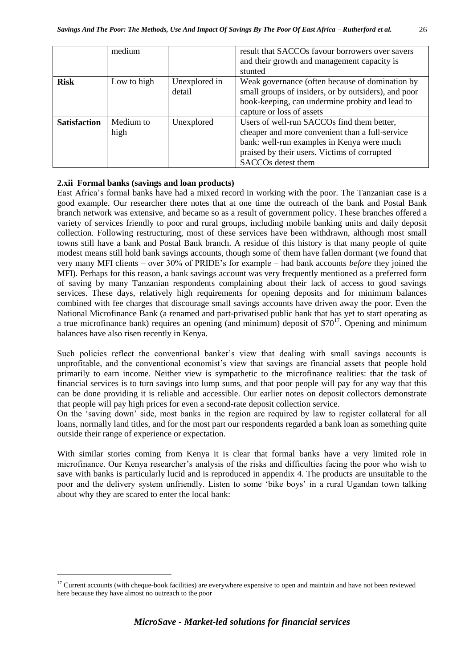|                     | medium            |                         | result that SACCOs favour borrowers over savers<br>and their growth and management capacity is<br>stunted                                                                                                         |
|---------------------|-------------------|-------------------------|-------------------------------------------------------------------------------------------------------------------------------------------------------------------------------------------------------------------|
| <b>Risk</b>         | Low to high       | Unexplored in<br>detail | Weak governance (often because of domination by<br>small groups of insiders, or by outsiders), and poor<br>book-keeping, can undermine probity and lead to<br>capture or loss of assets                           |
| <b>Satisfaction</b> | Medium to<br>high | Unexplored              | Users of well-run SACCOs find them better,<br>cheaper and more convenient than a full-service<br>bank: well-run examples in Kenya were much<br>praised by their users. Victims of corrupted<br>SACCOs detest them |

#### **2.xii Formal banks (savings and loan products)**

1

East Africa's formal banks have had a mixed record in working with the poor. The Tanzanian case is a good example. Our researcher there notes that at one time the outreach of the bank and Postal Bank branch network was extensive, and became so as a result of government policy. These branches offered a variety of services friendly to poor and rural groups, including mobile banking units and daily deposit collection. Following restructuring, most of these services have been withdrawn, although most small towns still have a bank and Postal Bank branch. A residue of this history is that many people of quite modest means still hold bank savings accounts, though some of them have fallen dormant (we found that very many MFI clients – over 30% of PRIDE's for example – had bank accounts *before* they joined the MFI). Perhaps for this reason, a bank savings account was very frequently mentioned as a preferred form of saving by many Tanzanian respondents complaining about their lack of access to good savings services. These days, relatively high requirements for opening deposits and for minimum balances combined with fee charges that discourage small savings accounts have driven away the poor. Even the National Microfinance Bank (a renamed and part-privatised public bank that has yet to start operating as a true microfinance bank) requires an opening (and minimum) deposit of  $$70^{17}$ . Opening and minimum balances have also risen recently in Kenya.

Such policies reflect the conventional banker's view that dealing with small savings accounts is unprofitable, and the conventional economist's view that savings are financial assets that people hold primarily to earn income. Neither view is sympathetic to the microfinance realities: that the task of financial services is to turn savings into lump sums, and that poor people will pay for any way that this can be done providing it is reliable and accessible. Our earlier notes on deposit collectors demonstrate that people will pay high prices for even a second-rate deposit collection service.

On the 'saving down' side, most banks in the region are required by law to register collateral for all loans, normally land titles, and for the most part our respondents regarded a bank loan as something quite outside their range of experience or expectation.

With similar stories coming from Kenya it is clear that formal banks have a very limited role in microfinance. Our Kenya researcher's analysis of the risks and difficulties facing the poor who wish to save with banks is particularly lucid and is reproduced in appendix 4. The products are unsuitable to the poor and the delivery system unfriendly. Listen to some 'bike boys' in a rural Ugandan town talking about why they are scared to enter the local bank:

<sup>&</sup>lt;sup>17</sup> Current accounts (with cheque-book facilities) are everywhere expensive to open and maintain and have not been reviewed here because they have almost no outreach to the poor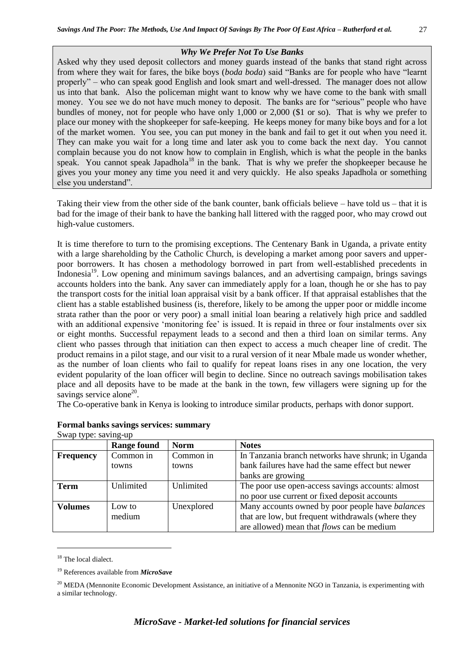#### *Why We Prefer Not To Use Banks*

Asked why they used deposit collectors and money guards instead of the banks that stand right across from where they wait for fares, the bike boys (*boda boda*) said "Banks are for people who have "learnt properly" – who can speak good English and look smart and well-dressed. The manager does not allow us into that bank. Also the policeman might want to know why we have come to the bank with small money. You see we do not have much money to deposit. The banks are for "serious" people who have bundles of money, not for people who have only 1,000 or 2,000 (\$1 or so). That is why we prefer to place our money with the shopkeeper for safe-keeping. He keeps money for many bike boys and for a lot of the market women. You see, you can put money in the bank and fail to get it out when you need it. They can make you wait for a long time and later ask you to come back the next day. You cannot complain because you do not know how to complain in English, which is what the people in the banks speak. You cannot speak Japadhola<sup>18</sup> in the bank. That is why we prefer the shopkeeper because he gives you your money any time you need it and very quickly. He also speaks Japadhola or something else you understand".

Taking their view from the other side of the bank counter, bank officials believe – have told us – that it is bad for the image of their bank to have the banking hall littered with the ragged poor, who may crowd out high-value customers.

It is time therefore to turn to the promising exceptions. The Centenary Bank in Uganda, a private entity with a large shareholding by the Catholic Church, is developing a market among poor savers and upperpoor borrowers. It has chosen a methodology borrowed in part from well-established precedents in Indonesia<sup>19</sup>. Low opening and minimum savings balances, and an advertising campaign, brings savings accounts holders into the bank. Any saver can immediately apply for a loan, though he or she has to pay the transport costs for the initial loan appraisal visit by a bank officer. If that appraisal establishes that the client has a stable established business (is, therefore, likely to be among the upper poor or middle income strata rather than the poor or very poor) a small initial loan bearing a relatively high price and saddled with an additional expensive 'monitoring fee' is issued. It is repaid in three or four instalments over six or eight months. Successful repayment leads to a second and then a third loan on similar terms. Any client who passes through that initiation can then expect to access a much cheaper line of credit. The product remains in a pilot stage, and our visit to a rural version of it near Mbale made us wonder whether, as the number of loan clients who fail to qualify for repeat loans rises in any one location, the very evident popularity of the loan officer will begin to decline. Since no outreach savings mobilisation takes place and all deposits have to be made at the bank in the town, few villagers were signing up for the savings service alone $20$ .

The Co-operative bank in Kenya is looking to introduce similar products, perhaps with donor support.

| $5.6$ $\mu$ $\mu$ $\mu$ $\mu$ $\mu$ $\mu$ | <b>Range found</b> | <b>Norm</b> | <b>Notes</b>                                            |
|-------------------------------------------|--------------------|-------------|---------------------------------------------------------|
| <b>Frequency</b>                          | Common in          | Common in   | In Tanzania branch networks have shrunk; in Uganda      |
|                                           | towns              | towns       | bank failures have had the same effect but newer        |
|                                           |                    |             | banks are growing                                       |
| <b>Term</b>                               | Unlimited          | Unlimited   | The poor use open-access savings accounts: almost       |
|                                           |                    |             | no poor use current or fixed deposit accounts           |
| <b>Volumes</b>                            | Low to             | Unexplored  | Many accounts owned by poor people have <i>balances</i> |
|                                           | medium             |             | that are low, but frequent withdrawals (where they      |
|                                           |                    |             | are allowed) mean that <i>flows</i> can be medium       |

#### **Formal banks savings services: summary** Swap type: saving-up

<sup>18</sup> The local dialect.

<u>.</u>

<sup>19</sup> References available from *MicroSave*

<sup>&</sup>lt;sup>20</sup> MEDA (Mennonite Economic Development Assistance, an initiative of a Mennonite NGO in Tanzania, is experimenting with a similar technology.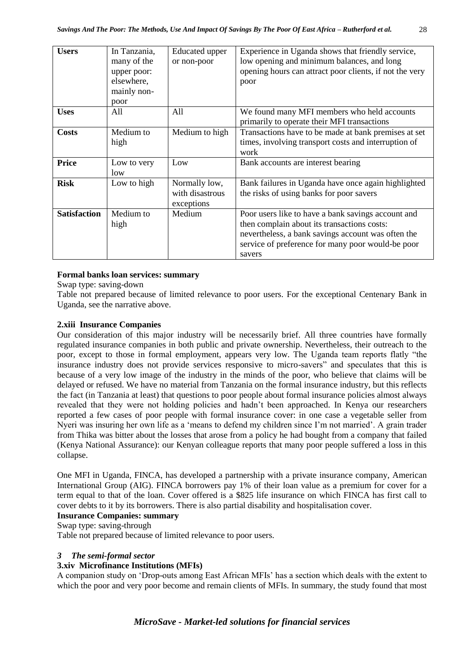| <b>Users</b>        | In Tanzania,<br>many of the<br>upper poor:<br>elsewhere,<br>mainly non-<br>poor | Educated upper<br>or non-poor                  | Experience in Uganda shows that friendly service,<br>low opening and minimum balances, and long<br>opening hours can attract poor clients, if not the very<br>poor                                                     |
|---------------------|---------------------------------------------------------------------------------|------------------------------------------------|------------------------------------------------------------------------------------------------------------------------------------------------------------------------------------------------------------------------|
| <b>Uses</b>         | All                                                                             | A11                                            | We found many MFI members who held accounts<br>primarily to operate their MFI transactions                                                                                                                             |
| <b>Costs</b>        | Medium to<br>high                                                               | Medium to high                                 | Transactions have to be made at bank premises at set<br>times, involving transport costs and interruption of<br>work                                                                                                   |
| Price               | Low to very<br>low                                                              | Low                                            | Bank accounts are interest bearing                                                                                                                                                                                     |
| <b>Risk</b>         | Low to high                                                                     | Normally low,<br>with disastrous<br>exceptions | Bank failures in Uganda have once again highlighted<br>the risks of using banks for poor savers                                                                                                                        |
| <b>Satisfaction</b> | Medium to<br>high                                                               | Medium                                         | Poor users like to have a bank savings account and<br>then complain about its transactions costs:<br>nevertheless, a bank savings account was often the<br>service of preference for many poor would-be poor<br>savers |

# **Formal banks loan services: summary**

Swap type: saving-down

Table not prepared because of limited relevance to poor users. For the exceptional Centenary Bank in Uganda, see the narrative above.

# **2.xiii Insurance Companies**

Our consideration of this major industry will be necessarily brief. All three countries have formally regulated insurance companies in both public and private ownership. Nevertheless, their outreach to the poor, except to those in formal employment, appears very low. The Uganda team reports flatly "the insurance industry does not provide services responsive to micro-savers" and speculates that this is because of a very low image of the industry in the minds of the poor, who believe that claims will be delayed or refused. We have no material from Tanzania on the formal insurance industry, but this reflects the fact (in Tanzania at least) that questions to poor people about formal insurance policies almost always revealed that they were not holding policies and hadn't been approached. In Kenya our researchers reported a few cases of poor people with formal insurance cover: in one case a vegetable seller from Nyeri was insuring her own life as a 'means to defend my children since I'm not married'. A grain trader from Thika was bitter about the losses that arose from a policy he had bought from a company that failed (Kenya National Assurance): our Kenyan colleague reports that many poor people suffered a loss in this collapse.

One MFI in Uganda, FINCA, has developed a partnership with a private insurance company, American International Group (AIG). FINCA borrowers pay 1% of their loan value as a premium for cover for a term equal to that of the loan. Cover offered is a \$825 life insurance on which FINCA has first call to cover debts to it by its borrowers. There is also partial disability and hospitalisation cover.

# **Insurance Companies: summary**

Swap type: saving-through

Table not prepared because of limited relevance to poor users.

# *3 The semi-formal sector*

# **3.xiv Microfinance Institutions (MFIs)**

A companion study on 'Drop-outs among East African MFIs' has a section which deals with the extent to which the poor and very poor become and remain clients of MFIs. In summary, the study found that most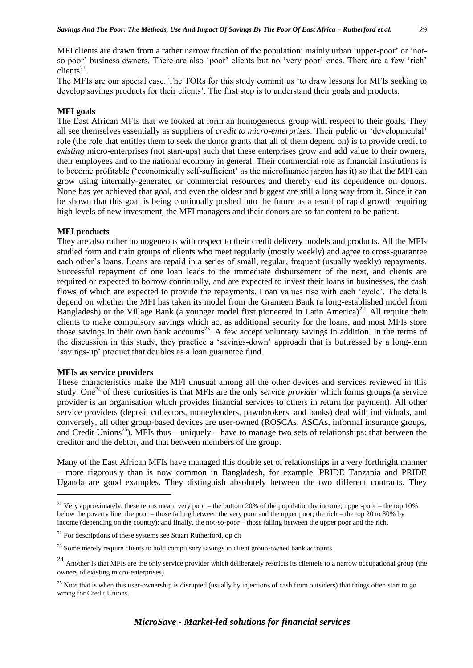MFI clients are drawn from a rather narrow fraction of the population: mainly urban 'upper-poor' or 'notso-poor' business-owners. There are also 'poor' clients but no 'very poor' ones. There are a few 'rich'  $\overline{\text{clients}}^{21}$ .

The MFIs are our special case. The TORs for this study commit us 'to draw lessons for MFIs seeking to develop savings products for their clients'. The first step is to understand their goals and products.

#### **MFI goals**

The East African MFIs that we looked at form an homogeneous group with respect to their goals. They all see themselves essentially as suppliers of *credit to micro-enterprises*. Their public or 'developmental' role (the role that entitles them to seek the donor grants that all of them depend on) is to provide credit to *existing* micro-enterprises (not start-ups) such that these enterprises grow and add value to their owners, their employees and to the national economy in general. Their commercial role as financial institutions is to become profitable ('economically self-sufficient' as the microfinance jargon has it) so that the MFI can grow using internally-generated or commercial resources and thereby end its dependence on donors. None has yet achieved that goal, and even the oldest and biggest are still a long way from it. Since it can be shown that this goal is being continually pushed into the future as a result of rapid growth requiring high levels of new investment, the MFI managers and their donors are so far content to be patient.

#### **MFI products**

They are also rather homogeneous with respect to their credit delivery models and products. All the MFIs studied form and train groups of clients who meet regularly (mostly weekly) and agree to cross-guarantee each other's loans. Loans are repaid in a series of small, regular, frequent (usually weekly) repayments. Successful repayment of one loan leads to the immediate disbursement of the next, and clients are required or expected to borrow continually, and are expected to invest their loans in businesses, the cash flows of which are expected to provide the repayments. Loan values rise with each 'cycle'. The details depend on whether the MFI has taken its model from the Grameen Bank (a long-established model from Bangladesh) or the Village Bank (a younger model first pioneered in Latin America)<sup>22</sup>. All require their clients to make compulsory savings which act as additional security for the loans, and most MFIs store those savings in their own bank accounts<sup>23</sup>. A few accept voluntary savings in addition. In the terms of the discussion in this study, they practice a 'savings-down' approach that is buttressed by a long-term 'savings-up' product that doubles as a loan guarantee fund.

#### **MFIs as service providers**

1

These characteristics make the MFI unusual among all the other devices and services reviewed in this study. One<sup>24</sup> of these curiosities is that MFIs are the only *service provider* which forms groups (a service provider is an organisation which provides financial services to others in return for payment). All other service providers (deposit collectors, moneylenders, pawnbrokers, and banks) deal with individuals, and conversely, all other group-based devices are user-owned (ROSCAs, ASCAs, informal insurance groups, and Credit Unions<sup>25</sup>). MFIs thus – uniquely – have to manage two sets of relationships: that between the creditor and the debtor, and that between members of the group.

Many of the East African MFIs have managed this double set of relationships in a very forthright manner – more rigorously than is now common in Bangladesh, for example. PRIDE Tanzania and PRIDE Uganda are good examples. They distinguish absolutely between the two different contracts. They

<sup>&</sup>lt;sup>21</sup> Very approximately, these terms mean: very poor – the bottom 20% of the population by income; upper-poor – the top 10% below the poverty line; the poor – those falling between the very poor and the upper poor; the rich – the top 20 to 30% by income (depending on the country); and finally, the not-so-poor – those falling between the upper poor and the rich.

 $22$  For descriptions of these systems see Stuart Rutherford, op cit

<sup>&</sup>lt;sup>23</sup> Some merely require clients to hold compulsory savings in client group-owned bank accounts.

<sup>&</sup>lt;sup>24</sup> Another is that MFIs are the only service provider which deliberately restricts its clientele to a narrow occupational group (the owners of existing micro-enterprises).

 $25$  Note that is when this user-ownership is disrupted (usually by injections of cash from outsiders) that things often start to go wrong for Credit Unions.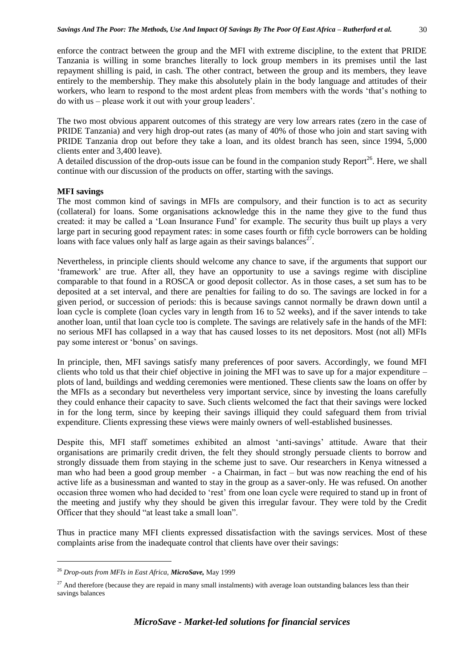enforce the contract between the group and the MFI with extreme discipline, to the extent that PRIDE Tanzania is willing in some branches literally to lock group members in its premises until the last repayment shilling is paid, in cash. The other contract, between the group and its members, they leave entirely to the membership. They make this absolutely plain in the body language and attitudes of their workers, who learn to respond to the most ardent pleas from members with the words 'that's nothing to do with us – please work it out with your group leaders'.

The two most obvious apparent outcomes of this strategy are very low arrears rates (zero in the case of PRIDE Tanzania) and very high drop-out rates (as many of 40% of those who join and start saving with PRIDE Tanzania drop out before they take a loan, and its oldest branch has seen, since 1994, 5,000 clients enter and 3,400 leave).

A detailed discussion of the drop-outs issue can be found in the companion study Report<sup>26</sup>. Here, we shall continue with our discussion of the products on offer, starting with the savings.

#### **MFI savings**

The most common kind of savings in MFIs are compulsory, and their function is to act as security (collateral) for loans. Some organisations acknowledge this in the name they give to the fund thus created: it may be called a 'Loan Insurance Fund' for example. The security thus built up plays a very large part in securing good repayment rates: in some cases fourth or fifth cycle borrowers can be holding loans with face values only half as large again as their savings balances $^{27}$ .

Nevertheless, in principle clients should welcome any chance to save, if the arguments that support our 'framework' are true. After all, they have an opportunity to use a savings regime with discipline comparable to that found in a ROSCA or good deposit collector. As in those cases, a set sum has to be deposited at a set interval, and there are penalties for failing to do so. The savings are locked in for a given period, or succession of periods: this is because savings cannot normally be drawn down until a loan cycle is complete (loan cycles vary in length from 16 to 52 weeks), and if the saver intends to take another loan, until that loan cycle too is complete. The savings are relatively safe in the hands of the MFI: no serious MFI has collapsed in a way that has caused losses to its net depositors. Most (not all) MFIs pay some interest or 'bonus' on savings.

In principle, then, MFI savings satisfy many preferences of poor savers. Accordingly, we found MFI clients who told us that their chief objective in joining the MFI was to save up for a major expenditure – plots of land, buildings and wedding ceremonies were mentioned. These clients saw the loans on offer by the MFIs as a secondary but nevertheless very important service, since by investing the loans carefully they could enhance their capacity to save. Such clients welcomed the fact that their savings were locked in for the long term, since by keeping their savings illiquid they could safeguard them from trivial expenditure. Clients expressing these views were mainly owners of well-established businesses.

Despite this, MFI staff sometimes exhibited an almost 'anti-savings' attitude. Aware that their organisations are primarily credit driven, the felt they should strongly persuade clients to borrow and strongly dissuade them from staying in the scheme just to save. Our researchers in Kenya witnessed a man who had been a good group member - a Chairman, in fact – but was now reaching the end of his active life as a businessman and wanted to stay in the group as a saver-only. He was refused. On another occasion three women who had decided to 'rest' from one loan cycle were required to stand up in front of the meeting and justify why they should be given this irregular favour. They were told by the Credit Officer that they should "at least take a small loan".

Thus in practice many MFI clients expressed dissatisfaction with the savings services. Most of these complaints arise from the inadequate control that clients have over their savings:

1

<sup>26</sup> *Drop-outs from MFIs in East Africa, MicroSave,* May 1999

 $27$  And therefore (because they are repaid in many small instalments) with average loan outstanding balances less than their savings balances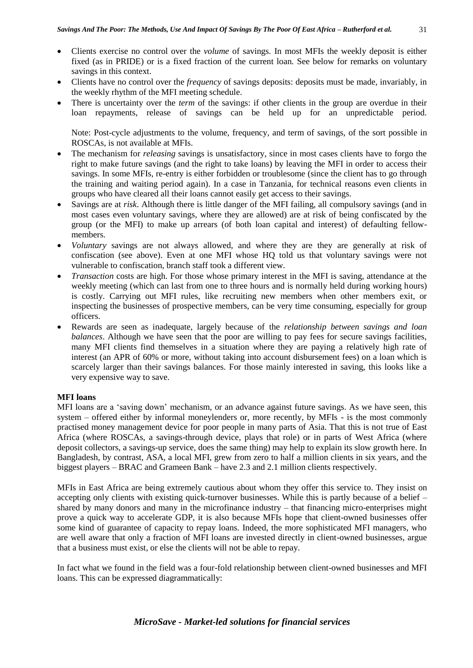- Clients exercise no control over the *volume* of savings. In most MFIs the weekly deposit is either fixed (as in PRIDE) or is a fixed fraction of the current loan. See below for remarks on voluntary savings in this context.
- Clients have no control over the *frequency* of savings deposits: deposits must be made, invariably, in the weekly rhythm of the MFI meeting schedule.
- There is uncertainty over the *term* of the savings: if other clients in the group are overdue in their loan repayments, release of savings can be held up for an unpredictable period.

Note: Post-cycle adjustments to the volume, frequency, and term of savings, of the sort possible in ROSCAs, is not available at MFIs.

- The mechanism for *releasing* savings is unsatisfactory, since in most cases clients have to forgo the right to make future savings (and the right to take loans) by leaving the MFI in order to access their savings. In some MFIs, re-entry is either forbidden or troublesome (since the client has to go through the training and waiting period again). In a case in Tanzania, for technical reasons even clients in groups who have cleared all their loans cannot easily get access to their savings.
- Savings are at *risk*. Although there is little danger of the MFI failing, all compulsory savings (and in most cases even voluntary savings, where they are allowed) are at risk of being confiscated by the group (or the MFI) to make up arrears (of both loan capital and interest) of defaulting fellowmembers.
- *Voluntary* savings are not always allowed, and where they are they are generally at risk of confiscation (see above). Even at one MFI whose HQ told us that voluntary savings were not vulnerable to confiscation, branch staff took a different view.
- *Transaction* costs are high. For those whose primary interest in the MFI is saving, attendance at the weekly meeting (which can last from one to three hours and is normally held during working hours) is costly. Carrying out MFI rules, like recruiting new members when other members exit, or inspecting the businesses of prospective members, can be very time consuming, especially for group officers.
- Rewards are seen as inadequate, largely because of the *relationship between savings and loan balances*. Although we have seen that the poor are willing to pay fees for secure savings facilities, many MFI clients find themselves in a situation where they are paying a relatively high rate of interest (an APR of 60% or more, without taking into account disbursement fees) on a loan which is scarcely larger than their savings balances. For those mainly interested in saving, this looks like a very expensive way to save.

# **MFI loans**

MFI loans are a 'saving down' mechanism, or an advance against future savings. As we have seen, this system – offered either by informal moneylenders or, more recently, by MFIs - is the most commonly practised money management device for poor people in many parts of Asia. That this is not true of East Africa (where ROSCAs, a savings-through device, plays that role) or in parts of West Africa (where deposit collectors, a savings-up service, does the same thing) may help to explain its slow growth here. In Bangladesh, by contrast, ASA, a local MFI, grew from zero to half a million clients in six years, and the biggest players – BRAC and Grameen Bank – have 2.3 and 2.1 million clients respectively.

MFIs in East Africa are being extremely cautious about whom they offer this service to. They insist on accepting only clients with existing quick-turnover businesses. While this is partly because of a belief – shared by many donors and many in the microfinance industry – that financing micro-enterprises might prove a quick way to accelerate GDP, it is also because MFIs hope that client-owned businesses offer some kind of guarantee of capacity to repay loans. Indeed, the more sophisticated MFI managers, who are well aware that only a fraction of MFI loans are invested directly in client-owned businesses, argue that a business must exist, or else the clients will not be able to repay.

In fact what we found in the field was a four-fold relationship between client-owned businesses and MFI loans. This can be expressed diagrammatically: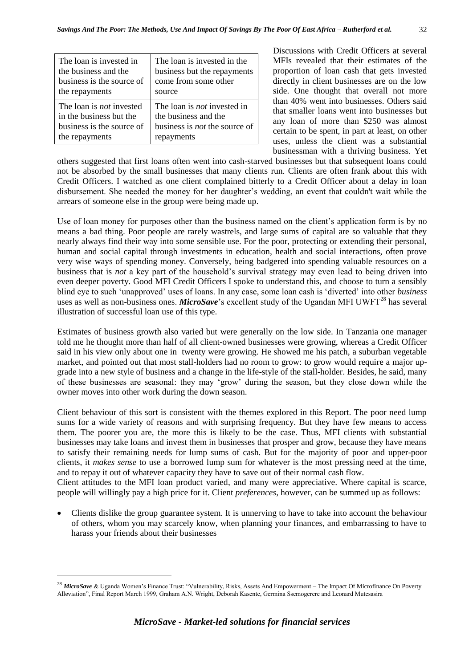| The loan is invested in         | The loan is invested in the          |
|---------------------------------|--------------------------------------|
| the business and the            | business but the repayments          |
| business is the source of       | come from some other                 |
| the repayments                  | source                               |
| The loan is <i>not</i> invested | The loan is <i>not</i> invested in   |
| in the business but the         | the business and the                 |
| business is the source of       | business is <i>not</i> the source of |
| the repayments                  | repayments                           |

Discussions with Credit Officers at several MFIs revealed that their estimates of the proportion of loan cash that gets invested directly in client businesses are on the low side. One thought that overall not more than 40% went into businesses. Others said that smaller loans went into businesses but any loan of more than \$250 was almost certain to be spent, in part at least, on other uses, unless the client was a substantial businessman with a thriving business. Yet

others suggested that first loans often went into cash-starved businesses but that subsequent loans could not be absorbed by the small businesses that many clients run. Clients are often frank about this with Credit Officers. I watched as one client complained bitterly to a Credit Officer about a delay in loan disbursement. She needed the money for her daughter's wedding, an event that couldn't wait while the arrears of someone else in the group were being made up.

Use of loan money for purposes other than the business named on the client's application form is by no means a bad thing. Poor people are rarely wastrels, and large sums of capital are so valuable that they nearly always find their way into some sensible use. For the poor, protecting or extending their personal, human and social capital through investments in education, health and social interactions, often prove very wise ways of spending money. Conversely, being badgered into spending valuable resources on a business that is *not* a key part of the household's survival strategy may even lead to being driven into even deeper poverty. Good MFI Credit Officers I spoke to understand this, and choose to turn a sensibly blind eye to such 'unapproved' uses of loans. In any case, some loan cash is 'diverted' into other *business*  uses as well as non-business ones. *MicroSave*'s excellent study of the Ugandan MFI UWFT<sup>28</sup> has several illustration of successful loan use of this type.

Estimates of business growth also varied but were generally on the low side. In Tanzania one manager told me he thought more than half of all client-owned businesses were growing, whereas a Credit Officer said in his view only about one in twenty were growing. He showed me his patch, a suburban vegetable market, and pointed out that most stall-holders had no room to grow: to grow would require a major upgrade into a new style of business and a change in the life-style of the stall-holder. Besides, he said, many of these businesses are seasonal: they may 'grow' during the season, but they close down while the owner moves into other work during the down season.

Client behaviour of this sort is consistent with the themes explored in this Report. The poor need lump sums for a wide variety of reasons and with surprising frequency. But they have few means to access them. The poorer you are, the more this is likely to be the case. Thus, MFI clients with substantial businesses may take loans and invest them in businesses that prosper and grow, because they have means to satisfy their remaining needs for lump sums of cash. But for the majority of poor and upper-poor clients, it *makes sense* to use a borrowed lump sum for whatever is the most pressing need at the time, and to repay it out of whatever capacity they have to save out of their normal cash flow.

Client attitudes to the MFI loan product varied, and many were appreciative. Where capital is scarce, people will willingly pay a high price for it. Client *preferences*, however, can be summed up as follows:

 Clients dislike the group guarantee system. It is unnerving to have to take into account the behaviour of others, whom you may scarcely know, when planning your finances, and embarrassing to have to harass your friends about their businesses

<u>.</u>

<sup>28</sup> *MicroSave* & Uganda Women's Finance Trust: "Vulnerability, Risks, Assets And Empowerment – The Impact Of Microfinance On Poverty Alleviation", Final Report March 1999, Graham A.N. Wright, Deborah Kasente, Germina Ssemogerere and Leonard Mutesasira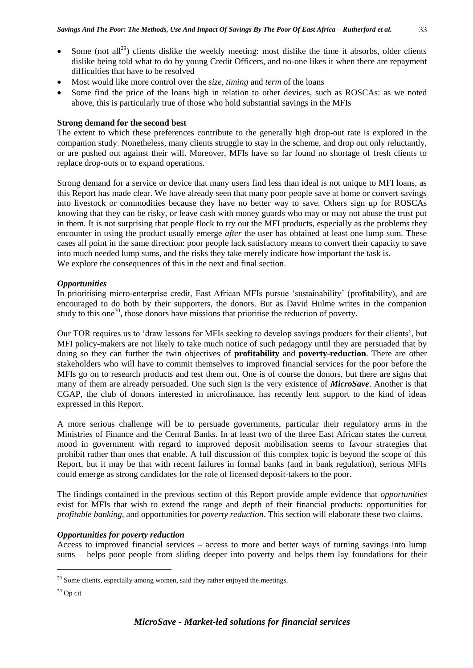- Most would like more control over the *size*, *timing* and *term* of the loans
- Some find the price of the loans high in relation to other devices, such as ROSCAs: as we noted above, this is particularly true of those who hold substantial savings in the MFIs

# **Strong demand for the second best**

The extent to which these preferences contribute to the generally high drop-out rate is explored in the companion study. Nonetheless, many clients struggle to stay in the scheme, and drop out only reluctantly, or are pushed out against their will. Moreover, MFIs have so far found no shortage of fresh clients to replace drop-outs or to expand operations.

Strong demand for a service or device that many users find less than ideal is not unique to MFI loans, as this Report has made clear. We have already seen that many poor people save at home or convert savings into livestock or commodities because they have no better way to save. Others sign up for ROSCAs knowing that they can be risky, or leave cash with money guards who may or may not abuse the trust put in them. It is not surprising that people flock to try out the MFI products, especially as the problems they encounter in using the product usually emerge *after* the user has obtained at least one lump sum. These cases all point in the same direction: poor people lack satisfactory means to convert their capacity to save into much needed lump sums, and the risks they take merely indicate how important the task is. We explore the consequences of this in the next and final section.

# *Opportunities*

In prioritising micro-enterprise credit, East African MFIs pursue 'sustainability' (profitability), and are encouraged to do both by their supporters, the donors. But as David Hulme writes in the companion study to this one<sup>30</sup>, those donors have missions that prioritise the reduction of poverty.

Our TOR requires us to 'draw lessons for MFIs seeking to develop savings products for their clients', but MFI policy-makers are not likely to take much notice of such pedagogy until they are persuaded that by doing so they can further the twin objectives of **profitability** and **poverty**-**reduction**. There are other stakeholders who will have to commit themselves to improved financial services for the poor before the MFIs go on to research products and test them out. One is of course the donors, but there are signs that many of them are already persuaded. One such sign is the very existence of *MicroSave*. Another is that CGAP, the club of donors interested in microfinance, has recently lent support to the kind of ideas expressed in this Report.

A more serious challenge will be to persuade governments, particular their regulatory arms in the Ministries of Finance and the Central Banks. In at least two of the three East African states the current mood in government with regard to improved deposit mobilisation seems to favour strategies that prohibit rather than ones that enable. A full discussion of this complex topic is beyond the scope of this Report, but it may be that with recent failures in formal banks (and in bank regulation), serious MFIs could emerge as strong candidates for the role of licensed deposit-takers to the poor.

The findings contained in the previous section of this Report provide ample evidence that *opportunities* exist for MFIs that wish to extend the range and depth of their financial products: opportunities for *profitable banking*, and opportunities for *poverty reduction*. This section will elaborate these two claims.

# *Opportunities for poverty reduction*

Access to improved financial services – access to more and better ways of turning savings into lump sums – helps poor people from sliding deeper into poverty and helps them lay foundations for their

1

<sup>&</sup>lt;sup>29</sup> Some clients, especially among women, said they rather enjoyed the meetings.

<sup>30</sup> Op cit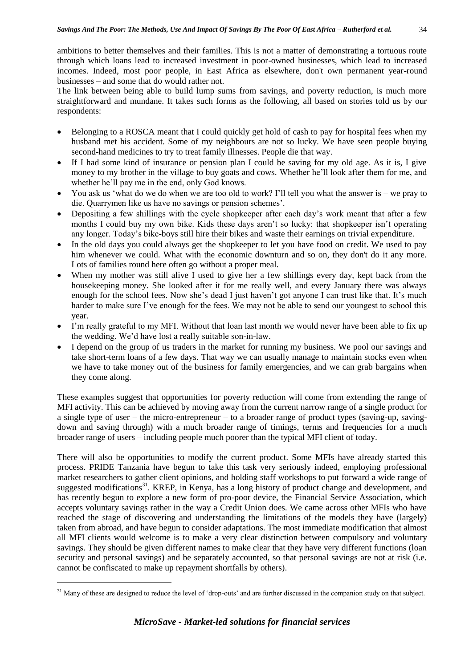ambitions to better themselves and their families. This is not a matter of demonstrating a tortuous route through which loans lead to increased investment in poor-owned businesses, which lead to increased incomes. Indeed, most poor people, in East Africa as elsewhere, don't own permanent year-round businesses – and some that do would rather not.

The link between being able to build lump sums from savings, and poverty reduction, is much more straightforward and mundane. It takes such forms as the following, all based on stories told us by our respondents:

- Belonging to a ROSCA meant that I could quickly get hold of cash to pay for hospital fees when my husband met his accident. Some of my neighbours are not so lucky. We have seen people buying second-hand medicines to try to treat family illnesses. People die that way.
- If I had some kind of insurance or pension plan I could be saving for my old age. As it is, I give money to my brother in the village to buy goats and cows. Whether he'll look after them for me, and whether he'll pay me in the end, only God knows.
- You ask us 'what do we do when we are too old to work? I'll tell you what the answer is we pray to die. Quarrymen like us have no savings or pension schemes'.
- Depositing a few shillings with the cycle shopkeeper after each day's work meant that after a few months I could buy my own bike. Kids these days aren't so lucky: that shopkeeper isn't operating any longer. Today's bike-boys still hire their bikes and waste their earnings on trivial expenditure.
- In the old days you could always get the shopkeeper to let you have food on credit. We used to pay him whenever we could. What with the economic downturn and so on, they don't do it any more. Lots of families round here often go without a proper meal.
- When my mother was still alive I used to give her a few shillings every day, kept back from the housekeeping money. She looked after it for me really well, and every January there was always enough for the school fees. Now she's dead I just haven't got anyone I can trust like that. It's much harder to make sure I've enough for the fees. We may not be able to send our youngest to school this year.
- I'm really grateful to my MFI. Without that loan last month we would never have been able to fix up the wedding. We'd have lost a really suitable son-in-law.
- I depend on the group of us traders in the market for running my business. We pool our savings and take short-term loans of a few days. That way we can usually manage to maintain stocks even when we have to take money out of the business for family emergencies, and we can grab bargains when they come along.

These examples suggest that opportunities for poverty reduction will come from extending the range of MFI activity. This can be achieved by moving away from the current narrow range of a single product for a single type of user – the micro-entrepreneur – to a broader range of product types (saving-up, savingdown and saving through) with a much broader range of timings, terms and frequencies for a much broader range of users – including people much poorer than the typical MFI client of today.

There will also be opportunities to modify the current product. Some MFIs have already started this process. PRIDE Tanzania have begun to take this task very seriously indeed, employing professional market researchers to gather client opinions, and holding staff workshops to put forward a wide range of suggested modifications<sup>31</sup>. KREP, in Kenya, has a long history of product change and development, and has recently begun to explore a new form of pro-poor device, the Financial Service Association, which accepts voluntary savings rather in the way a Credit Union does. We came across other MFIs who have reached the stage of discovering and understanding the limitations of the models they have (largely) taken from abroad, and have begun to consider adaptations. The most immediate modification that almost all MFI clients would welcome is to make a very clear distinction between compulsory and voluntary savings. They should be given different names to make clear that they have very different functions (loan security and personal savings) and be separately accounted, so that personal savings are not at risk (i.e. cannot be confiscated to make up repayment shortfalls by others).

1

<sup>&</sup>lt;sup>31</sup> Many of these are designed to reduce the level of 'drop-outs' and are further discussed in the companion study on that subject.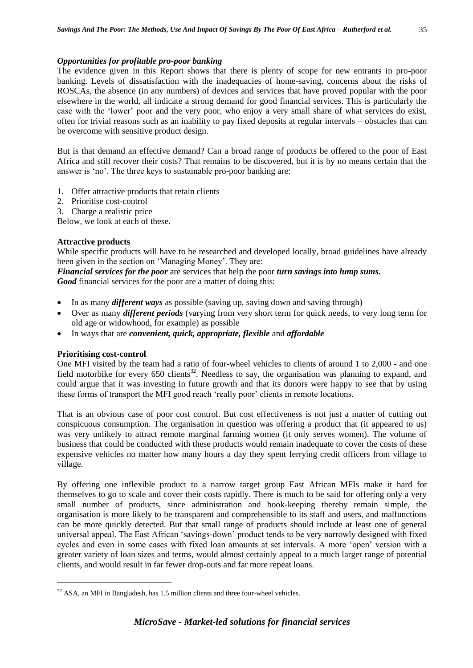#### *Opportunities for profitable pro-poor banking*

The evidence given in this Report shows that there is plenty of scope for new entrants in pro-poor banking. Levels of dissatisfaction with the inadequacies of home-saving, concerns about the risks of ROSCAs, the absence (in any numbers) of devices and services that have proved popular with the poor elsewhere in the world, all indicate a strong demand for good financial services. This is particularly the case with the 'lower' poor and the very poor, who enjoy a very small share of what services do exist, often for trivial reasons such as an inability to pay fixed deposits at regular intervals – obstacles that can be overcome with sensitive product design.

But is that demand an effective demand? Can a broad range of products be offered to the poor of East Africa and still recover their costs? That remains to be discovered, but it is by no means certain that the answer is 'no'. The three keys to sustainable pro-poor banking are:

- 1. Offer attractive products that retain clients
- 2. Prioritise cost-control
- 3. Charge a realistic price

Below, we look at each of these.

#### **Attractive products**

While specific products will have to be researched and developed locally, broad guidelines have already been given in the section on 'Managing Money'. They are:

*Financial services for the poor* are services that help the poor *turn savings into lump sums. Good* financial services for the poor are a matter of doing this:

- In as many *different ways* as possible (saving up, saving down and saving through)
- Over as many *different periods* (varying from very short term for quick needs, to very long term for old age or widowhood, for example) as possible
- In ways that are *convenient, quick, appropriate, flexible* and *affordable*

#### **Prioritising cost-control**

1

One MFI visited by the team had a ratio of four-wheel vehicles to clients of around 1 to 2,000 - and one field motorbike for every 650 clients<sup>32</sup>. Needless to say, the organisation was planning to expand, and could argue that it was investing in future growth and that its donors were happy to see that by using these forms of transport the MFI good reach 'really poor' clients in remote locations.

That is an obvious case of poor cost control. But cost effectiveness is not just a matter of cutting out conspicuous consumption. The organisation in question was offering a product that (it appeared to us) was very unlikely to attract remote marginal farming women (it only serves women). The volume of business that could be conducted with these products would remain inadequate to cover the costs of these expensive vehicles no matter how many hours a day they spent ferrying credit officers from village to village.

By offering one inflexible product to a narrow target group East African MFIs make it hard for themselves to go to scale and cover their costs rapidly. There is much to be said for offering only a very small number of products, since administration and book-keeping thereby remain simple, the organisation is more likely to be transparent and comprehensible to its staff and users, and malfunctions can be more quickly detected. But that small range of products should include at least one of general universal appeal. The East African 'savings-down' product tends to be very narrowly designed with fixed cycles and even in some cases with fixed loan amounts at set intervals. A more 'open' version with a greater variety of loan sizes and terms, would almost certainly appeal to a much larger range of potential clients, and would result in far fewer drop-outs and far more repeat loans.

<sup>&</sup>lt;sup>32</sup> ASA, an MFI in Bangladesh, has 1.5 million clients and three four-wheel vehicles.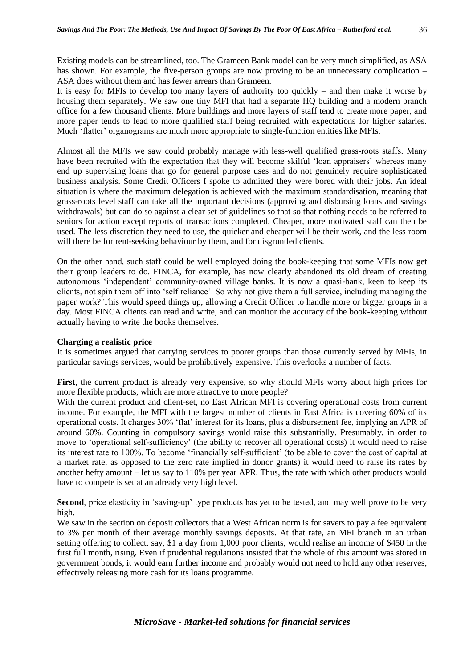Existing models can be streamlined, too. The Grameen Bank model can be very much simplified, as ASA has shown. For example, the five-person groups are now proving to be an unnecessary complication – ASA does without them and has fewer arrears than Grameen.

It is easy for MFIs to develop too many layers of authority too quickly – and then make it worse by housing them separately. We saw one tiny MFI that had a separate HQ building and a modern branch office for a few thousand clients. More buildings and more layers of staff tend to create more paper, and more paper tends to lead to more qualified staff being recruited with expectations for higher salaries. Much 'flatter' organograms are much more appropriate to single-function entities like MFIs.

Almost all the MFIs we saw could probably manage with less-well qualified grass-roots staffs. Many have been recruited with the expectation that they will become skilful 'loan appraisers' whereas many end up supervising loans that go for general purpose uses and do not genuinely require sophisticated business analysis. Some Credit Officers I spoke to admitted they were bored with their jobs. An ideal situation is where the maximum delegation is achieved with the maximum standardisation, meaning that grass-roots level staff can take all the important decisions (approving and disbursing loans and savings withdrawals) but can do so against a clear set of guidelines so that so that nothing needs to be referred to seniors for action except reports of transactions completed. Cheaper, more motivated staff can then be used. The less discretion they need to use, the quicker and cheaper will be their work, and the less room will there be for rent-seeking behaviour by them, and for disgruntled clients.

On the other hand, such staff could be well employed doing the book-keeping that some MFIs now get their group leaders to do. FINCA, for example, has now clearly abandoned its old dream of creating autonomous 'independent' community-owned village banks. It is now a quasi-bank, keen to keep its clients, not spin them off into 'self reliance'. So why not give them a full service, including managing the paper work? This would speed things up, allowing a Credit Officer to handle more or bigger groups in a day. Most FINCA clients can read and write, and can monitor the accuracy of the book-keeping without actually having to write the books themselves.

#### **Charging a realistic price**

It is sometimes argued that carrying services to poorer groups than those currently served by MFIs, in particular savings services, would be prohibitively expensive. This overlooks a number of facts.

**First**, the current product is already very expensive, so why should MFIs worry about high prices for more flexible products, which are more attractive to more people?

With the current product and client-set, no East African MFI is covering operational costs from current income. For example, the MFI with the largest number of clients in East Africa is covering 60% of its operational costs. It charges 30% 'flat' interest for its loans, plus a disbursement fee, implying an APR of around 60%. Counting in compulsory savings would raise this substantially. Presumably, in order to move to 'operational self-sufficiency' (the ability to recover all operational costs) it would need to raise its interest rate to 100%. To become 'financially self-sufficient' (to be able to cover the cost of capital at a market rate, as opposed to the zero rate implied in donor grants) it would need to raise its rates by another hefty amount – let us say to 110% per year APR. Thus, the rate with which other products would have to compete is set at an already very high level.

**Second**, price elasticity in 'saving-up' type products has yet to be tested, and may well prove to be very high.

We saw in the section on deposit collectors that a West African norm is for savers to pay a fee equivalent to 3% per month of their average monthly savings deposits. At that rate, an MFI branch in an urban setting offering to collect, say, \$1 a day from 1,000 poor clients, would realise an income of \$450 in the first full month, rising. Even if prudential regulations insisted that the whole of this amount was stored in government bonds, it would earn further income and probably would not need to hold any other reserves, effectively releasing more cash for its loans programme.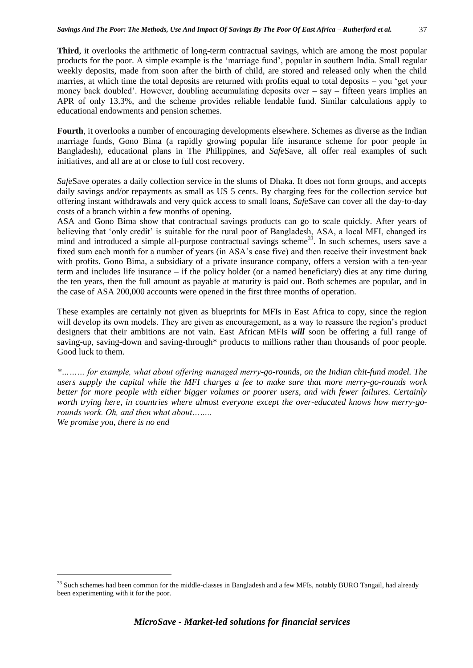**Third**, it overlooks the arithmetic of long-term contractual savings, which are among the most popular products for the poor. A simple example is the 'marriage fund', popular in southern India. Small regular weekly deposits, made from soon after the birth of child, are stored and released only when the child marries, at which time the total deposits are returned with profits equal to total deposits – you 'get your money back doubled'. However, doubling accumulating deposits over  $-$  say  $-$  fifteen years implies an APR of only 13.3%, and the scheme provides reliable lendable fund. Similar calculations apply to educational endowments and pension schemes.

**Fourth**, it overlooks a number of encouraging developments elsewhere. Schemes as diverse as the Indian marriage funds, Gono Bima (a rapidly growing popular life insurance scheme for poor people in Bangladesh), educational plans in The Philippines, and *Safe*Save, all offer real examples of such initiatives, and all are at or close to full cost recovery.

*Safe*Save operates a daily collection service in the slums of Dhaka. It does not form groups, and accepts daily savings and/or repayments as small as US 5 cents. By charging fees for the collection service but offering instant withdrawals and very quick access to small loans, *Safe*Save can cover all the day-to-day costs of a branch within a few months of opening.

ASA and Gono Bima show that contractual savings products can go to scale quickly. After years of believing that 'only credit' is suitable for the rural poor of Bangladesh, ASA, a local MFI, changed its mind and introduced a simple all-purpose contractual savings scheme<sup>33</sup>. In such schemes, users save a fixed sum each month for a number of years (in ASA's case five) and then receive their investment back with profits. Gono Bima, a subsidiary of a private insurance company, offers a version with a ten-year term and includes life insurance – if the policy holder (or a named beneficiary) dies at any time during the ten years, then the full amount as payable at maturity is paid out. Both schemes are popular, and in the case of ASA 200,000 accounts were opened in the first three months of operation.

These examples are certainly not given as blueprints for MFIs in East Africa to copy, since the region will develop its own models. They are given as encouragement, as a way to reassure the region's product designers that their ambitions are not vain. East African MFIs *will* soon be offering a full range of saving-up, saving-down and saving-through\* products to millions rather than thousands of poor people. Good luck to them.

*\*……… for example, what about offering managed merry-go-rounds, on the Indian chit-fund model. The users supply the capital while the MFI charges a fee to make sure that more merry-go-rounds work better for more people with either bigger volumes or poorer users, and with fewer failures. Certainly worth trying here, in countries where almost everyone except the over-educated knows how merry-gorounds work. Oh, and then what about……..*

1

*We promise you, there is no end*

<sup>&</sup>lt;sup>33</sup> Such schemes had been common for the middle-classes in Bangladesh and a few MFIs, notably BURO Tangail, had already been experimenting with it for the poor.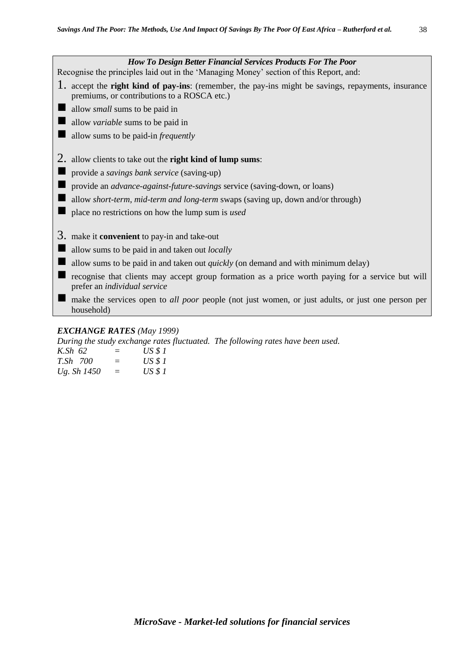| <b>How To Design Better Financial Services Products For The Poor</b><br>Recognise the principles laid out in the 'Managing Money' section of this Report, and: |
|----------------------------------------------------------------------------------------------------------------------------------------------------------------|
| 1. accept the right kind of pay-ins: (remember, the pay-ins might be savings, repayments, insurance<br>premiums, or contributions to a ROSCA etc.)             |
| allow <i>small</i> sums to be paid in                                                                                                                          |
| allow <i>variable</i> sums to be paid in                                                                                                                       |
| allow sums to be paid-in <i>frequently</i>                                                                                                                     |
|                                                                                                                                                                |
| allow clients to take out the right kind of lump sums:                                                                                                         |
| provide a savings bank service (saving-up)                                                                                                                     |
| provide an <i>advance-against-future-savings</i> service (saving-down, or loans)                                                                               |
| allow <i>short-term, mid-term and long-term</i> swaps (saving up, down and/or through)                                                                         |
| place no restrictions on how the lump sum is used                                                                                                              |
|                                                                                                                                                                |
| $3.$ make it <b>convenient</b> to pay-in and take-out                                                                                                          |
| allow sums to be paid in and taken out <i>locally</i>                                                                                                          |
| allow sums to be paid in and taken out <i>quickly</i> (on demand and with minimum delay)                                                                       |
| recognise that clients may accept group formation as a price worth paying for a service but will<br>prefer an individual service                               |
| make the services open to <i>all poor</i> people (not just women, or just adults, or just one person per<br>household)                                         |
| <b>EXCHANGE RATES</b> (May 1999)                                                                                                                               |

#### *EXCHANGE RATES (May 1999)*

*During the study exchange rates fluctuated. The following rates have been used.*

| K.Sh 62         | $=$ | USS1           |
|-----------------|-----|----------------|
| <i>T.Sh 700</i> | $=$ | <i>US \$ 1</i> |
| Ug. Sh 1450     | $=$ | <i>US \$ 1</i> |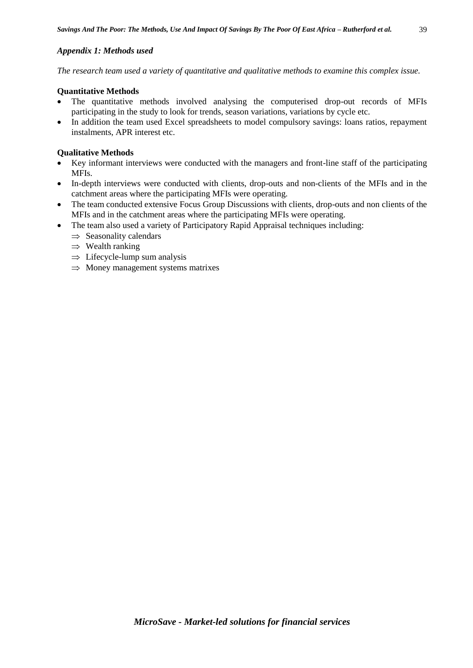# *Appendix 1: Methods used*

*The research team used a variety of quantitative and qualitative methods to examine this complex issue.*

#### **Quantitative Methods**

- The quantitative methods involved analysing the computerised drop-out records of MFIs participating in the study to look for trends, season variations, variations by cycle etc.
- In addition the team used Excel spreadsheets to model compulsory savings: loans ratios, repayment instalments, APR interest etc.

# **Qualitative Methods**

- Key informant interviews were conducted with the managers and front-line staff of the participating MFIs.
- In-depth interviews were conducted with clients, drop-outs and non-clients of the MFIs and in the catchment areas where the participating MFIs were operating.
- The team conducted extensive Focus Group Discussions with clients, drop-outs and non clients of the MFIs and in the catchment areas where the participating MFIs were operating.
- The team also used a variety of Participatory Rapid Appraisal techniques including:
	- $\Rightarrow$  Seasonality calendars
	- $\Rightarrow$  Wealth ranking
	- $\Rightarrow$  Lifecycle-lump sum analysis
	- $\Rightarrow$  Money management systems matrixes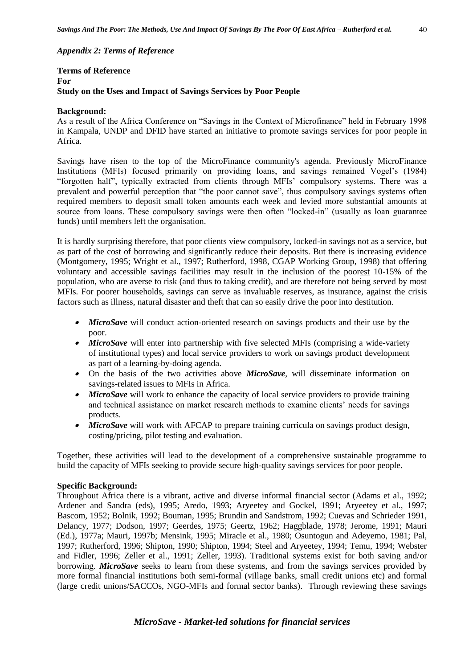# *Appendix 2: Terms of Reference*

#### **Terms of Reference For Study on the Uses and Impact of Savings Services by Poor People**

#### **Background:**

As a result of the Africa Conference on "Savings in the Context of Microfinance" held in February 1998 in Kampala, UNDP and DFID have started an initiative to promote savings services for poor people in Africa.

Savings have risen to the top of the MicroFinance community's agenda. Previously MicroFinance Institutions (MFIs) focused primarily on providing loans, and savings remained Vogel's (1984) "forgotten half", typically extracted from clients through MFIs' compulsory systems. There was a prevalent and powerful perception that "the poor cannot save", thus compulsory savings systems often required members to deposit small token amounts each week and levied more substantial amounts at source from loans. These compulsory savings were then often "locked-in" (usually as loan guarantee funds) until members left the organisation.

It is hardly surprising therefore, that poor clients view compulsory, locked-in savings not as a service, but as part of the cost of borrowing and significantly reduce their deposits. But there is increasing evidence (Montgomery, 1995; Wright et al., 1997; Rutherford, 1998, CGAP Working Group, 1998) that offering voluntary and accessible savings facilities may result in the inclusion of the poorest 10-15% of the population, who are averse to risk (and thus to taking credit), and are therefore not being served by most MFIs. For poorer households, savings can serve as invaluable reserves, as insurance, against the crisis factors such as illness, natural disaster and theft that can so easily drive the poor into destitution.

- *MicroSave* will conduct action-oriented research on savings products and their use by the poor.
- *MicroSave* will enter into partnership with five selected MFIs (comprising a wide-variety of institutional types) and local service providers to work on savings product development as part of a learning-by-doing agenda.
- On the basis of the two activities above *MicroSave*, will disseminate information on savings-related issues to MFIs in Africa.
- $\bullet$ *MicroSave* will work to enhance the capacity of local service providers to provide training and technical assistance on market research methods to examine clients' needs for savings products.
- *MicroSave* will work with AFCAP to prepare training curricula on savings product design, costing/pricing, pilot testing and evaluation.

Together, these activities will lead to the development of a comprehensive sustainable programme to build the capacity of MFIs seeking to provide secure high-quality savings services for poor people.

#### **Specific Background:**

Throughout Africa there is a vibrant, active and diverse informal financial sector (Adams et al., 1992; Ardener and Sandra (eds), 1995; Aredo, 1993; Aryeetey and Gockel, 1991; Aryeetey et al., 1997; Bascom, 1952; Bolnik, 1992; Bouman, 1995; Brundin and Sandstrom, 1992; Cuevas and Schrieder 1991, Delancy, 1977; Dodson, 1997; Geerdes, 1975; Geertz, 1962; Haggblade, 1978; Jerome, 1991; Mauri (Ed.), 1977a; Mauri, 1997b; Mensink, 1995; Miracle et al., 1980; Osuntogun and Adeyemo, 1981; Pal, 1997; Rutherford, 1996; Shipton, 1990; Shipton, 1994; Steel and Aryeetey, 1994; Temu, 1994; Webster and Fidler, 1996; Zeller et al., 1991; Zeller, 1993). Traditional systems exist for both saving and/or borrowing. *MicroSave* seeks to learn from these systems, and from the savings services provided by more formal financial institutions both semi-formal (village banks, small credit unions etc) and formal (large credit unions/SACCOs, NGO-MFIs and formal sector banks). Through reviewing these savings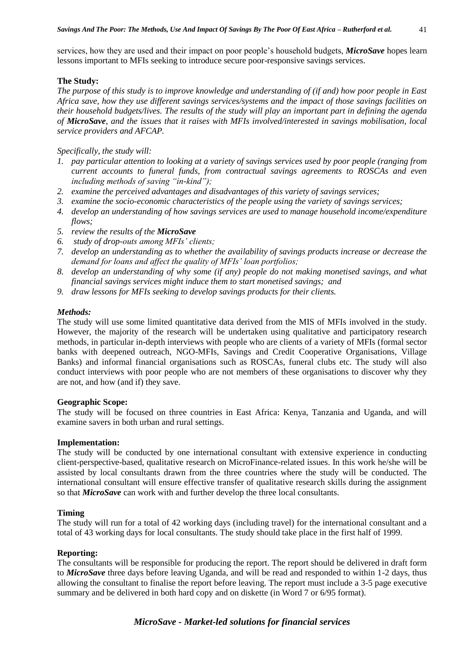services, how they are used and their impact on poor people's household budgets, *MicroSave* hopes learn lessons important to MFIs seeking to introduce secure poor-responsive savings services.

#### **The Study:**

*The purpose of this study is to improve knowledge and understanding of (if and) how poor people in East Africa save, how they use different savings services/systems and the impact of those savings facilities on their household budgets/lives. The results of the study will play an important part in defining the agenda of MicroSave, and the issues that it raises with MFIs involved/interested in savings mobilisation, local service providers and AFCAP.* 

*Specifically, the study will:*

- *1. pay particular attention to looking at a variety of savings services used by poor people (ranging from current accounts to funeral funds, from contractual savings agreements to ROSCAs and even including methods of saving "in-kind");*
- *2. examine the perceived advantages and disadvantages of this variety of savings services;*
- *3. examine the socio-economic characteristics of the people using the variety of savings services;*
- *4. develop an understanding of how savings services are used to manage household income/expenditure flows;*
- *5. review the results of the MicroSave*
- *6. study of drop-outs among MFIs' clients;*
- *7. develop an understanding as to whether the availability of savings products increase or decrease the demand for loans and affect the quality of MFIs' loan portfolios;*
- *8. develop an understanding of why some (if any) people do not making monetised savings, and what financial savings services might induce them to start monetised savings; and*
- *9. draw lessons for MFIs seeking to develop savings products for their clients.*

#### *Methods:*

The study will use some limited quantitative data derived from the MIS of MFIs involved in the study. However, the majority of the research will be undertaken using qualitative and participatory research methods, in particular in-depth interviews with people who are clients of a variety of MFIs (formal sector banks with deepened outreach, NGO-MFIs, Savings and Credit Cooperative Organisations, Village Banks) and informal financial organisations such as ROSCAs, funeral clubs etc. The study will also conduct interviews with poor people who are not members of these organisations to discover why they are not, and how (and if) they save.

#### **Geographic Scope:**

The study will be focused on three countries in East Africa: Kenya, Tanzania and Uganda, and will examine savers in both urban and rural settings.

#### **Implementation:**

The study will be conducted by one international consultant with extensive experience in conducting client-perspective-based, qualitative research on MicroFinance-related issues. In this work he/she will be assisted by local consultants drawn from the three countries where the study will be conducted. The international consultant will ensure effective transfer of qualitative research skills during the assignment so that *MicroSave* can work with and further develop the three local consultants.

#### **Timing**

The study will run for a total of 42 working days (including travel) for the international consultant and a total of 43 working days for local consultants. The study should take place in the first half of 1999.

#### **Reporting:**

The consultants will be responsible for producing the report. The report should be delivered in draft form to *MicroSave* three days before leaving Uganda, and will be read and responded to within 1-2 days, thus allowing the consultant to finalise the report before leaving. The report must include a 3-5 page executive summary and be delivered in both hard copy and on diskette (in Word 7 or 6/95 format).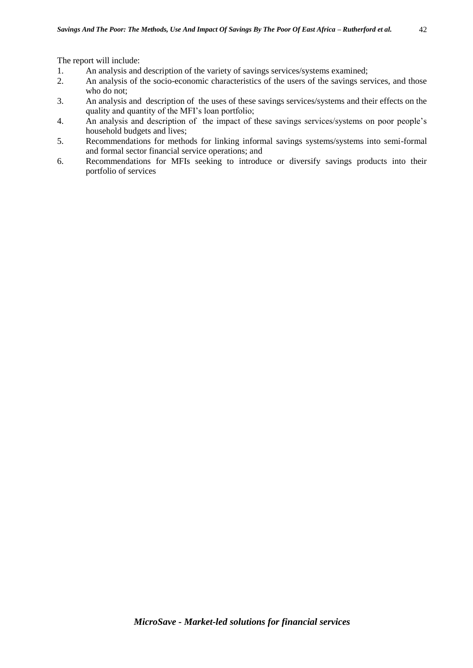The report will include:

- 1. An analysis and description of the variety of savings services/systems examined;
- 2. An analysis of the socio-economic characteristics of the users of the savings services, and those who do not;
- 3. An analysis and description of the uses of these savings services/systems and their effects on the quality and quantity of the MFI's loan portfolio;
- 4. An analysis and description of the impact of these savings services/systems on poor people's household budgets and lives;
- 5. Recommendations for methods for linking informal savings systems/systems into semi-formal and formal sector financial service operations; and
- 6. Recommendations for MFIs seeking to introduce or diversify savings products into their portfolio of services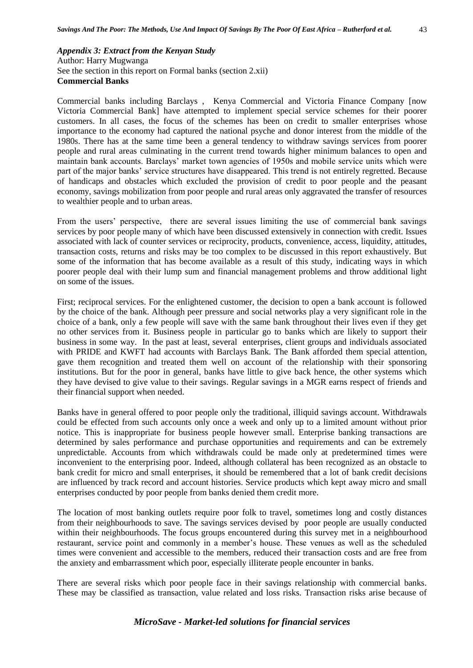*Appendix 3: Extract from the Kenyan Study*  Author: Harry Mugwanga See the section in this report on Formal banks (section 2.xii) **Commercial Banks**

Commercial banks including Barclays , Kenya Commercial and Victoria Finance Company [now Victoria Commercial Bank] have attempted to implement special service schemes for their poorer customers. In all cases, the focus of the schemes has been on credit to smaller enterprises whose importance to the economy had captured the national psyche and donor interest from the middle of the 1980s. There has at the same time been a general tendency to withdraw savings services from poorer people and rural areas culminating in the current trend towards higher minimum balances to open and maintain bank accounts. Barclays' market town agencies of 1950s and mobile service units which were part of the major banks' service structures have disappeared. This trend is not entirely regretted. Because of handicaps and obstacles which excluded the provision of credit to poor people and the peasant economy, savings mobilization from poor people and rural areas only aggravated the transfer of resources to wealthier people and to urban areas.

From the users' perspective, there are several issues limiting the use of commercial bank savings services by poor people many of which have been discussed extensively in connection with credit. Issues associated with lack of counter services or reciprocity, products, convenience, access, liquidity, attitudes, transaction costs, returns and risks may be too complex to be discussed in this report exhaustively. But some of the information that has become available as a result of this study, indicating ways in which poorer people deal with their lump sum and financial management problems and throw additional light on some of the issues.

First; reciprocal services. For the enlightened customer, the decision to open a bank account is followed by the choice of the bank. Although peer pressure and social networks play a very significant role in the choice of a bank, only a few people will save with the same bank throughout their lives even if they get no other services from it. Business people in particular go to banks which are likely to support their business in some way. In the past at least, several enterprises, client groups and individuals associated with PRIDE and KWFT had accounts with Barclays Bank. The Bank afforded them special attention, gave them recognition and treated them well on account of the relationship with their sponsoring institutions. But for the poor in general, banks have little to give back hence, the other systems which they have devised to give value to their savings. Regular savings in a MGR earns respect of friends and their financial support when needed.

Banks have in general offered to poor people only the traditional, illiquid savings account. Withdrawals could be effected from such accounts only once a week and only up to a limited amount without prior notice. This is inappropriate for business people however small. Enterprise banking transactions are determined by sales performance and purchase opportunities and requirements and can be extremely unpredictable. Accounts from which withdrawals could be made only at predetermined times were inconvenient to the enterprising poor. Indeed, although collateral has been recognized as an obstacle to bank credit for micro and small enterprises, it should be remembered that a lot of bank credit decisions are influenced by track record and account histories. Service products which kept away micro and small enterprises conducted by poor people from banks denied them credit more.

The location of most banking outlets require poor folk to travel, sometimes long and costly distances from their neighbourhoods to save. The savings services devised by poor people are usually conducted within their neighbourhoods. The focus groups encountered during this survey met in a neighbourhood restaurant, service point and commonly in a member's house. These venues as well as the scheduled times were convenient and accessible to the members, reduced their transaction costs and are free from the anxiety and embarrassment which poor, especially illiterate people encounter in banks.

There are several risks which poor people face in their savings relationship with commercial banks. These may be classified as transaction, value related and loss risks. Transaction risks arise because of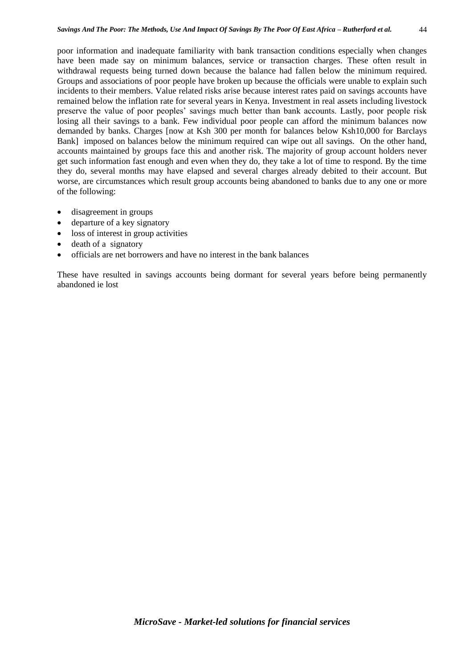poor information and inadequate familiarity with bank transaction conditions especially when changes have been made say on minimum balances, service or transaction charges. These often result in withdrawal requests being turned down because the balance had fallen below the minimum required. Groups and associations of poor people have broken up because the officials were unable to explain such incidents to their members. Value related risks arise because interest rates paid on savings accounts have remained below the inflation rate for several years in Kenya. Investment in real assets including livestock preserve the value of poor peoples' savings much better than bank accounts. Lastly, poor people risk losing all their savings to a bank. Few individual poor people can afford the minimum balances now demanded by banks. Charges [now at Ksh 300 per month for balances below Ksh10,000 for Barclays Bank] imposed on balances below the minimum required can wipe out all savings. On the other hand, accounts maintained by groups face this and another risk. The majority of group account holders never get such information fast enough and even when they do, they take a lot of time to respond. By the time they do, several months may have elapsed and several charges already debited to their account. But worse, are circumstances which result group accounts being abandoned to banks due to any one or more of the following:

- disagreement in groups
- departure of a key signatory
- loss of interest in group activities
- death of a signatory
- officials are net borrowers and have no interest in the bank balances

These have resulted in savings accounts being dormant for several years before being permanently abandoned ie lost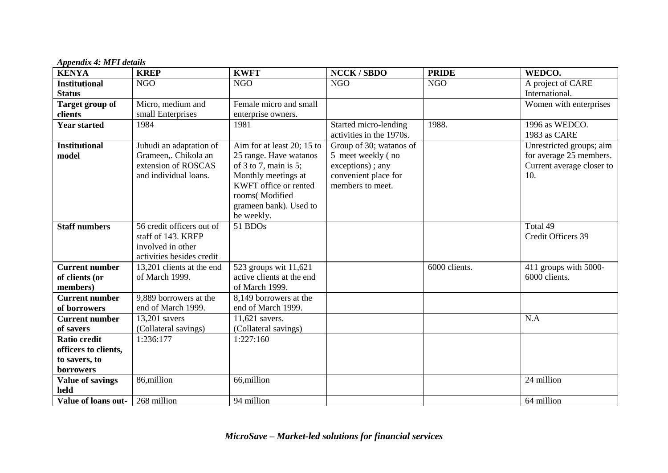*Appendix 4: MFI details*

| <b>KENYA</b>            | <b>KREP</b>                                     | <b>KWFT</b>                                             | <b>NCCK/SBDO</b>                                  | <b>PRIDE</b>  | WEDCO.                                               |
|-------------------------|-------------------------------------------------|---------------------------------------------------------|---------------------------------------------------|---------------|------------------------------------------------------|
| <b>Institutional</b>    | <b>NGO</b>                                      | <b>NGO</b>                                              | <b>NGO</b>                                        | <b>NGO</b>    | A project of CARE                                    |
| <b>Status</b>           |                                                 |                                                         |                                                   |               | International.                                       |
| Target group of         | Micro, medium and                               | Female micro and small                                  |                                                   |               | Women with enterprises                               |
| clients                 | small Enterprises                               | enterprise owners.                                      |                                                   |               |                                                      |
| <b>Year started</b>     | 1984                                            | 1981                                                    | Started micro-lending<br>activities in the 1970s. | 1988.         | 1996 as WEDCO.<br>1983 as CARE                       |
|                         |                                                 |                                                         |                                                   |               |                                                      |
| <b>Institutional</b>    | Juhudi an adaptation of<br>Grameen,. Chikola an | Aim for at least 20; 15 to                              | Group of 30; watanos of                           |               | Unrestricted groups; aim                             |
| model                   | extension of ROSCAS                             | 25 range. Have watanos<br>of $3$ to $7$ , main is $5$ ; | 5 meet weekly (no                                 |               | for average 25 members.<br>Current average closer to |
|                         | and individual loans.                           |                                                         | exceptions); any                                  |               | 10.                                                  |
|                         |                                                 | Monthly meetings at<br>KWFT office or rented            | convenient place for<br>members to meet.          |               |                                                      |
|                         |                                                 | rooms(Modified                                          |                                                   |               |                                                      |
|                         |                                                 | grameen bank). Used to                                  |                                                   |               |                                                      |
|                         |                                                 | be weekly.                                              |                                                   |               |                                                      |
| <b>Staff numbers</b>    | 56 credit officers out of                       | 51 BDOs                                                 |                                                   |               | Total 49                                             |
|                         | staff of 143. KREP                              |                                                         |                                                   |               | Credit Officers 39                                   |
|                         | involved in other                               |                                                         |                                                   |               |                                                      |
|                         | activities besides credit                       |                                                         |                                                   |               |                                                      |
| <b>Current number</b>   | 13,201 clients at the end                       | 523 groups wit 11,621                                   |                                                   | 6000 clients. | 411 groups with 5000-                                |
| of clients (or          | of March 1999.                                  | active clients at the end                               |                                                   |               | 6000 clients.                                        |
| members)                |                                                 | of March 1999.                                          |                                                   |               |                                                      |
| <b>Current number</b>   | 9,889 borrowers at the                          | 8,149 borrowers at the                                  |                                                   |               |                                                      |
| of borrowers            | end of March 1999.                              | end of March 1999.                                      |                                                   |               |                                                      |
| <b>Current number</b>   | 13,201 savers                                   | 11,621 savers.                                          |                                                   |               | N.A                                                  |
| of savers               | (Collateral savings)                            | (Collateral savings)                                    |                                                   |               |                                                      |
| <b>Ratio credit</b>     |                                                 |                                                         |                                                   |               |                                                      |
|                         | 1:236:177                                       | 1:227:160                                               |                                                   |               |                                                      |
| officers to clients,    |                                                 |                                                         |                                                   |               |                                                      |
| to savers, to           |                                                 |                                                         |                                                   |               |                                                      |
| borrowers               |                                                 |                                                         |                                                   |               |                                                      |
| <b>Value of savings</b> | 86,million                                      | 66,million                                              |                                                   |               | 24 million                                           |
| held                    |                                                 |                                                         |                                                   |               |                                                      |
| Value of loans out-     | 268 million                                     | 94 million                                              |                                                   |               | 64 million                                           |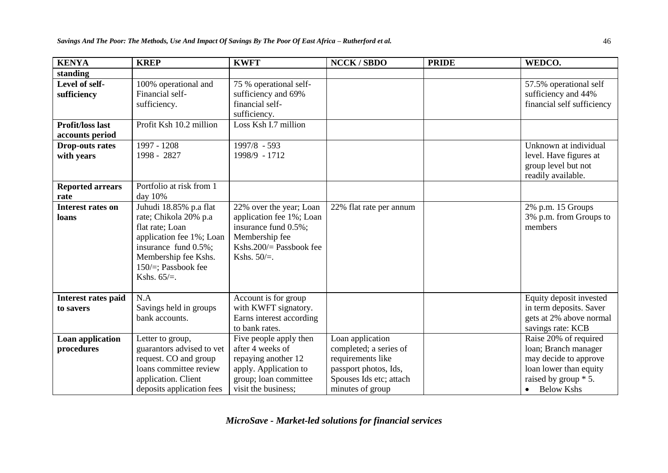| <b>KENYA</b>                               | <b>KREP</b>                                                                                                                                                                                 | <b>KWFT</b>                                                                                                                                  | <b>NCCK/SBDO</b>                                                                                                                        | <b>PRIDE</b> | WEDCO.                                                                                                                                   |
|--------------------------------------------|---------------------------------------------------------------------------------------------------------------------------------------------------------------------------------------------|----------------------------------------------------------------------------------------------------------------------------------------------|-----------------------------------------------------------------------------------------------------------------------------------------|--------------|------------------------------------------------------------------------------------------------------------------------------------------|
| standing                                   |                                                                                                                                                                                             |                                                                                                                                              |                                                                                                                                         |              |                                                                                                                                          |
| Level of self-<br>sufficiency              | 100% operational and<br>Financial self-<br>sufficiency.                                                                                                                                     | 75 % operational self-<br>sufficiency and 69%<br>financial self-<br>sufficiency.                                                             |                                                                                                                                         |              | 57.5% operational self<br>sufficiency and 44%<br>financial self sufficiency                                                              |
| <b>Profit/loss last</b><br>accounts period | Profit Ksh 10.2 million                                                                                                                                                                     | Loss Ksh I.7 million                                                                                                                         |                                                                                                                                         |              |                                                                                                                                          |
| <b>Drop-outs rates</b><br>with years       | 1997 - 1208<br>1998 - 2827                                                                                                                                                                  | 1997/8 - 593<br>1998/9 - 1712                                                                                                                |                                                                                                                                         |              | Unknown at individual<br>level. Have figures at<br>group level but not<br>readily available.                                             |
| <b>Reported arrears</b><br>rate            | Portfolio at risk from 1<br>day 10%                                                                                                                                                         |                                                                                                                                              |                                                                                                                                         |              |                                                                                                                                          |
| <b>Interest rates on</b><br>loans          | Juhudi 18.85% p.a flat<br>rate; Chikola 20% p.a<br>flat rate; Loan<br>application fee 1%; Loan<br>insurance fund 0.5%;<br>Membership fee Kshs.<br>150 $/$ =; Passbook fee<br>Kshs. $65/=$ . | 22% over the year; Loan<br>application fee 1%; Loan<br>insurance fund 0.5%;<br>Membership fee<br>Kshs. $200/$ Passbook fee<br>Kshs. $50/=$ . | 22% flat rate per annum                                                                                                                 |              | 2% p.m. 15 Groups<br>3% p.m. from Groups to<br>members                                                                                   |
| <b>Interest rates paid</b><br>to savers    | N.A<br>Savings held in groups<br>bank accounts.                                                                                                                                             | Account is for group<br>with KWFT signatory.<br>Earns interest according<br>to bank rates.                                                   |                                                                                                                                         |              | Equity deposit invested<br>in term deposits. Saver<br>gets at 2% above normal<br>savings rate: KCB                                       |
| Loan application<br>procedures             | Letter to group,<br>guarantors advised to vet<br>request. CO and group<br>loans committee review<br>application. Client<br>deposits application fees                                        | Five people apply then<br>after 4 weeks of<br>repaying another 12<br>apply. Application to<br>group; loan committee<br>visit the business;   | Loan application<br>completed; a series of<br>requirements like<br>passport photos, Ids,<br>Spouses Ids etc; attach<br>minutes of group |              | Raise 20% of required<br>loan; Branch manager<br>may decide to approve<br>loan lower than equity<br>raised by group * 5.<br>• Below Kshs |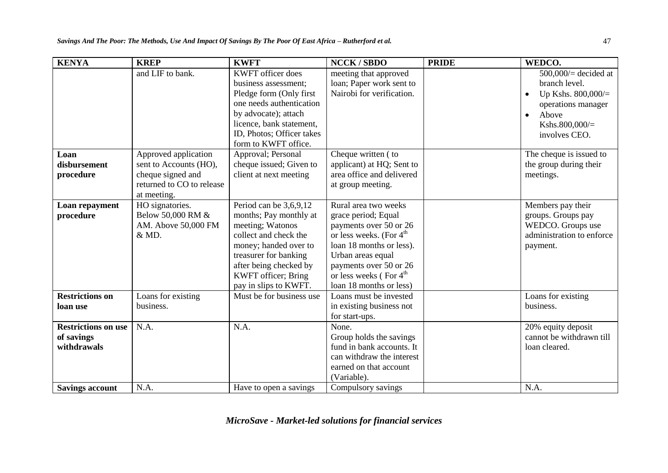| <b>KENYA</b>               | <b>KREP</b>               | <b>KWFT</b>                | <b>NCCK/SBDO</b>                    | <b>PRIDE</b> | WEDCO.                             |
|----------------------------|---------------------------|----------------------------|-------------------------------------|--------------|------------------------------------|
|                            | and LIF to bank.          | <b>KWFT</b> officer does   | meeting that approved               |              | $500,000/$ decided at              |
|                            |                           | business assessment;       | loan; Paper work sent to            |              | branch level.                      |
|                            |                           | Pledge form (Only first    | Nairobi for verification.           |              | Up Kshs. $800,000/$ =<br>$\bullet$ |
|                            |                           | one needs authentication   |                                     |              | operations manager                 |
|                            |                           | by advocate); attach       |                                     |              | Above<br>$\bullet$                 |
|                            |                           | licence, bank statement,   |                                     |              | Kshs.800,000/=                     |
|                            |                           | ID, Photos; Officer takes  |                                     |              | involves CEO.                      |
|                            |                           | form to KWFT office.       |                                     |              |                                    |
| Loan                       | Approved application      | Approval; Personal         | Cheque written (to                  |              | The cheque is issued to            |
| disbursement               | sent to Accounts (HO),    | cheque issued; Given to    | applicant) at HQ; Sent to           |              | the group during their             |
| procedure                  | cheque signed and         | client at next meeting     | area office and delivered           |              | meetings.                          |
|                            | returned to CO to release |                            | at group meeting.                   |              |                                    |
|                            | at meeting.               |                            |                                     |              |                                    |
| Loan repayment             | HO signatories.           | Period can be $3,6,9,12$   | Rural area two weeks                |              | Members pay their                  |
| procedure                  | Below 50,000 RM &         | months; Pay monthly at     | grace period; Equal                 |              | groups. Groups pay                 |
|                            | AM. Above 50,000 FM       | meeting; Watonos           | payments over 50 or 26              |              | WEDCO. Groups use                  |
|                            | & MD.                     | collect and check the      | or less weeks. (For $4^{\text{th}}$ |              | administration to enforce          |
|                            |                           | money; handed over to      | loan 18 months or less).            |              | payment.                           |
|                            |                           | treasurer for banking      | Urban areas equal                   |              |                                    |
|                            |                           | after being checked by     | payments over 50 or 26              |              |                                    |
|                            |                           | <b>KWFT</b> officer; Bring | or less weeks (For 4 <sup>th</sup>  |              |                                    |
|                            |                           | pay in slips to KWFT.      | loan 18 months or less)             |              |                                    |
| <b>Restrictions on</b>     | Loans for existing        | Must be for business use   | Loans must be invested              |              | Loans for existing                 |
| loan use                   | business.                 |                            | in existing business not            |              | business.                          |
|                            |                           |                            | for start-ups.                      |              |                                    |
| <b>Restrictions on use</b> | N.A.                      | N.A.                       | None.                               |              | 20% equity deposit                 |
| of savings                 |                           |                            | Group holds the savings             |              | cannot be withdrawn till           |
| withdrawals                |                           |                            | fund in bank accounts. It           |              | loan cleared.                      |
|                            |                           |                            | can withdraw the interest           |              |                                    |
|                            |                           |                            | earned on that account              |              |                                    |
|                            |                           |                            | (Variable).                         |              |                                    |
| <b>Savings account</b>     | N.A.                      | Have to open a savings     | Compulsory savings                  |              | N.A.                               |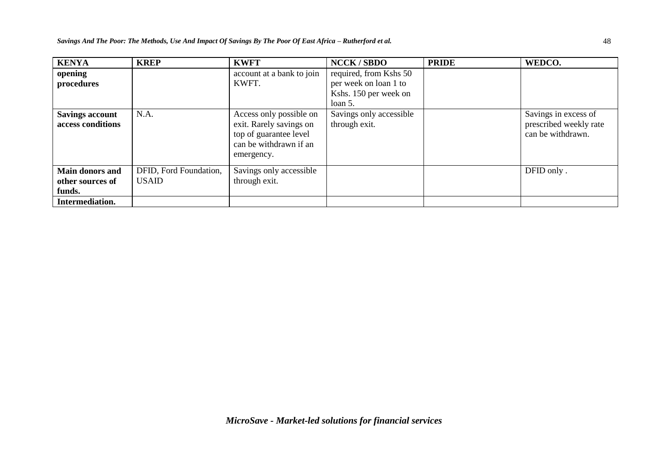| <b>KENYA</b>                                         | <b>KREP</b>                            | <b>KWFT</b>                                                                                                          | <b>NCCK/SBDO</b>                                                         | <b>PRIDE</b> | WEDCO.                                                              |
|------------------------------------------------------|----------------------------------------|----------------------------------------------------------------------------------------------------------------------|--------------------------------------------------------------------------|--------------|---------------------------------------------------------------------|
| opening<br>procedures                                |                                        | account at a bank to join<br>KWFT.                                                                                   | required, from Kshs 50<br>per week on loan 1 to<br>Kshs. 150 per week on |              |                                                                     |
|                                                      |                                        |                                                                                                                      | loan 5.                                                                  |              |                                                                     |
| <b>Savings account</b><br>access conditions          | N.A.                                   | Access only possible on<br>exit. Rarely savings on<br>top of guarantee level<br>can be withdrawn if an<br>emergency. | Savings only accessible<br>through exit.                                 |              | Savings in excess of<br>prescribed weekly rate<br>can be withdrawn. |
| <b>Main donors and</b><br>other sources of<br>funds. | DFID, Ford Foundation,<br><b>USAID</b> | Savings only accessible<br>through exit.                                                                             |                                                                          |              | DFID only.                                                          |
| Intermediation.                                      |                                        |                                                                                                                      |                                                                          |              |                                                                     |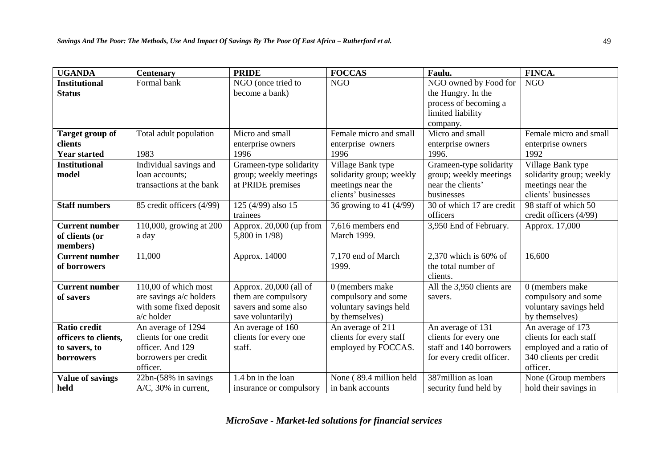| <b>UGANDA</b>           | <b>Centenary</b>          | <b>PRIDE</b>             | <b>FOCCAS</b>            | Faulu.                    | FINCA.                   |
|-------------------------|---------------------------|--------------------------|--------------------------|---------------------------|--------------------------|
| <b>Institutional</b>    | Formal bank               | NGO (once tried to       | <b>NGO</b>               | NGO owned by Food for     | <b>NGO</b>               |
| <b>Status</b>           |                           | become a bank)           |                          | the Hungry. In the        |                          |
|                         |                           |                          |                          | process of becoming a     |                          |
|                         |                           |                          |                          | limited liability         |                          |
|                         |                           |                          |                          | company.                  |                          |
| Target group of         | Total adult population    | Micro and small          | Female micro and small   | Micro and small           | Female micro and small   |
| clients                 |                           | enterprise owners        | enterprise owners        | enterprise owners         | enterprise owners        |
| <b>Year started</b>     | 1983                      | 1996                     | 1996                     | 1996.                     | 1992                     |
| <b>Institutional</b>    | Individual savings and    | Grameen-type solidarity  | Village Bank type        | Grameen-type solidarity   | Village Bank type        |
| model                   | loan accounts;            | group; weekly meetings   | solidarity group; weekly | group; weekly meetings    | solidarity group; weekly |
|                         | transactions at the bank  | at PRIDE premises        | meetings near the        | near the clients'         | meetings near the        |
|                         |                           |                          | clients' businesses      | businesses                | clients' businesses      |
| <b>Staff numbers</b>    | 85 credit officers (4/99) | 125 (4/99) also 15       | 36 growing to 41 (4/99)  | 30 of which 17 are credit | 98 staff of which 50     |
|                         |                           | trainees                 |                          | officers                  | credit officers (4/99)   |
| <b>Current number</b>   | 110,000, growing at 200   | Approx. 20,000 (up from  | 7,616 members end        | 3,950 End of February.    | Approx. 17,000           |
| of clients (or          | a day                     | 5,800 in 1/98)           | March 1999.              |                           |                          |
| members)                |                           |                          |                          |                           |                          |
| <b>Current number</b>   | 11,000                    | Approx. 14000            | 7,170 end of March       | 2,370 which is 60% of     | 16,600                   |
| of borrowers            |                           |                          | 1999.                    | the total number of       |                          |
|                         |                           |                          |                          | clients.                  |                          |
| <b>Current number</b>   | 110,00 of which most      | Approx. $20,000$ (all of | 0 (members make          | All the 3,950 clients are | 0 (members make)         |
| of savers               | are savings a/c holders   | them are compulsory      | compulsory and some      | savers.                   | compulsory and some      |
|                         | with some fixed deposit   | savers and some also     | voluntary savings held   |                           | voluntary savings held   |
|                         | $a/c$ holder              | save voluntarily)        | by themselves)           |                           | by themselves)           |
| <b>Ratio credit</b>     | An average of 1294        | An average of 160        | An average of 211        | An average of 131         | An average of 173        |
| officers to clients,    | clients for one credit    | clients for every one    | clients for every staff  | clients for every one     | clients for each staff   |
| to savers, to           | officer. And 129          | staff.                   | employed by FOCCAS.      | staff and 140 borrowers   | employed and a ratio of  |
| borrowers               | borrowers per credit      |                          |                          | for every credit officer. | 340 clients per credit   |
|                         | officer.                  |                          |                          |                           | officer.                 |
| <b>Value of savings</b> | 22bn-(58% in savings      | 1.4 bn in the loan       | None (89.4 million held  | 387million as loan        | None (Group members      |
| held                    | $A/C$ , 30% in current,   | insurance or compulsory  | in bank accounts         | security fund held by     | hold their savings in    |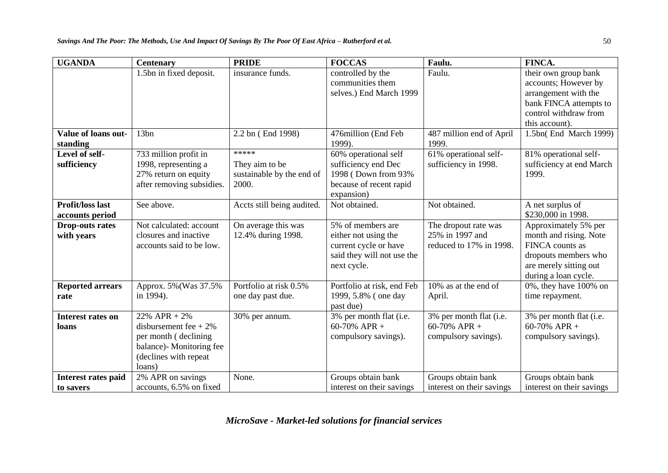| <b>UGANDA</b>                        | <b>Centenary</b>                                                             | <b>PRIDE</b>                              | <b>FOCCAS</b>                                                                                                   | Faulu.                                                             | FINCA.                                                                                                                                      |
|--------------------------------------|------------------------------------------------------------------------------|-------------------------------------------|-----------------------------------------------------------------------------------------------------------------|--------------------------------------------------------------------|---------------------------------------------------------------------------------------------------------------------------------------------|
|                                      | 1.5bn in fixed deposit.                                                      | insurance funds.                          | controlled by the<br>communities them                                                                           | Faulu.                                                             | their own group bank<br>accounts; However by                                                                                                |
|                                      |                                                                              |                                           | selves.) End March 1999                                                                                         |                                                                    | arrangement with the                                                                                                                        |
|                                      |                                                                              |                                           |                                                                                                                 |                                                                    | bank FINCA attempts to                                                                                                                      |
|                                      |                                                                              |                                           |                                                                                                                 |                                                                    | control withdraw from                                                                                                                       |
|                                      |                                                                              |                                           |                                                                                                                 |                                                                    | this account).                                                                                                                              |
| Value of loans out-<br>standing      | 13bn                                                                         | 2.2 bn (End 1998)                         | 476million (End Feb<br>1999).                                                                                   | 487 million end of April<br>1999.                                  | 1.5bn(End March 1999)                                                                                                                       |
| Level of self-                       | 733 million profit in                                                        | *****                                     | 60% operational self                                                                                            | 61% operational self-                                              | 81% operational self-                                                                                                                       |
| sufficiency                          | 1998, representing a                                                         | They aim to be                            | sufficiency end Dec                                                                                             | sufficiency in 1998.                                               | sufficiency at end March                                                                                                                    |
|                                      | 27% return on equity                                                         | sustainable by the end of<br>2000.        | 1998 (Down from 93%                                                                                             |                                                                    | 1999.                                                                                                                                       |
|                                      | after removing subsidies.                                                    |                                           | because of recent rapid<br>expansion)                                                                           |                                                                    |                                                                                                                                             |
| <b>Profit/loss last</b>              | See above.                                                                   | Accts still being audited.                | Not obtained.                                                                                                   | Not obtained.                                                      | A net surplus of                                                                                                                            |
| accounts period                      |                                                                              |                                           |                                                                                                                 |                                                                    | \$230,000 in 1998.                                                                                                                          |
| <b>Drop-outs rates</b><br>with years | Not calculated: account<br>closures and inactive<br>accounts said to be low. | On average this was<br>12.4% during 1998. | 5% of members are<br>either not using the<br>current cycle or have<br>said they will not use the<br>next cycle. | The dropout rate was<br>25% in 1997 and<br>reduced to 17% in 1998. | Approximately 5% per<br>month and rising. Note<br>FINCA counts as<br>dropouts members who<br>are merely sitting out<br>during a loan cycle. |
| <b>Reported arrears</b>              | Approx. 5% (Was 37.5%)                                                       | Portfolio at risk 0.5%                    | Portfolio at risk, end Feb                                                                                      | 10% as at the end of                                               | $0\%$ , they have $100\%$ on                                                                                                                |
| rate                                 | in 1994).                                                                    | one day past due.                         | 1999, 5.8% (one day<br>past due)                                                                                | April.                                                             | time repayment.                                                                                                                             |
| Interest rates on<br>loans           | $22\%$ APR + $2\%$<br>disbursement fee + $2\%$                               | 30% per annum.                            | 3% per month flat (i.e.<br>60-70% APR +                                                                         | 3% per month flat (i.e.<br>60-70% APR +                            | 3% per month flat (i.e.<br>60-70% APR +                                                                                                     |
|                                      | per month (declining                                                         |                                           | compulsory savings).                                                                                            | compulsory savings).                                               | compulsory savings).                                                                                                                        |
|                                      | balance)- Monitoring fee                                                     |                                           |                                                                                                                 |                                                                    |                                                                                                                                             |
|                                      | (declines with repeat)                                                       |                                           |                                                                                                                 |                                                                    |                                                                                                                                             |
|                                      | loans)                                                                       |                                           |                                                                                                                 |                                                                    |                                                                                                                                             |
| <b>Interest rates paid</b>           | 2% APR on savings                                                            | None.                                     | Groups obtain bank                                                                                              | Groups obtain bank                                                 | Groups obtain bank                                                                                                                          |
| to savers                            | accounts, 6.5% on fixed                                                      |                                           | interest on their savings                                                                                       | interest on their savings                                          | interest on their savings                                                                                                                   |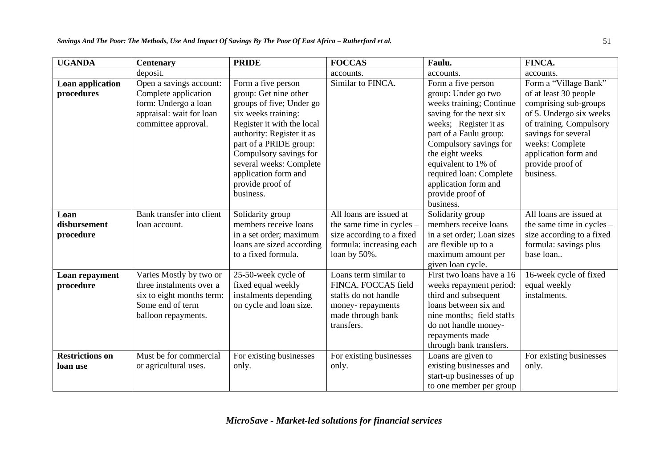| <b>UGANDA</b>                      | <b>Centenary</b>                                                                                                            | <b>PRIDE</b>                                                                                                                                                                                                                                                                                      | <b>FOCCAS</b>                                                                                                                   | Faulu.                                                                                                                                                                                                                                                                                                      | FINCA.                                                                                                                                                                                                                           |
|------------------------------------|-----------------------------------------------------------------------------------------------------------------------------|---------------------------------------------------------------------------------------------------------------------------------------------------------------------------------------------------------------------------------------------------------------------------------------------------|---------------------------------------------------------------------------------------------------------------------------------|-------------------------------------------------------------------------------------------------------------------------------------------------------------------------------------------------------------------------------------------------------------------------------------------------------------|----------------------------------------------------------------------------------------------------------------------------------------------------------------------------------------------------------------------------------|
|                                    | deposit.                                                                                                                    |                                                                                                                                                                                                                                                                                                   | accounts.                                                                                                                       | accounts.                                                                                                                                                                                                                                                                                                   | accounts.                                                                                                                                                                                                                        |
| Loan application<br>procedures     | Open a savings account:<br>Complete application<br>form: Undergo a loan<br>appraisal: wait for loan<br>committee approval.  | Form a five person<br>group: Get nine other<br>groups of five; Under go<br>six weeks training:<br>Register it with the local<br>authority: Register it as<br>part of a PRIDE group:<br>Compulsory savings for<br>several weeks: Complete<br>application form and<br>provide proof of<br>business. | Similar to FINCA.                                                                                                               | Form a five person<br>group: Under go two<br>weeks training; Continue<br>saving for the next six<br>weeks; Register it as<br>part of a Faulu group:<br>Compulsory savings for<br>the eight weeks<br>equivalent to 1% of<br>required loan: Complete<br>application form and<br>provide proof of<br>business. | Form a "Village Bank"<br>of at least 30 people<br>comprising sub-groups<br>of 5. Undergo six weeks<br>of training. Compulsory<br>savings for several<br>weeks: Complete<br>application form and<br>provide proof of<br>business. |
| Loan<br>disbursement<br>procedure  | Bank transfer into client<br>loan account.                                                                                  | Solidarity group<br>members receive loans<br>in a set order; maximum<br>loans are sized according<br>to a fixed formula.                                                                                                                                                                          | All loans are issued at<br>the same time in cycles $-$<br>size according to a fixed<br>formula: increasing each<br>loan by 50%. | Solidarity group<br>members receive loans<br>in a set order; Loan sizes<br>are flexible up to a<br>maximum amount per<br>given loan cycle.                                                                                                                                                                  | All loans are issued at<br>the same time in cycles $-$<br>size according to a fixed<br>formula: savings plus<br>base loan                                                                                                        |
| Loan repayment<br>procedure        | Varies Mostly by two or<br>three instalments over a<br>six to eight months term:<br>Some end of term<br>balloon repayments. | 25-50-week cycle of<br>fixed equal weekly<br>instalments depending<br>on cycle and loan size.                                                                                                                                                                                                     | Loans term similar to<br>FINCA. FOCCAS field<br>staffs do not handle<br>money-repayments<br>made through bank<br>transfers.     | First two loans have a 16<br>weeks repayment period:<br>third and subsequent<br>loans between six and<br>nine months; field staffs<br>do not handle money-<br>repayments made<br>through bank transfers.                                                                                                    | 16-week cycle of fixed<br>equal weekly<br>instalments.                                                                                                                                                                           |
| <b>Restrictions on</b><br>loan use | Must be for commercial<br>or agricultural uses.                                                                             | For existing businesses<br>only.                                                                                                                                                                                                                                                                  | For existing businesses<br>only.                                                                                                | Loans are given to<br>existing businesses and<br>start-up businesses of up<br>to one member per group                                                                                                                                                                                                       | For existing businesses<br>only.                                                                                                                                                                                                 |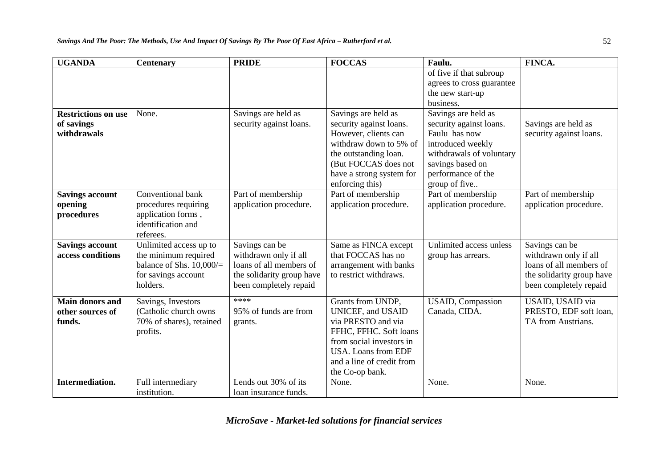| <b>UGANDA</b>                                           | <b>Centenary</b>                                                                                                 | <b>PRIDE</b>                                                                                                              | <b>FOCCAS</b>                                                                                                                                                                                    | Faulu.                                                                                                                                                                      | FINCA.                                                                                                                    |
|---------------------------------------------------------|------------------------------------------------------------------------------------------------------------------|---------------------------------------------------------------------------------------------------------------------------|--------------------------------------------------------------------------------------------------------------------------------------------------------------------------------------------------|-----------------------------------------------------------------------------------------------------------------------------------------------------------------------------|---------------------------------------------------------------------------------------------------------------------------|
|                                                         |                                                                                                                  |                                                                                                                           |                                                                                                                                                                                                  | of five if that subroup<br>agrees to cross guarantee<br>the new start-up<br>business.                                                                                       |                                                                                                                           |
| <b>Restrictions on use</b><br>of savings<br>withdrawals | None.                                                                                                            | Savings are held as<br>security against loans.                                                                            | Savings are held as<br>security against loans.<br>However, clients can<br>withdraw down to 5% of<br>the outstanding loan.<br>(But FOCCAS does not<br>have a strong system for<br>enforcing this) | Savings are held as<br>security against loans.<br>Faulu has now<br>introduced weekly<br>withdrawals of voluntary<br>savings based on<br>performance of the<br>group of five | Savings are held as<br>security against loans.                                                                            |
| <b>Savings account</b><br>opening<br>procedures         | Conventional bank<br>procedures requiring<br>application forms,<br>identification and<br>referees.               | Part of membership<br>application procedure.                                                                              | Part of membership<br>application procedure.                                                                                                                                                     | Part of membership<br>application procedure.                                                                                                                                | Part of membership<br>application procedure.                                                                              |
| <b>Savings account</b><br>access conditions             | Unlimited access up to<br>the minimum required<br>balance of Shs. $10,000/$ =<br>for savings account<br>holders. | Savings can be<br>withdrawn only if all<br>loans of all members of<br>the solidarity group have<br>been completely repaid | Same as FINCA except<br>that FOCCAS has no<br>arrangement with banks<br>to restrict withdraws.                                                                                                   | Unlimited access unless<br>group has arrears.                                                                                                                               | Savings can be<br>withdrawn only if all<br>loans of all members of<br>the solidarity group have<br>been completely repaid |
| <b>Main donors and</b><br>other sources of<br>funds.    | Savings, Investors<br>(Catholic church owns)<br>70% of shares), retained<br>profits.                             | ****<br>95% of funds are from<br>grants.                                                                                  | Grants from UNDP,<br><b>UNICEF, and USAID</b><br>via PRESTO and via<br>FFHC, FFHC. Soft loans<br>from social investors in<br>USA. Loans from EDF<br>and a line of credit from<br>the Co-op bank. | <b>USAID, Compassion</b><br>Canada, CIDA.                                                                                                                                   | USAID, USAID via<br>PRESTO, EDF soft loan,<br>TA from Austrians.                                                          |
| <b>Intermediation.</b>                                  | Full intermediary<br>institution.                                                                                | Lends out 30% of its<br>loan insurance funds.                                                                             | None.                                                                                                                                                                                            | None.                                                                                                                                                                       | None.                                                                                                                     |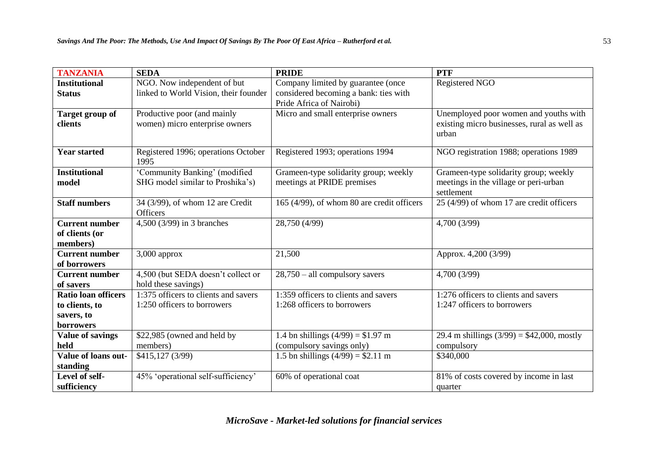| <b>TANZANIA</b>                                     | <b>SEDA</b>                                                       | <b>PRIDE</b>                                                        | <b>PTF</b>                                                                                    |
|-----------------------------------------------------|-------------------------------------------------------------------|---------------------------------------------------------------------|-----------------------------------------------------------------------------------------------|
| <b>Institutional</b>                                | NGO. Now independent of but                                       | Company limited by guarantee (once                                  | Registered NGO                                                                                |
| <b>Status</b>                                       | linked to World Vision, their founder                             | considered becoming a bank: ties with<br>Pride Africa of Nairobi)   |                                                                                               |
| <b>Target group of</b><br>clients                   | Productive poor (and mainly<br>women) micro enterprise owners     | Micro and small enterprise owners                                   | Unemployed poor women and youths with<br>existing micro businesses, rural as well as<br>urban |
| <b>Year started</b>                                 | Registered 1996; operations October<br>1995                       | Registered 1993; operations 1994                                    | NGO registration 1988; operations 1989                                                        |
| <b>Institutional</b><br>model                       | 'Community Banking' (modified<br>SHG model similar to Proshika's) | Grameen-type solidarity group; weekly<br>meetings at PRIDE premises | Grameen-type solidarity group; weekly<br>meetings in the village or peri-urban<br>settlement  |
| <b>Staff numbers</b>                                | 34 (3/99), of whom 12 are Credit<br><b>Officers</b>               | 165 (4/99), of whom 80 are credit officers                          | 25 (4/99) of whom 17 are credit officers                                                      |
| <b>Current number</b><br>of clients (or<br>members) | 4,500 (3/99) in 3 branches                                        | 28,750 (4/99)                                                       | 4,700 (3/99)                                                                                  |
| <b>Current number</b><br>of borrowers               | $3,000$ approx                                                    | 21,500                                                              | Approx. 4,200 (3/99)                                                                          |
| <b>Current number</b><br>of savers                  | 4,500 (but SEDA doesn't collect or<br>hold these savings)         | $28,750 -$ all compulsory savers                                    | 4,700 (3/99)                                                                                  |
| <b>Ratio loan officers</b>                          | 1:375 officers to clients and savers                              | 1:359 officers to clients and savers                                | 1:276 officers to clients and savers                                                          |
| to clients, to                                      | 1:250 officers to borrowers                                       | 1:268 officers to borrowers                                         | 1:247 officers to borrowers                                                                   |
| savers, to<br>borrowers                             |                                                                   |                                                                     |                                                                                               |
| <b>Value of savings</b>                             | \$22,985 (owned and held by                                       | 1.4 bn shillings $(4/99) = $1.97$ m                                 | 29.4 m shillings $(3/99) = $42,000$ , mostly                                                  |
| held                                                | members)                                                          | (compulsory savings only)                                           | compulsory                                                                                    |
| Value of loans out-<br>standing                     | \$415,127 (3/99)                                                  | 1.5 bn shillings $(4/99) = $2.11$ m                                 | \$340,000                                                                                     |
| Level of self-<br>sufficiency                       | 45% 'operational self-sufficiency'                                | 60% of operational coat                                             | 81% of costs covered by income in last<br>quarter                                             |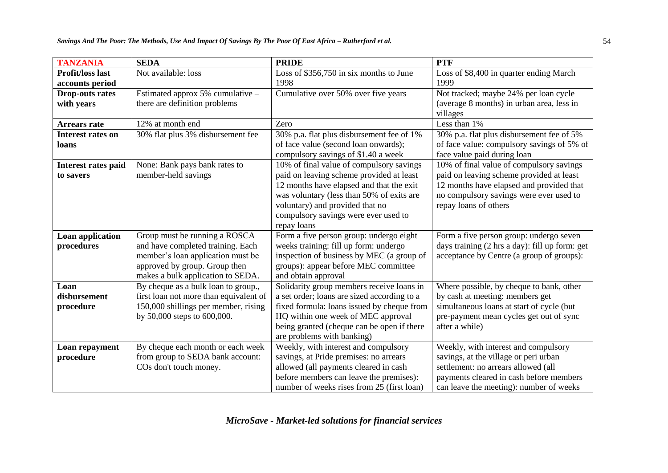| <b>TANZANIA</b>             | <b>SEDA</b>                            | <b>PRIDE</b>                                                             | <b>PTF</b>                                                |
|-----------------------------|----------------------------------------|--------------------------------------------------------------------------|-----------------------------------------------------------|
| <b>Profit/loss last</b>     | Not available: loss                    | Loss of \$356,750 in six months to June                                  | Loss of \$8,400 in quarter ending March                   |
| accounts period             |                                        | 1998                                                                     | 1999                                                      |
| <b>Drop-outs rates</b>      | Estimated approx 5% cumulative -       | Cumulative over 50% over five years                                      | Not tracked; maybe 24% per loan cycle                     |
| with years                  | there are definition problems          |                                                                          | (average 8 months) in urban area, less in                 |
|                             |                                        |                                                                          | villages                                                  |
| <b>Arrears rate</b>         | 12% at month end                       | Zero                                                                     | Less than 1%                                              |
| <b>Interest rates on</b>    | 30% flat plus 3% disbursement fee      | 30% p.a. flat plus disbursement fee of 1%                                | 30% p.a. flat plus disbursement fee of 5%                 |
| loans                       |                                        | of face value (second loan onwards);                                     | of face value: compulsory savings of 5% of                |
|                             |                                        | compulsory savings of \$1.40 a week                                      | face value paid during loan                               |
| Interest rates paid         | None: Bank pays bank rates to          | 10% of final value of compulsory savings                                 | 10% of final value of compulsory savings                  |
| to savers                   | member-held savings                    | paid on leaving scheme provided at least                                 | paid on leaving scheme provided at least                  |
|                             |                                        | 12 months have elapsed and that the exit                                 | 12 months have elapsed and provided that                  |
|                             |                                        | was voluntary (less than 50% of exits are                                | no compulsory savings were ever used to                   |
|                             |                                        | voluntary) and provided that no                                          | repay loans of others                                     |
|                             |                                        | compulsory savings were ever used to                                     |                                                           |
|                             |                                        | repay loans                                                              |                                                           |
| Loan application            | Group must be running a ROSCA          | Form a five person group: undergo eight                                  | Form a five person group: undergo seven                   |
| procedures                  | and have completed training. Each      | weeks training: fill up form: undergo                                    | days training (2 hrs a day): fill up form: get            |
|                             | member's loan application must be      | inspection of business by MEC (a group of                                | acceptance by Centre (a group of groups):                 |
|                             | approved by group. Group then          | groups): appear before MEC committee                                     |                                                           |
|                             | makes a bulk application to SEDA.      | and obtain approval                                                      |                                                           |
| Loan                        | By cheque as a bulk loan to group.,    | Solidarity group members receive loans in                                | Where possible, by cheque to bank, other                  |
| disbursement                | first loan not more than equivalent of | a set order; loans are sized according to a                              | by cash at meeting: members get                           |
| procedure                   | 150,000 shillings per member, rising   | fixed formula: loans issued by cheque from                               | simultaneous loans at start of cycle (but                 |
|                             | by 50,000 steps to 600,000.            | HQ within one week of MEC approval                                       | pre-payment mean cycles get out of sync<br>after a while) |
|                             |                                        | being granted (cheque can be open if there<br>are problems with banking) |                                                           |
|                             | By cheque each month or each week      | Weekly, with interest and compulsory                                     | Weekly, with interest and compulsory                      |
| Loan repayment<br>procedure | from group to SEDA bank account:       | savings, at Pride premises: no arrears                                   | savings, at the village or peri urban                     |
|                             | COs don't touch money.                 | allowed (all payments cleared in cash                                    | settlement: no arrears allowed (all                       |
|                             |                                        | before members can leave the premises):                                  | payments cleared in cash before members                   |
|                             |                                        | number of weeks rises from 25 (first loan)                               | can leave the meeting): number of weeks                   |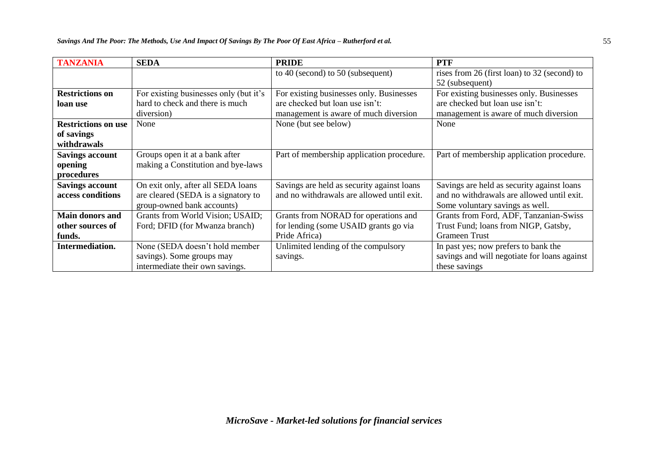| <b>TANZANIA</b>            | <b>SEDA</b>                            | <b>PRIDE</b>                               | <b>PTF</b>                                   |
|----------------------------|----------------------------------------|--------------------------------------------|----------------------------------------------|
|                            |                                        | to 40 (second) to 50 (subsequent)          | rises from 26 (first loan) to 32 (second) to |
|                            |                                        |                                            | 52 (subsequent)                              |
| <b>Restrictions on</b>     | For existing businesses only (but it's | For existing businesses only. Businesses   | For existing businesses only. Businesses     |
| loan use                   | hard to check and there is much        | are checked but loan use isn't:            | are checked but loan use isn't:              |
|                            | diversion)                             | management is aware of much diversion      | management is aware of much diversion        |
| <b>Restrictions on use</b> | None                                   | None (but see below)                       | None                                         |
| of savings                 |                                        |                                            |                                              |
| withdrawals                |                                        |                                            |                                              |
| <b>Savings account</b>     | Groups open it at a bank after         | Part of membership application procedure.  | Part of membership application procedure.    |
| opening                    | making a Constitution and bye-laws     |                                            |                                              |
| procedures                 |                                        |                                            |                                              |
| <b>Savings account</b>     | On exit only, after all SEDA loans     | Savings are held as security against loans | Savings are held as security against loans   |
| access conditions          | are cleared (SEDA is a signatory to    | and no withdrawals are allowed until exit. | and no withdrawals are allowed until exit.   |
|                            | group-owned bank accounts)             |                                            | Some voluntary savings as well.              |
| <b>Main donors and</b>     | Grants from World Vision; USAID;       | Grants from NORAD for operations and       | Grants from Ford, ADF, Tanzanian-Swiss       |
| other sources of           | Ford; DFID (for Mwanza branch)         | for lending (some USAID grants go via      | Trust Fund; loans from NIGP, Gatsby,         |
| funds.                     |                                        | Pride Africa)                              | <b>Grameen Trust</b>                         |
| Intermediation.            | None (SEDA doesn't hold member         | Unlimited lending of the compulsory        | In past yes; now prefers to bank the         |
|                            | savings). Some groups may              | savings.                                   | savings and will negotiate for loans against |
|                            | intermediate their own savings.        |                                            | these savings                                |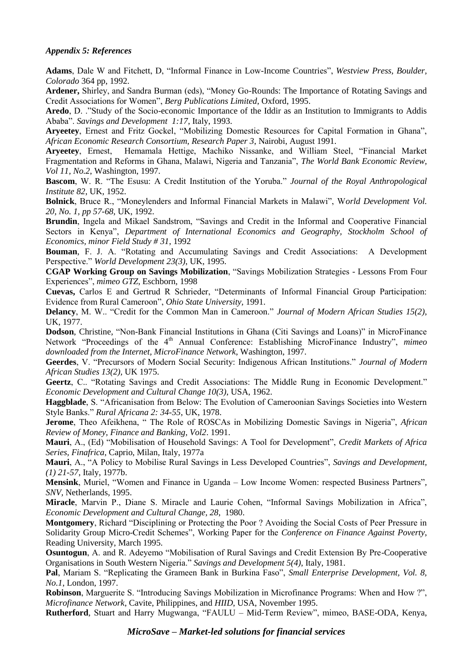# *Appendix 5: References*

**Adams**, Dale W and Fitchett, D, "Informal Finance in Low-Income Countries", *Westview Press, Boulder, Colorado* 364 pp, 1992.

**Ardener,** Shirley, and Sandra Burman (eds), "Money Go-Rounds: The Importance of Rotating Savings and Credit Associations for Women", *Berg Publications Limited*, Oxford, 1995.

**Aredo**, D. ."Study of the Socio-economic Importance of the Iddir as an Institution to Immigrants to Addis Ababa". *Savings and Development 1:17*, Italy, 1993.

**Aryeetey**, Ernest and Fritz Gockel, "Mobilizing Domestic Resources for Capital Formation in Ghana", *African Economic Research Consortium, Research Paper 3*, Nairobi, August 1991.

**Aryeetey**, Ernest, Hemamala Hettige, Machiko Nissanke, and William Steel, "Financial Market Fragmentation and Reforms in Ghana, Malawi, Nigeria and Tanzania", *The World Bank Economic Review, Vol 11, No.2*, Washington, 1997.

**Bascom**, W. R. "The Esusu: A Credit Institution of the Yoruba." *Journal of the Royal Anthropological Institute 82*, UK, 1952.

**Bolnick**, Bruce R., "Moneylenders and Informal Financial Markets in Malawi", W*orld Development Vol. 20, No. 1, pp 57-68*, UK, 1992.

**Brundin**, Ingela and Mikael Sandstrom, "Savings and Credit in the Informal and Cooperative Financial Sectors in Kenya", *Department of International Economics and Geography, Stockholm School of Economics, minor Field Study # 31*, 1992

**Bouman**, F. J. A. "Rotating and Accumulating Savings and Credit Associations: A Development Perspective." *World Development 23(3)*, UK, 1995.

**CGAP Working Group on Savings Mobilization**, "Savings Mobilization Strategies - Lessons From Four Experiences", *mimeo GTZ*, Eschborn, 1998

**Cuevas,** Carlos E and Gertrud R Schrieder, "Determinants of Informal Financial Group Participation: Evidence from Rural Cameroon", *Ohio State University,* 1991.

**Delancy**, M. W.. "Credit for the Common Man in Cameroon." *Journal of Modern African Studies 15(2)*, UK, 1977.

**Dodson**, Christine, "Non-Bank Financial Institutions in Ghana (Citi Savings and Loans)" in MicroFinance Network "Proceedings of the 4<sup>th</sup> Annual Conference: Establishing MicroFinance Industry", *mimeo downloaded from the Internet, MicroFinance Network*, Washington, 1997.

**Geerdes**, V. "Precursors of Modern Social Security: Indigenous African Institutions." *Journal of Modern African Studies 13(2),* UK 1975.

**Geertz**, C.. "Rotating Savings and Credit Associations: The Middle Rung in Economic Development." *Economic Development and Cultural Change 10(3)*, USA, 1962.

**Haggblade**, S. "Africanisation from Below: The Evolution of Cameroonian Savings Societies into Western Style Banks." *Rural Africana 2: 34-55*, UK, 1978.

**Jerome**, Theo Afeikhena, " The Role of ROSCAs in Mobilizing Domestic Savings in Nigeria", *African Review of Money, Finance and Banking, Vol2*. 1991.

**Mauri**, A., (Ed) "Mobilisation of Household Savings: A Tool for Development", *Credit Markets of Africa Series, Finafrica*, Caprio, Milan, Italy, 1977a

**Mauri**, A., "A Policy to Mobilise Rural Savings in Less Developed Countries", *Savings and Development, (1) 21-57*, Italy, 1977b.

**Mensink**, Muriel, "Women and Finance in Uganda – Low Income Women: respected Business Partners"*, SNV,* Netherlands, 1995.

**Miracle**, Marvin P., Diane S. Miracle and Laurie Cohen, "Informal Savings Mobilization in Africa", *Economic Development and Cultural Change, 28*, 1980.

**Montgomery**, Richard "Disciplining or Protecting the Poor ? Avoiding the Social Costs of Peer Pressure in Solidarity Group Micro-Credit Schemes", Working Paper for the *Conference on Finance Against Poverty*, Reading University, March 1995.

**Osuntogun**, A. and R. Adeyemo "Mobilisation of Rural Savings and Credit Extension By Pre-Cooperative Organisations in South Western Nigeria." *Savings and Development 5(4)*, Italy, 1981.

**Pal**, Mariam S. "Replicating the Grameen Bank in Burkina Faso", *Small Enterprise Development, Vol. 8, No.1*, London, 1997.

**Robinson**, Marguerite S. "Introducing Savings Mobilization in Microfinance Programs: When and How ?", *Microfinance Network*, Cavite, Philippines, and *HIID*, USA, November 1995.

**Rutherford***,* Stuart and Harry Mugwanga, "FAULU – Mid-Term Review", mimeo, BASE-ODA, Kenya,